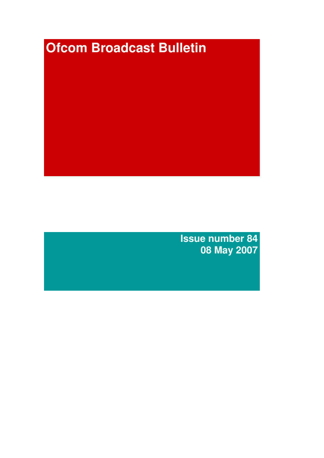# **Ofcom Broadcast Bulletin**

**Issue number 84 08 May 2007**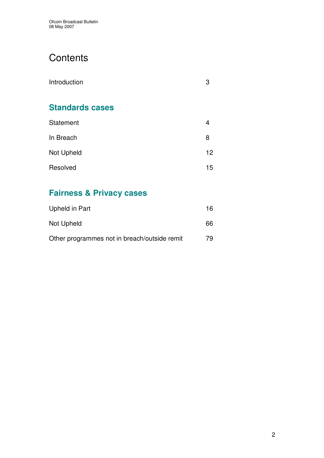# **Contents**

| Introduction           | 3  |
|------------------------|----|
| <b>Standards cases</b> |    |
| Statement              | 4  |
| In Breach              | 8  |
| Not Upheld             | 12 |
| Resolved               | 15 |

# **Fairness & Privacy cases**

| Upheld in Part                               | 16  |
|----------------------------------------------|-----|
| Not Upheld                                   | 66  |
| Other programmes not in breach/outside remit | 79. |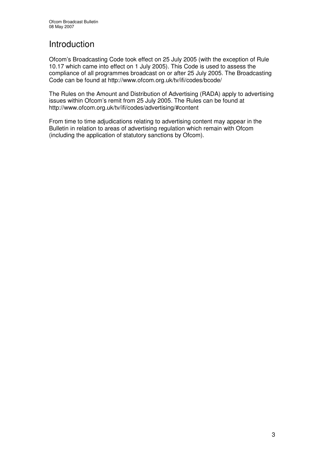# Introduction

Ofcom's Broadcasting Code took effect on 25 July 2005 (with the exception of Rule 10.17 which came into effect on 1 July 2005). This Code is used to assess the compliance of all programmes broadcast on or after 25 July 2005. The Broadcasting Code can be found at http://www.ofcom.org.uk/tv/ifi/codes/bcode/

The Rules on the Amount and Distribution of Advertising (RADA) apply to advertising issues within Ofcom's remit from 25 July 2005. The Rules can be found at http://www.ofcom.org.uk/tv/ifi/codes/advertising/#content

From time to time adjudications relating to advertising content may appear in the Bulletin in relation to areas of advertising regulation which remain with Ofcom (including the application of statutory sanctions by Ofcom).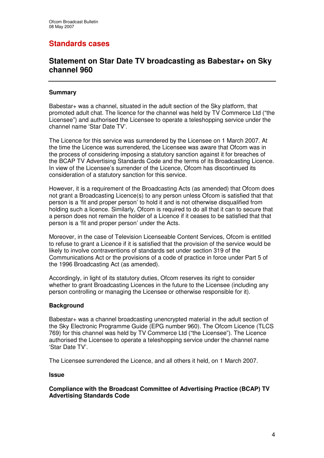# **Standards cases**

## **Statement on Star Date TV broadcasting as Babestar+ on Sky channel 960**

#### **Summary**

Babestar+ was a channel, situated in the adult section of the Sky platform, that promoted adult chat. The licence for the channel was held by TV Commerce Ltd ("the Licensee") and authorised the Licensee to operate a teleshopping service under the channel name 'Star Date TV'.

The Licence for this service was surrendered by the Licensee on 1 March 2007. At the time the Licence was surrendered, the Licensee was aware that Ofcom was in the process of considering imposing a statutory sanction against it for breaches of the BCAP TV Advertising Standards Code and the terms of its Broadcasting Licence. In view of the Licensee's surrender of the Licence, Ofcom has discontinued its consideration of a statutory sanction for this service.

However, it is a requirement of the Broadcasting Acts (as amended) that Ofcom does not grant a Broadcasting Licence(s) to any person unless Ofcom is satisfied that that person is a 'fit and proper person' to hold it and is not otherwise disqualified from holding such a licence. Similarly, Ofcom is required to do all that it can to secure that a person does not remain the holder of a Licence if it ceases to be satisfied that that person is a 'fit and proper person' under the Acts.

Moreover, in the case of Television Licenseable Content Services, Ofcom is entitled to refuse to grant a Licence if it is satisfied that the provision of the service would be likely to involve contraventions of standards set under section 319 of the Communications Act or the provisions of a code of practice in force under Part 5 of the 1996 Broadcasting Act (as amended).

Accordingly, in light of its statutory duties, Ofcom reserves its right to consider whether to grant Broadcasting Licences in the future to the Licensee (including any person controlling or managing the Licensee or otherwise responsible for it).

#### **Background**

Babestar+ was a channel broadcasting unencrypted material in the adult section of the Sky Electronic Programme Guide (EPG number 960). The Ofcom Licence (TLCS 769) for this channel was held by TV Commerce Ltd ("the Licensee"). The Licence authorised the Licensee to operate a teleshopping service under the channel name 'Star Date TV'.

The Licensee surrendered the Licence, and all others it held, on 1 March 2007.

**Issue**

**Compliance with the Broadcast Committee of Advertising Practice (BCAP) TV Advertising Standards Code**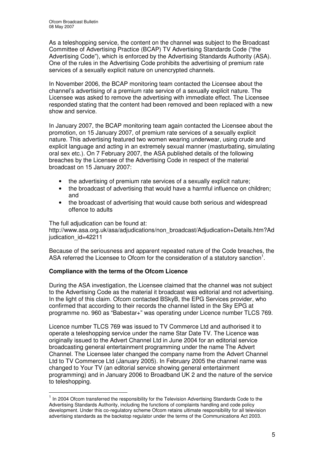As a teleshopping service, the content on the channel was subject to the Broadcast Committee of Advertising Practice (BCAP) TV Advertising Standards Code ("the Advertising Code"), which is enforced by the Advertising Standards Authority (ASA). One of the rules in the Advertising Code prohibits the advertising of premium rate services of a sexually explicit nature on unencrypted channels.

In November 2006, the BCAP monitoring team contacted the Licensee about the channel's advertising of a premium rate service of a sexually explicit nature. The Licensee was asked to remove the advertising with immediate effect. The Licensee responded stating that the content had been removed and been replaced with a new show and service.

In January 2007, the BCAP monitoring team again contacted the Licensee about the promotion, on 15 January 2007, of premium rate services of a sexually explicit nature. This advertising featured two women wearing underwear, using crude and explicit language and acting in an extremely sexual manner (masturbating, simulating oral sex etc.). On 7 February 2007, the ASA published details of the following breaches by the Licensee of the Advertising Code in respect of the material broadcast on 15 January 2007:

- the advertising of premium rate services of a sexually explicit nature;
- the broadcast of advertising that would have a harmful influence on children; and
- the broadcast of advertising that would cause both serious and widespread offence to adults

The full adjudication can be found at: http://www.asa.org.uk/asa/adjudications/non\_broadcast/Adjudication+Details.htm?Ad judication id=42211

Because of the seriousness and apparent repeated nature of the Code breaches, the ASA referred the Licensee to Ofcom for the consideration of a statutory sanction<sup>1</sup>.

#### **Compliance with the terms of the Ofcom Licence**

During the ASA investigation, the Licensee claimed that the channel was not subject to the Advertising Code as the material it broadcast was editorial and not advertising. In the light of this claim. Ofcom contacted BSkyB, the EPG Services provider, who confirmed that according to their records the channel listed in the Sky EPG at programme no. 960 as "Babestar+" was operating under Licence number TLCS 769.

Licence number TLCS 769 was issued to TV Commerce Ltd and authorised it to operate a teleshopping service under the name Star Date TV. The Licence was originally issued to the Advert Channel Ltd in June 2004 for an editorial service broadcasting general entertainment programming under the name The Advert Channel. The Licensee later changed the company name from the Advert Channel Ltd to TV Commerce Ltd (January 2005). In February 2005 the channel name was changed to Your TV (an editorial service showing general entertainment programming) and in January 2006 to Broadband UK 2 and the nature of the service to teleshopping.

<sup>&</sup>lt;sup>1</sup> In 2004 Ofcom transferred the responsibility for the Television Advertising Standards Code to the Advertising Standards Authority, including the functions of complaints handling and code policy development. Under this co-regulatory scheme Ofcom retains ultimate responsibility for all television advertising standards as the backstop regulator under the terms of the Communications Act 2003.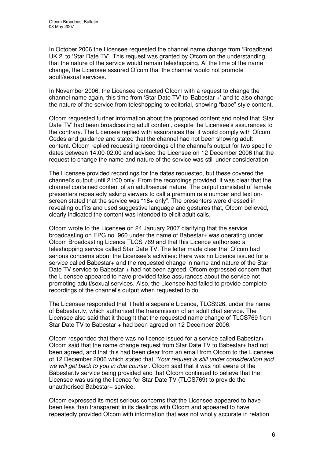In October 2006 the Licensee requested the channel name change from 'Broadband UK 2' to 'Star Date TV'. This request was granted by Ofcom on the understanding that the nature of the service would remain teleshopping. At the time of the name change, the Licensee assured Ofcom that the channel would not promote adult/sexual services.

In November 2006, the Licensee contacted Ofcom with a request to change the channel name again, this time from 'Star Date TV' to 'Babestar +' and to also change the nature of the service from teleshopping to editorial, showing "babe" style content.

Ofcom requested further information about the proposed content and noted that 'Star Date TV' had been broadcasting adult content, despite the Licensee's assurances to the contrary. The Licensee replied with assurances that it would comply with Ofcom Codes and guidance and stated that the channel had not been showing adult content. Ofcom replied requesting recordings of the channel's output for two specific dates between 14:00-02:00 and advised the Licensee on 12 December 2006 that the request to change the name and nature of the service was still under consideration.

The Licensee provided recordings for the dates requested, but these covered the channel's output until 21:00 only. From the recordings provided, it was clear that the channel contained content of an adult/sexual nature. The output consisted of female presenters repeatedly asking viewers to call a premium rate number and text onscreen stated that the service was "18+ only". The presenters were dressed in revealing outfits and used suggestive language and gestures that, Ofcom believed, clearly indicated the content was intended to elicit adult calls.

Ofcom wrote to the Licensee on 24 January 2007 clarifying that the service broadcasting on EPG no. 960 under the name of Babestar+ was operating under Ofcom Broadcasting Licence TLCS 769 and that this Licence authorised a teleshopping service called Star Date TV. The letter made clear that Ofcom had serious concerns about the Licensee's activities: there was no Licence issued for a service called Babestar+ and the requested change in name and nature of the Star Date TV service to Babestar + had not been agreed. Ofcom expressed concern that the Licensee appeared to have provided false assurances about the service not promoting adult/sexual services. Also, the Licensee had failed to provide complete recordings of the channel's output when requested to do.

The Licensee responded that it held a separate Licence, TLCS926, under the name of Babestar.tv, which authorised the transmission of an adult chat service. The Licensee also said that it thought that the requested name change of TLCS769 from Star Date TV to Babestar + had been agreed on 12 December 2006.

Ofcom responded that there was no licence issued for a service called Babestar+. Ofcom said that the name change request from Star Date TV to Babestar+ had not been agreed, and that this had been clear from an email from Ofcom to the Licensee of 12 December 2006 which stated that *"Your request is still under consideration and we will get back to you in due course"*. Ofcom said that it was not aware of the Babestar.tv service being provided and that Ofcom continued to believe that the Licensee was using the licence for Star Date TV (TLCS769) to provide the unauthorised Babestar+ service.

Ofcom expressed its most serious concerns that the Licensee appeared to have been less than transparent in its dealings with Ofcom and appeared to have repeatedly provided Ofcom with information that was not wholly accurate in relation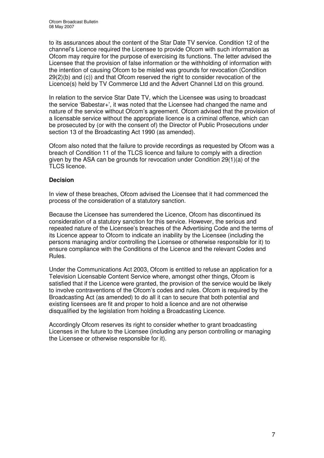to its assurances about the content of the Star Date TV service. Condition 12 of the channel's Licence required the Licensee to provide Ofcom with such information as Ofcom may require for the purpose of exercising its functions. The letter advised the Licensee that the provision of false information or the withholding of information with the intention of causing Ofcom to be misled was grounds for revocation (Condition 29(2)(b) and (c)) and that Ofcom reserved the right to consider revocation of the Licence(s) held by TV Commerce Ltd and the Advert Channel Ltd on this ground.

In relation to the service Star Date TV, which the Licensee was using to broadcast the service 'Babestar+', it was noted that the Licensee had changed the name and nature of the service without Ofcom's agreement. Ofcom advised that the provision of a licensable service without the appropriate licence is a criminal offence, which can be prosecuted by (or with the consent of) the Director of Public Prosecutions under section 13 of the Broadcasting Act 1990 (as amended).

Ofcom also noted that the failure to provide recordings as requested by Ofcom was a breach of Condition 11 of the TLCS licence and failure to comply with a direction given by the ASA can be grounds for revocation under Condition 29(1)(a) of the TLCS licence.

#### **Decision**

In view of these breaches, Ofcom advised the Licensee that it had commenced the process of the consideration of a statutory sanction.

Because the Licensee has surrendered the Licence, Ofcom has discontinued its consideration of a statutory sanction for this service. However, the serious and repeated nature of the Licensee's breaches of the Advertising Code and the terms of its Licence appear to Ofcom to indicate an inability by the Licensee (including the persons managing and/or controlling the Licensee or otherwise responsible for it) to ensure compliance with the Conditions of the Licence and the relevant Codes and Rules.

Under the Communications Act 2003, Ofcom is entitled to refuse an application for a Television Licensable Content Service where, amongst other things, Ofcom is satisfied that if the Licence were granted, the provision of the service would be likely to involve contraventions of the Ofcom's codes and rules. Ofcom is required by the Broadcasting Act (as amended) to do all it can to secure that both potential and existing licensees are fit and proper to hold a licence and are not otherwise disqualified by the legislation from holding a Broadcasting Licence.

Accordingly Ofcom reserves its right to consider whether to grant broadcasting Licenses in the future to the Licensee (including any person controlling or managing the Licensee or otherwise responsible for it).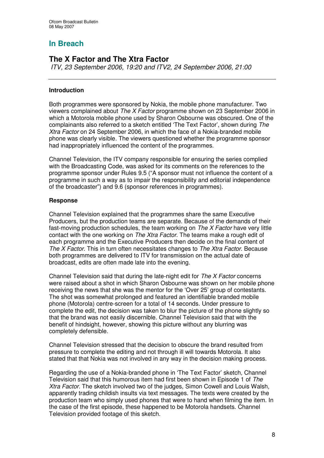# **In Breach**

# **The X Factor and The Xtra Factor**

*ITV, 23 September 2006, 19:20 and ITV2, 24 September 2006, 21:00*

#### **Introduction**

Both programmes were sponsored by Nokia, the mobile phone manufacturer. Two viewers complained about *The X Factor* programme shown on 23 September 2006 in which a Motorola mobile phone used by Sharon Osbourne was obscured. One of the complainants also referred to a sketch entitled 'The Text Factor', shown during *The Xtra Factor* on 24 September 2006, in which the face of a Nokia-branded mobile phone was clearly visible. The viewers questioned whether the programme sponsor had inappropriately influenced the content of the programmes.

Channel Television, the ITV company responsible for ensuring the series complied with the Broadcasting Code, was asked for its comments on the references to the programme sponsor under Rules 9.5 ("A sponsor must not influence the content of a programme in such a way as to impair the responsibility and editorial independence of the broadcaster") and 9.6 (sponsor references in programmes).

#### **Response**

Channel Television explained that the programmes share the same Executive Producers, but the production teams are separate. Because of the demands of their fast-moving production schedules, the team working on *The X Factor* have very little contact with the one working on *The Xtra Factor*. The teams make a rough edit of each programme and the Executive Producers then decide on the final content of *The X Factor*. This in turn often necessitates changes to *The Xtra Factor*. Because both programmes are delivered to ITV for transmission on the actual date of broadcast, edits are often made late into the evening.

Channel Television said that during the late-night edit for *The X Factor* concerns were raised about a shot in which Sharon Osbourne was shown on her mobile phone receiving the news that she was the mentor for the 'Over 25' group of contestants. The shot was somewhat prolonged and featured an identifiable branded mobile phone (Motorola) centre-screen for a total of 14 seconds. Under pressure to complete the edit, the decision was taken to blur the picture of the phone slightly so that the brand was not easily discernible. Channel Television said that with the benefit of hindsight, however, showing this picture without any blurring was completely defensible.

Channel Television stressed that the decision to obscure the brand resulted from pressure to complete the editing and not through ill will towards Motorola. It also stated that that Nokia was not involved in any way in the decision making process.

Regarding the use of a Nokia-branded phone in 'The Text Factor' sketch*,* Channel Television said that this humorous item had first been shown in Episode 1 of *The Xtra Factor.* The sketch involved two of the judges, Simon Cowell and Louis Walsh, apparently trading childish insults via text messages. The texts were created by the production team who simply used phones that were to hand when filming the item. In the case of the first episode, these happened to be Motorola handsets. Channel Television provided footage of this sketch.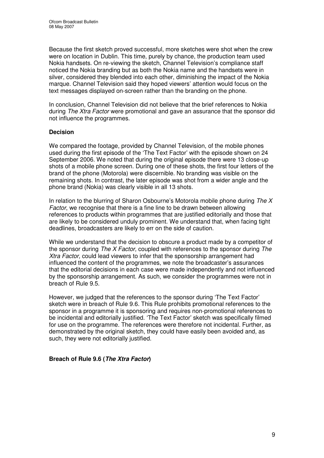Because the first sketch proved successful, more sketches were shot when the crew were on location in Dublin. This time, purely by chance, the production team used Nokia handsets. On re-viewing the sketch, Channel Television's compliance staff noticed the Nokia branding but as both the Nokia name and the handsets were in silver, considered they blended into each other, diminishing the impact of the Nokia marque. Channel Television said they hoped viewers' attention would focus on the text messages displayed on-screen rather than the branding on the phone.

In conclusion, Channel Television did not believe that the brief references to Nokia during *The Xtra Factor* were promotional and gave an assurance that the sponsor did not influence the programmes.

#### **Decision**

We compared the footage, provided by Channel Television, of the mobile phones used during the first episode of the 'The Text Factor' with the episode shown on 24 September 2006. We noted that during the original episode there were 13 close-up shots of a mobile phone screen. During one of these shots, the first four letters of the brand of the phone (Motorola) were discernible. No branding was visible on the remaining shots. In contrast, the later episode was shot from a wider angle and the phone brand (Nokia) was clearly visible in all 13 shots.

In relation to the blurring of Sharon Osbourne's Motorola mobile phone during *The X Factor*, we recognise that there is a fine line to be drawn between allowing references to products within programmes that are justified editorially and those that are likely to be considered unduly prominent. We understand that, when facing tight deadlines, broadcasters are likely to err on the side of caution.

While we understand that the decision to obscure a product made by a competitor of the sponsor during *The X Factor,* coupled with references to the sponsor during *The Xtra Factor,* could lead viewers to infer that the sponsorship arrangement had influenced the content of the programmes, we note the broadcaster's assurances that the editorial decisions in each case were made independently and not influenced by the sponsorship arrangement. As such, we consider the programmes were not in breach of Rule 9.5.

However, we judged that the references to the sponsor during 'The Text Factor' sketch were in breach of Rule 9.6. This Rule prohibits promotional references to the sponsor in a programme it is sponsoring and requires non-promotional references to be incidental and editorially justified. 'The Text Factor' sketch was specifically filmed for use on the programme. The references were therefore not incidental. Further, as demonstrated by the original sketch, they could have easily been avoided and, as such, they were not editorially justified.

#### **Breach of Rule 9.6 (***The Xtra Factor***)**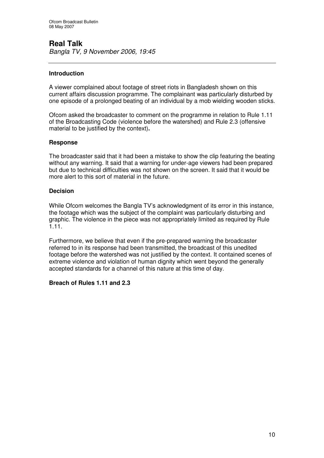# **Real Talk**

*Bangla TV, 9 November 2006, 19:45*

#### **Introduction**

A viewer complained about footage of street riots in Bangladesh shown on this current affairs discussion programme. The complainant was particularly disturbed by one episode of a prolonged beating of an individual by a mob wielding wooden sticks.

Ofcom asked the broadcaster to comment on the programme in relation to Rule 1.11 of the Broadcasting Code (violence before the watershed) and Rule 2.3 (offensive material to be justified by the context)**.**

#### **Response**

The broadcaster said that it had been a mistake to show the clip featuring the beating without any warning. It said that a warning for under-age viewers had been prepared but due to technical difficulties was not shown on the screen. It said that it would be more alert to this sort of material in the future.

#### **Decision**

While Ofcom welcomes the Bangla TV's acknowledgment of its error in this instance, the footage which was the subject of the complaint was particularly disturbing and graphic. The violence in the piece was not appropriately limited as required by Rule 1.11.

Furthermore, we believe that even if the pre-prepared warning the broadcaster referred to in its response had been transmitted, the broadcast of this unedited footage before the watershed was not justified by the context. It contained scenes of extreme violence and violation of human dignity which went beyond the generally accepted standards for a channel of this nature at this time of day.

#### **Breach of Rules 1.11 and 2.3**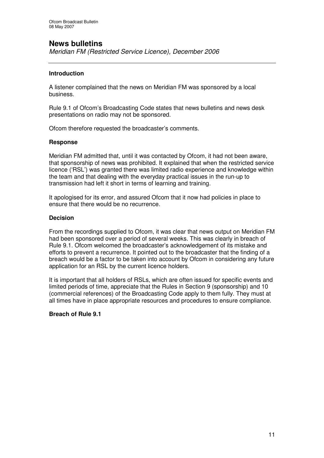# **News bulletins**

*Meridian FM (Restricted Service Licence), December 2006*

#### **Introduction**

A listener complained that the news on Meridian FM was sponsored by a local business.

Rule 9.1 of Ofcom's Broadcasting Code states that news bulletins and news desk presentations on radio may not be sponsored.

Ofcom therefore requested the broadcaster's comments.

#### **Response**

Meridian FM admitted that, until it was contacted by Ofcom, it had not been aware, that sponsorship of news was prohibited. It explained that when the restricted service licence ('RSL') was granted there was limited radio experience and knowledge within the team and that dealing with the everyday practical issues in the run-up to transmission had left it short in terms of learning and training.

It apologised for its error, and assured Ofcom that it now had policies in place to ensure that there would be no recurrence.

#### **Decision**

From the recordings supplied to Ofcom, it was clear that news output on Meridian FM had been sponsored over a period of several weeks. This was clearly in breach of Rule 9.1. Ofcom welcomed the broadcaster's acknowledgement of its mistake and efforts to prevent a recurrence. It pointed out to the broadcaster that the finding of a breach would be a factor to be taken into account by Ofcom in considering any future application for an RSL by the current licence holders.

It is important that all holders of RSLs, which are often issued for specific events and limited periods of time, appreciate that the Rules in Section 9 (sponsorship) and 10 (commercial references) of the Broadcasting Code apply to them fully. They must at all times have in place appropriate resources and procedures to ensure compliance.

#### **Breach of Rule 9.1**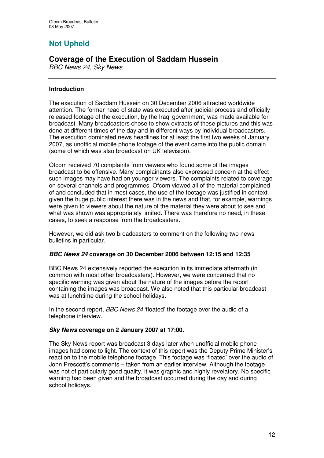# **Not Upheld**

# **Coverage of the Execution of Saddam Hussein**

*BBC News 24, Sky News*

#### **Introduction**

The execution of Saddam Hussein on 30 December 2006 attracted worldwide attention. The former head of state was executed after judicial process and officially released footage of the execution, by the Iraqi government, was made available for broadcast. Many broadcasters chose to show extracts of these pictures and this was done at different times of the day and in different ways by individual broadcasters. The execution dominated news headlines for at least the first two weeks of January 2007, as unofficial mobile phone footage of the event came into the public domain (some of which was also broadcast on UK television).

Ofcom received 70 complaints from viewers who found some of the images broadcast to be offensive. Many complainants also expressed concern at the effect such images may have had on younger viewers. The complaints related to coverage on several channels and programmes. Ofcom viewed all of the material complained of and concluded that in most cases, the use of the footage was justified in context given the huge public interest there was in the news and that, for example, warnings were given to viewers about the nature of the material they were about to see and what was shown was appropriately limited. There was therefore no need, in these cases, to seek a response from the broadcasters.

However, we did ask two broadcasters to comment on the following two news bulletins in particular.

#### *BBC News 24* **coverage on 30 December 2006 between 12:15 and 12:35**

BBC News 24 extensively reported the execution in its immediate aftermath (in common with most other broadcasters). However, we were concerned that no specific warning was given about the nature of the images before the report containing the images was broadcast. We also noted that this particular broadcast was at lunchtime during the school holidays.

In the second report, *BBC News 24* 'floated' the footage over the audio of a telephone interview.

#### *Sky News* **coverage on 2 January 2007 at 17:00.**

The Sky News report was broadcast 3 days later when unofficial mobile phone images had come to light. The context of this report was the Deputy Prime Minister's reaction to the mobile telephone footage. This footage was 'floated' over the audio of John Prescott's comments – taken from an earlier interview. Although the footage was not of particularly good quality, it was graphic and highly revelatory. No specific warning had been given and the broadcast occurred during the day and during school holidays.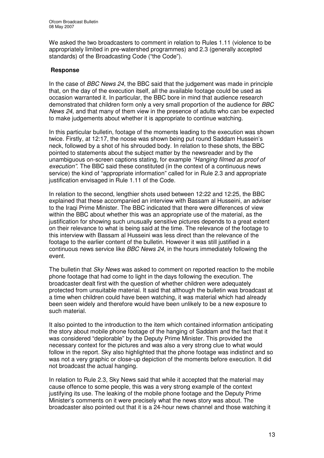We asked the two broadcasters to comment in relation to Rules 1.11 (violence to be appropriately limited in pre-watershed programmes) and 2.3 (generally accepted standards) of the Broadcasting Code ("the Code").

#### **Response**

In the case of *BBC News 24*, the BBC said that the judgement was made in principle that, on the day of the execution itself, all the available footage could be used as occasion warranted it. In particular, the BBC bore in mind that audience research demonstrated that children form only a very small proportion of the audience for *BBC News 24*, and that many of them view in the presence of adults who can be expected to make judgements about whether it is appropriate to continue watching.

In this particular bulletin, footage of the moments leading to the execution was shown twice. Firstly, at 12:17, the noose was shown being put round Saddam Hussein's neck, followed by a shot of his shrouded body. In relation to these shots, the BBC pointed to statements about the subject matter by the newsreader and by the unambiguous on-screen captions stating, for example *"Hanging filmed as proof of execution"*. The BBC said these constituted (in the context of a continuous news service) the kind of "appropriate information" called for in Rule 2.3 and appropriate justification envisaged in Rule 1.11 of the Code.

In relation to the second, lengthier shots used between 12:22 and 12:25, the BBC explained that these accompanied an interview with Bassam al Husseini, an adviser to the Iraqi Prime Minister. The BBC indicated that there were differences of view within the BBC about whether this was an appropriate use of the material, as the justification for showing such unusually sensitive pictures depends to a great extent on their relevance to what is being said at the time. The relevance of the footage to this interview with Bassam al Husseini was less direct than the relevance of the footage to the earlier content of the bulletin. However it was still justified in a continuous news service like *BBC News 24*, in the hours immediately following the event.

The bulletin that *Sky News* was asked to comment on reported reaction to the mobile phone footage that had come to light in the days following the execution. The broadcaster dealt first with the question of whether children were adequately protected from unsuitable material. It said that although the bulletin was broadcast at a time when children could have been watching, it was material which had already been seen widely and therefore would have been unlikely to be a new exposure to such material.

It also pointed to the introduction to the item which contained information anticipating the story about mobile phone footage of the hanging of Saddam and the fact that it was considered "deplorable" by the Deputy Prime Minister. This provided the necessary context for the pictures and was also a very strong clue to what would follow in the report. Sky also highlighted that the phone footage was indistinct and so was not a very graphic or close-up depiction of the moments before execution. It did not broadcast the actual hanging.

In relation to Rule 2.3, Sky News said that while it accepted that the material may cause offence to some people, this was a very strong example of the context justifying its use. The leaking of the mobile phone footage and the Deputy Prime Minister's comments on it were precisely what the news story was about. The broadcaster also pointed out that it is a 24-hour news channel and those watching it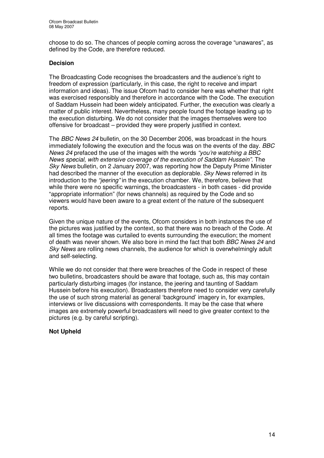choose to do so. The chances of people coming across the coverage "unawares", as defined by the Code, are therefore reduced.

#### **Decision**

The Broadcasting Code recognises the broadcasters and the audience's right to freedom of expression (particularly, in this case, the right to receive and impart information and ideas). The issue Ofcom had to consider here was whether that right was exercised responsibly and therefore in accordance with the Code. The execution of Saddam Hussein had been widely anticipated. Further, the execution was clearly a matter of public interest. Nevertheless, many people found the footage leading up to the execution disturbing. We do not consider that the images themselves were too offensive for broadcast – provided they were properly justified in context.

The *BBC News 24* bulletin, on the 30 December 2006, was broadcast in the hours immediately following the execution and the focus was on the events of the day. *BBC News 24* prefaced the use of the images with the words *"you're watching a BBC News special, with extensive coverage of the execution of Saddam Hussein".* The *Sky News* bulletin, on 2 January 2007, was reporting how the Deputy Prime Minister had described the manner of the execution as deplorable. *Sky News* referred in its introduction to the *"jeering"* in the execution chamber. We, therefore, believe that while there were no specific warnings, the broadcasters - in both cases - did provide "appropriate information" (for news channels) as required by the Code and so viewers would have been aware to a great extent of the nature of the subsequent reports.

Given the unique nature of the events, Ofcom considers in both instances the use of the pictures was justified by the context, so that there was no breach of the Code. At all times the footage was curtailed to events surrounding the execution; the moment of death was never shown. We also bore in mind the fact that both *BBC News 24* and *Sky News* are rolling news channels, the audience for which is overwhelmingly adult and self-selecting.

While we do not consider that there were breaches of the Code in respect of these two bulletins, broadcasters should be aware that footage, such as, this may contain particularly disturbing images (for instance, the jeering and taunting of Saddam Hussein before his execution). Broadcasters therefore need to consider very carefully the use of such strong material as general 'background' imagery in, for examples, interviews or live discussions with correspondents. It may be the case that where images are extremely powerful broadcasters will need to give greater context to the pictures (e.g. by careful scripting).

#### **Not Upheld**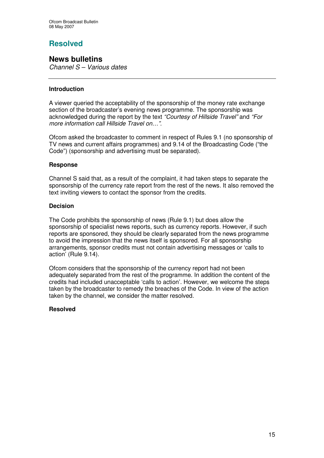# **Resolved**

## **News bulletins**

*Channel S – Various dates*

#### **Introduction**

A viewer queried the acceptability of the sponsorship of the money rate exchange section of the broadcaster's evening news programme. The sponsorship was acknowledged during the report by the text *"Courtesy of Hillside Travel"* and *"For more information call Hillside Travel on…".*

Ofcom asked the broadcaster to comment in respect of Rules 9.1 (no sponsorship of TV news and current affairs programmes) and 9.14 of the Broadcasting Code ("the Code") (sponsorship and advertising must be separated).

#### **Response**

Channel S said that, as a result of the complaint, it had taken steps to separate the sponsorship of the currency rate report from the rest of the news. It also removed the text inviting viewers to contact the sponsor from the credits.

#### **Decision**

The Code prohibits the sponsorship of news (Rule 9.1) but does allow the sponsorship of specialist news reports, such as currency reports. However, if such reports are sponsored, they should be clearly separated from the news programme to avoid the impression that the news itself is sponsored. For all sponsorship arrangements, sponsor credits must not contain advertising messages or 'calls to action' (Rule 9.14).

Ofcom considers that the sponsorship of the currency report had not been adequately separated from the rest of the programme. In addition the content of the credits had included unacceptable 'calls to action'. However, we welcome the steps taken by the broadcaster to remedy the breaches of the Code. In view of the action taken by the channel, we consider the matter resolved.

#### **Resolved**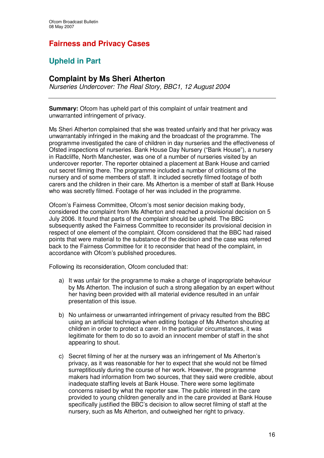# **Fairness and Privacy Cases**

# **Upheld in Part**

## **Complaint by Ms Sheri Atherton**

*Nurseries Undercover: The Real Story, BBC1, 12 August 2004*

**Summary:** Ofcom has upheld part of this complaint of unfair treatment and unwarranted infringement of privacy.

Ms Sheri Atherton complained that she was treated unfairly and that her privacy was unwarrantably infringed in the making and the broadcast of the programme. The programme investigated the care of children in day nurseries and the effectiveness of Ofsted inspections of nurseries. Bank House Day Nursery ("Bank House"), a nursery in Radcliffe, North Manchester, was one of a number of nurseries visited by an undercover reporter. The reporter obtained a placement at Bank House and carried out secret filming there. The programme included a number of criticisms of the nursery and of some members of staff. It included secretly filmed footage of both carers and the children in their care. Ms Atherton is a member of staff at Bank House who was secretly filmed. Footage of her was included in the programme.

Ofcom's Fairness Committee, Ofcom's most senior decision making body, considered the complaint from Ms Atherton and reached a provisional decision on 5 July 2006. It found that parts of the complaint should be upheld. The BBC subsequently asked the Fairness Committee to reconsider its provisional decision in respect of one element of the complaint. Ofcom considered that the BBC had raised points that were material to the substance of the decision and the case was referred back to the Fairness Committee for it to reconsider that head of the complaint, in accordance with Ofcom's published procedures.

Following its reconsideration, Ofcom concluded that:

- a) It was unfair for the programme to make a charge of inappropriate behaviour by Ms Atherton. The inclusion of such a strong allegation by an expert without her having been provided with all material evidence resulted in an unfair presentation of this issue.
- b) No unfairness or unwarranted infringement of privacy resulted from the BBC using an artificial technique when editing footage of Ms Atherton shouting at children in order to protect a carer. In the particular circumstances, it was legitimate for them to do so to avoid an innocent member of staff in the shot appearing to shout.
- c) Secret filming of her at the nursery was an infringement of Ms Atherton's privacy, as it was reasonable for her to expect that she would not be filmed surreptitiously during the course of her work. However, the programme makers had information from two sources, that they said were credible, about inadequate staffing levels at Bank House. There were some legitimate concerns raised by what the reporter saw. The public interest in the care provided to young children generally and in the care provided at Bank House specifically justified the BBC's decision to allow secret filming of staff at the nursery, such as Ms Atherton, and outweighed her right to privacy.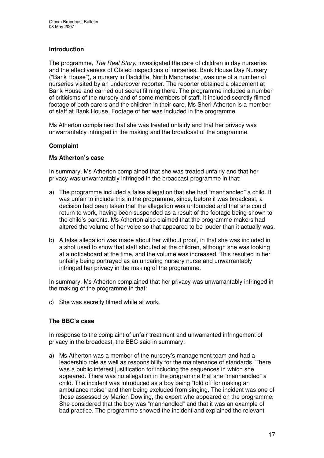#### **Introduction**

The programme, *The Real Story*, investigated the care of children in day nurseries and the effectiveness of Ofsted inspections of nurseries. Bank House Day Nursery ("Bank House"), a nursery in Radcliffe, North Manchester, was one of a number of nurseries visited by an undercover reporter. The reporter obtained a placement at Bank House and carried out secret filming there. The programme included a number of criticisms of the nursery and of some members of staff. It included secretly filmed footage of both carers and the children in their care. Ms Sheri Atherton is a member of staff at Bank House. Footage of her was included in the programme.

Ms Atherton complained that she was treated unfairly and that her privacy was unwarrantably infringed in the making and the broadcast of the programme.

#### **Complaint**

#### **Ms Atherton's case**

In summary, Ms Atherton complained that she was treated unfairly and that her privacy was unwarrantably infringed in the broadcast programme in that:

- a) The programme included a false allegation that she had "manhandled" a child. It was unfair to include this in the programme, since, before it was broadcast, a decision had been taken that the allegation was unfounded and that she could return to work, having been suspended as a result of the footage being shown to the child's parents. Ms Atherton also claimed that the programme makers had altered the volume of her voice so that appeared to be louder than it actually was.
- b) A false allegation was made about her without proof, in that she was included in a shot used to show that staff shouted at the children, although she was looking at a noticeboard at the time, and the volume was increased. This resulted in her unfairly being portrayed as an uncaring nursery nurse and unwarrantably infringed her privacy in the making of the programme.

In summary, Ms Atherton complained that her privacy was unwarrantably infringed in the making of the programme in that:

c) She was secretly filmed while at work.

#### **The BBC's case**

In response to the complaint of unfair treatment and unwarranted infringement of privacy in the broadcast, the BBC said in summary:

a) Ms Atherton was a member of the nursery's management team and had a leadership role as well as responsibility for the maintenance of standards. There was a public interest justification for including the sequences in which she appeared. There was no allegation in the programme that she "manhandled" a child. The incident was introduced as a boy being "told off for making an ambulance noise" and then being excluded from singing. The incident was one of those assessed by Marion Dowling, the expert who appeared on the programme. She considered that the boy was "manhandled" and that it was an example of bad practice. The programme showed the incident and explained the relevant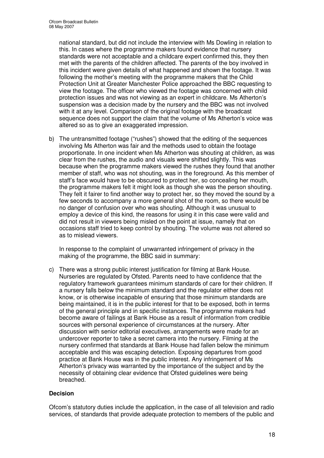national standard, but did not include the interview with Ms Dowling in relation to this. In cases where the programme makers found evidence that nursery standards were not acceptable and a childcare expert confirmed this, they then met with the parents of the children affected. The parents of the boy involved in this incident were given details of what happened and shown the footage. It was following the mother's meeting with the programme makers that the Child Protection Unit at Greater Manchester Police approached the BBC requesting to view the footage. The officer who viewed the footage was concerned with child protection issues and was not viewing as an expert in childcare. Ms Atherton's suspension was a decision made by the nursery and the BBC was not involved with it at any level. Comparison of the original footage with the broadcast sequence does not support the claim that the volume of Ms Atherton's voice was altered so as to give an exaggerated impression.

b) The untransmitted footage ("rushes") showed that the editing of the sequences involving Ms Atherton was fair and the methods used to obtain the footage proportionate. In one incident when Ms Atherton was shouting at children, as was clear from the rushes, the audio and visuals were shifted slightly. This was because when the programme makers viewed the rushes they found that another member of staff, who was not shouting, was in the foreground. As this member of staff's face would have to be obscured to protect her, so concealing her mouth, the programme makers felt it might look as though she was the person shouting. They felt it fairer to find another way to protect her, so they moved the sound by a few seconds to accompany a more general shot of the room, so there would be no danger of confusion over who was shouting. Although it was unusual to employ a device of this kind, the reasons for using it in this case were valid and did not result in viewers being misled on the point at issue, namely that on occasions staff tried to keep control by shouting. The volume was not altered so as to mislead viewers.

In response to the complaint of unwarranted infringement of privacy in the making of the programme, the BBC said in summary:

c) There was a strong public interest justification for filming at Bank House. Nurseries are regulated by Ofsted. Parents need to have confidence that the regulatory framework guarantees minimum standards of care for their children. If a nursery falls below the minimum standard and the regulator either does not know, or is otherwise incapable of ensuring that those minimum standards are being maintained, it is in the public interest for that to be exposed, both in terms of the general principle and in specific instances. The programme makers had become aware of failings at Bank House as a result of information from credible sources with personal experience of circumstances at the nursery. After discussion with senior editorial executives, arrangements were made for an undercover reporter to take a secret camera into the nursery. Filming at the nursery confirmed that standards at Bank House had fallen below the minimum acceptable and this was escaping detection. Exposing departures from good practice at Bank House was in the public interest. Any infringement of Ms Atherton's privacy was warranted by the importance of the subject and by the necessity of obtaining clear evidence that Ofsted guidelines were being breached.

#### **Decision**

Ofcom's statutory duties include the application, in the case of all television and radio services, of standards that provide adequate protection to members of the public and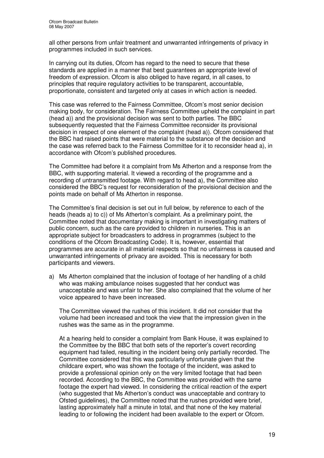all other persons from unfair treatment and unwarranted infringements of privacy in programmes included in such services.

In carrying out its duties, Ofcom has regard to the need to secure that these standards are applied in a manner that best guarantees an appropriate level of freedom of expression. Ofcom is also obliged to have regard, in all cases, to principles that require regulatory activities to be transparent, accountable, proportionate, consistent and targeted only at cases in which action is needed.

This case was referred to the Fairness Committee, Ofcom's most senior decision making body, for consideration. The Fairness Committee upheld the complaint in part (head a)) and the provisional decision was sent to both parties. The BBC subsequently requested that the Fairness Committee reconsider its provisional decision in respect of one element of the complaint (head a)). Ofcom considered that the BBC had raised points that were material to the substance of the decision and the case was referred back to the Fairness Committee for it to reconsider head a), in accordance with Ofcom's published procedures.

The Committee had before it a complaint from Ms Atherton and a response from the BBC, with supporting material. It viewed a recording of the programme and a recording of untransmitted footage. With regard to head a), the Committee also considered the BBC's request for reconsideration of the provisional decision and the points made on behalf of Ms Atherton in response.

The Committee's final decision is set out in full below, by reference to each of the heads (heads a) to c)) of Ms Atherton's complaint. As a preliminary point, the Committee noted that documentary making is important in investigating matters of public concern, such as the care provided to children in nurseries. This is an appropriate subject for broadcasters to address in programmes (subject to the conditions of the Ofcom Broadcasting Code). It is, however, essential that programmes are accurate in all material respects so that no unfairness is caused and unwarranted infringements of privacy are avoided. This is necessary for both participants and viewers.

a) Ms Atherton complained that the inclusion of footage of her handling of a child who was making ambulance noises suggested that her conduct was unacceptable and was unfair to her. She also complained that the volume of her voice appeared to have been increased.

The Committee viewed the rushes of this incident. It did not consider that the volume had been increased and took the view that the impression given in the rushes was the same as in the programme.

At a hearing held to consider a complaint from Bank House, it was explained to the Committee by the BBC that both sets of the reporter's covert recording equipment had failed, resulting in the incident being only partially recorded. The Committee considered that this was particularly unfortunate given that the childcare expert, who was shown the footage of the incident, was asked to provide a professional opinion only on the very limited footage that had been recorded. According to the BBC, the Committee was provided with the same footage the expert had viewed. In considering the critical reaction of the expert (who suggested that Ms Atherton's conduct was unacceptable and contrary to Ofsted guidelines), the Committee noted that the rushes provided were brief*,* lasting approximately half a minute in total, and that none of the key material leading to or following the incident had been available to the expert or Ofcom.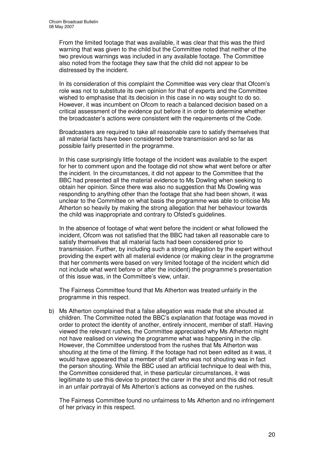From the limited footage that was available, it was clear that this was the third warning that was given to the child but the Committee noted that neither of the two previous warnings was included in any available footage. The Committee also noted from the footage they saw that the child did not appear to be distressed by the incident.

In its consideration of this complaint the Committee was very clear that Ofcom's role was not to substitute its own opinion for that of experts and the Committee wished to emphasise that its decision in this case in no way sought to do so. However, it was incumbent on Ofcom to reach a balanced decision based on a critical assessment of the evidence put before it in order to determine whether the broadcaster's actions were consistent with the requirements of the Code.

Broadcasters are required to take all reasonable care to satisfy themselves that all material facts have been considered before transmission and so far as possible fairly presented in the programme.

In this case surprisingly little footage of the incident was available to the expert for her to comment upon and the footage did not show what went before or after the incident. In the circumstances, it did not appear to the Committee that the BBC had presented all the material evidence to Ms Dowling when seeking to obtain her opinion. Since there was also no suggestion that Ms Dowling was responding to anything other than the footage that she had been shown, it was unclear to the Committee on what basis the programme was able to criticise Ms Atherton so heavily by making the strong allegation that her behaviour towards the child was inappropriate and contrary to Ofsted's guidelines.

In the absence of footage of what went before the incident or what followed the incident, Ofcom was not satisfied that the BBC had taken all reasonable care to satisfy themselves that all material facts had been considered prior to transmission. Further, by including such a strong allegation by the expert without providing the expert with all material evidence (or making clear in the programme that her comments were based on very limited footage of the incident which did not include what went before or after the incident) the programme's presentation of this issue was, in the Committee's view, unfair.

The Fairness Committee found that Ms Atherton was treated unfairly in the programme in this respect.

b) Ms Atherton complained that a false allegation was made that she shouted at children. The Committee noted the BBC's explanation that footage was moved in order to protect the identity of another, entirely innocent, member of staff. Having viewed the relevant rushes, the Committee appreciated why Ms Atherton might not have realised on viewing the programme what was happening in the clip. However, the Committee understood from the rushes that Ms Atherton was shouting at the time of the filming. If the footage had not been edited as it was, it would have appeared that a member of staff who was not shouting was in fact the person shouting. While the BBC used an artificial technique to deal with this, the Committee considered that, in these particular circumstances, it was legitimate to use this device to protect the carer in the shot and this did not result in an unfair portrayal of Ms Atherton's actions as conveyed on the rushes.

The Fairness Committee found no unfairness to Ms Atherton and no infringement of her privacy in this respect.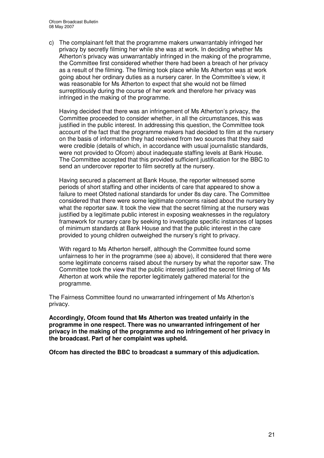c) The complainant felt that the programme makers unwarrantably infringed her privacy by secretly filming her while she was at work. In deciding whether Ms Atherton's privacy was unwarrantably infringed in the making of the programme, the Committee first considered whether there had been a breach of her privacy as a result of the filming. The filming took place while Ms Atherton was at work going about her ordinary duties as a nursery carer. In the Committee's view, it was reasonable for Ms Atherton to expect that she would not be filmed surreptitiously during the course of her work and therefore her privacy was infringed in the making of the programme.

Having decided that there was an infringement of Ms Atherton's privacy, the Committee proceeded to consider whether, in all the circumstances, this was justified in the public interest. In addressing this question, the Committee took account of the fact that the programme makers had decided to film at the nursery on the basis of information they had received from two sources that they said were credible (details of which, in accordance with usual journalistic standards, were not provided to Ofcom) about inadequate staffing levels at Bank House. The Committee accepted that this provided sufficient justification for the BBC to send an undercover reporter to film secretly at the nursery.

Having secured a placement at Bank House, the reporter witnessed some periods of short staffing and other incidents of care that appeared to show a failure to meet Ofsted national standards for under 8s day care. The Committee considered that there were some legitimate concerns raised about the nursery by what the reporter saw. It took the view that the secret filming at the nursery was justified by a legitimate public interest in exposing weaknesses in the regulatory framework for nursery care by seeking to investigate specific instances of lapses of minimum standards at Bank House and that the public interest in the care provided to young children outweighed the nursery's right to privacy.

With regard to Ms Atherton herself, although the Committee found some unfairness to her in the programme (see a) above), it considered that there were some legitimate concerns raised about the nursery by what the reporter saw. The Committee took the view that the public interest justified the secret filming of Ms Atherton at work while the reporter legitimately gathered material for the programme.

The Fairness Committee found no unwarranted infringement of Ms Atherton's privacy.

**Accordingly, Ofcom found that Ms Atherton was treated unfairly in the programme in one respect. There was no unwarranted infringement of her privacy in the making of the programme and no infringement of her privacy in the broadcast. Part of her complaint was upheld.**

**Ofcom has directed the BBC to broadcast a summary of this adjudication.**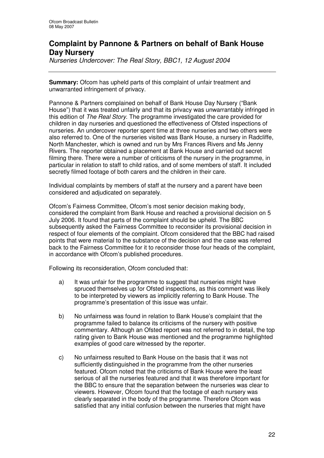## **Complaint by Pannone & Partners on behalf of Bank House Day Nursery**

*Nurseries Undercover: The Real Story, BBC1, 12 August 2004*

**Summary:** Ofcom has upheld parts of this complaint of unfair treatment and unwarranted infringement of privacy.

Pannone & Partners complained on behalf of Bank House Day Nursery ("Bank House") that it was treated unfairly and that its privacy was unwarrantably infringed in this edition of *The Real Story*. The programme investigated the care provided for children in day nurseries and questioned the effectiveness of Ofsted inspections of nurseries. An undercover reporter spent time at three nurseries and two others were also referred to. One of the nurseries visited was Bank House, a nursery in Radcliffe, North Manchester, which is owned and run by Mrs Frances Rivers and Ms Jenny Rivers. The reporter obtained a placement at Bank House and carried out secret filming there. There were a number of criticisms of the nursery in the programme, in particular in relation to staff to child ratios, and of some members of staff. It included secretly filmed footage of both carers and the children in their care.

Individual complaints by members of staff at the nursery and a parent have been considered and adjudicated on separately.

Ofcom's Fairness Committee, Ofcom's most senior decision making body, considered the complaint from Bank House and reached a provisional decision on 5 July 2006. It found that parts of the complaint should be upheld. The BBC subsequently asked the Fairness Committee to reconsider its provisional decision in respect of four elements of the complaint. Ofcom considered that the BBC had raised points that were material to the substance of the decision and the case was referred back to the Fairness Committee for it to reconsider those four heads of the complaint, in accordance with Ofcom's published procedures.

Following its reconsideration, Ofcom concluded that:

- a) It was unfair for the programme to suggest that nurseries might have spruced themselves up for Ofsted inspections, as this comment was likely to be interpreted by viewers as implicitly referring to Bank House. The programme's presentation of this issue was unfair.
- b) No unfairness was found in relation to Bank House's complaint that the programme failed to balance its criticisms of the nursery with positive commentary. Although an Ofsted report was not referred to in detail, the top rating given to Bank House was mentioned and the programme highlighted examples of good care witnessed by the reporter.
- c) No unfairness resulted to Bank House on the basis that it was not sufficiently distinguished in the programme from the other nurseries featured. Ofcom noted that the criticisms of Bank House were the least serious of all the nurseries featured and that it was therefore important for the BBC to ensure that the separation between the nurseries was clear to viewers. However, Ofcom found that the footage of each nursery was clearly separated in the body of the programme. Therefore Ofcom was satisfied that any initial confusion between the nurseries that might have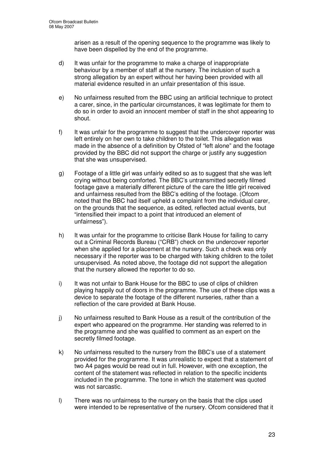arisen as a result of the opening sequence to the programme was likely to have been dispelled by the end of the programme.

- d) It was unfair for the programme to make a charge of inappropriate behaviour by a member of staff at the nursery. The inclusion of such a strong allegation by an expert without her having been provided with all material evidence resulted in an unfair presentation of this issue.
- e) No unfairness resulted from the BBC using an artificial technique to protect a carer, since, in the particular circumstances, it was legitimate for them to do so in order to avoid an innocent member of staff in the shot appearing to shout.
- f) It was unfair for the programme to suggest that the undercover reporter was left entirely on her own to take children to the toilet. This allegation was made in the absence of a definition by Ofsted of "left alone" and the footage provided by the BBC did not support the charge or justify any suggestion that she was unsupervised.
- g) Footage of a little girl was unfairly edited so as to suggest that she was left crying without being comforted. The BBC's untransmitted secretly filmed footage gave a materially different picture of the care the little girl received and unfairness resulted from the BBC's editing of the footage. (Ofcom noted that the BBC had itself upheld a complaint from the individual carer, on the grounds that the sequence, as edited, reflected actual events, but "intensified their impact to a point that introduced an element of unfairness").
- h) It was unfair for the programme to criticise Bank House for failing to carry out a Criminal Records Bureau ("CRB") check on the undercover reporter when she applied for a placement at the nursery. Such a check was only necessary if the reporter was to be charged with taking children to the toilet unsupervised. As noted above, the footage did not support the allegation that the nursery allowed the reporter to do so.
- i) It was not unfair to Bank House for the BBC to use of clips of children playing happily out of doors in the programme. The use of these clips was a device to separate the footage of the different nurseries, rather than a reflection of the care provided at Bank House.
- j) No unfairness resulted to Bank House as a result of the contribution of the expert who appeared on the programme. Her standing was referred to in the programme and she was qualified to comment as an expert on the secretly filmed footage.
- k) No unfairness resulted to the nursery from the BBC's use of a statement provided for the programme. It was unrealistic to expect that a statement of two A4 pages would be read out in full. However, with one exception, the content of the statement was reflected in relation to the specific incidents included in the programme. The tone in which the statement was quoted was not sarcastic.
- l) There was no unfairness to the nursery on the basis that the clips used were intended to be representative of the nursery. Ofcom considered that it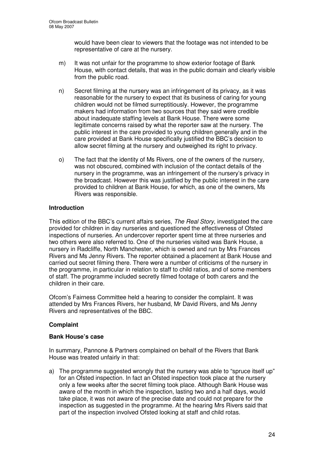would have been clear to viewers that the footage was not intended to be representative of care at the nursery.

- m) It was not unfair for the programme to show exterior footage of Bank House, with contact details, that was in the public domain and clearly visible from the public road.
- n) Secret filming at the nursery was an infringement of its privacy, as it was reasonable for the nursery to expect that its business of caring for young children would not be filmed surreptitiously. However, the programme makers had information from two sources that they said were credible about inadequate staffing levels at Bank House. There were some legitimate concerns raised by what the reporter saw at the nursery. The public interest in the care provided to young children generally and in the care provided at Bank House specifically justified the BBC's decision to allow secret filming at the nursery and outweighed its right to privacy.
- o) The fact that the identity of Ms Rivers, one of the owners of the nursery, was not obscured, combined with inclusion of the contact details of the nursery in the programme, was an infringement of the nursery's privacy in the broadcast. However this was justified by the public interest in the care provided to children at Bank House, for which, as one of the owners, Ms Rivers was responsible.

#### **Introduction**

This edition of the BBC's current affairs series, *The Real Story*, investigated the care provided for children in day nurseries and questioned the effectiveness of Ofsted inspections of nurseries. An undercover reporter spent time at three nurseries and two others were also referred to. One of the nurseries visited was Bank House, a nursery in Radcliffe, North Manchester, which is owned and run by Mrs Frances Rivers and Ms Jenny Rivers. The reporter obtained a placement at Bank House and carried out secret filming there. There were a number of criticisms of the nursery in the programme, in particular in relation to staff to child ratios, and of some members of staff. The programme included secretly filmed footage of both carers and the children in their care.

Ofcom's Fairness Committee held a hearing to consider the complaint. It was attended by Mrs Frances Rivers, her husband, Mr David Rivers, and Ms Jenny Rivers and representatives of the BBC.

#### **Complaint**

#### **Bank House's case**

In summary, Pannone & Partners complained on behalf of the Rivers that Bank House was treated unfairly in that:

a) The programme suggested wrongly that the nursery was able to "spruce itself up" for an Ofsted inspection. In fact an Ofsted inspection took place at the nursery only a few weeks after the secret filming took place. Although Bank House was aware of the month in which the inspection, lasting two and a half days, would take place, it was not aware of the precise date and could not prepare for the inspection as suggested in the programme. At the hearing Mrs Rivers said that part of the inspection involved Ofsted looking at staff and child rotas.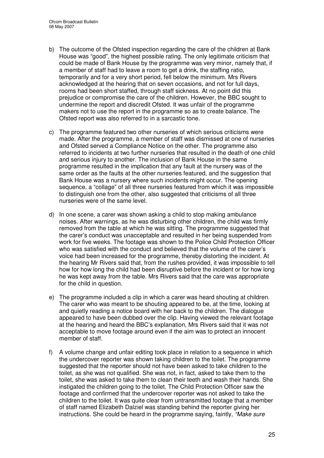- b) The outcome of the Ofsted inspection regarding the care of the children at Bank House was "good", the highest possible rating. The only legitimate criticism that could be made of Bank House by the programme was very minor, namely that, if a member of staff had to leave a room to get a drink, the staffing ratio, temporarily and for a very short period, fell below the minimum. Mrs Rivers acknowledged at the hearing that on seven occasions, and not for full days, rooms had been short staffed, through staff sickness. At no point did this prejudice or compromise the care of the children. However, the BBC sought to undermine the report and discredit Ofsted. It was unfair of the programme makers not to use the report in the programme so as to create balance. The Ofsted report was also referred to in a sarcastic tone.
- c) The programme featured two other nurseries of which serious criticisms were made. After the programme, a member of staff was dismissed at one of nurseries and Ofsted served a Compliance Notice on the other. The programme also referred to incidents at two further nurseries that resulted in the death of one child and serious injury to another. The inclusion of Bank House in the same programme resulted in the implication that any fault at the nursery was of the same order as the faults at the other nurseries featured, and the suggestion that Bank House was a nursery where such incidents might occur. The opening sequence, a "collage" of all three nurseries featured from which it was impossible to distinguish one from the other, also suggested that criticisms of all three nurseries were of the same level.
- d) In one scene, a carer was shown asking a child to stop making ambulance noises. After warnings, as he was disturbing other children, the child was firmly removed from the table at which he was sitting. The programme suggested that the carer's conduct was unacceptable and resulted in her being suspended from work for five weeks. The footage was shown to the Police Child Protection Officer who was satisfied with the conduct and believed that the volume of the carer's voice had been increased for the programme, thereby distorting the incident. At the hearing Mr Rivers said that, from the rushes provided, it was impossible to tell how for how long the child had been disruptive before the incident or for how long he was kept away from the table. Mrs Rivers said that the care was appropriate for the child in question.
- e) The programme included a clip in which a carer was heard shouting at children. The carer who was meant to be shouting appeared to be, at the time, looking at and quietly reading a notice board with her back to the children. The dialogue appeared to have been dubbed over the clip. Having viewed the relevant footage at the hearing and heard the BBC's explanation, Mrs Rivers said that it was not acceptable to move footage around even if the aim was to protect an innocent member of staff.
- f) A volume change and unfair editing took place in relation to a sequence in which the undercover reporter was shown taking children to the toilet. The programme suggested that the reporter should not have been asked to take children to the toilet, as she was not qualified. She was not, in fact, asked to take them to the toilet, she was asked to take them to clean their teeth and wash their hands. She instigated the children going to the toilet. The Child Protection Officer saw the footage and confirmed that the undercover reporter was not asked to take the children to the toilet. It was quite clear from untransmitted footage that a member of staff named Elizabeth Dalziel was standing behind the reporter giving her instructions. She could be heard in the programme saying, faintly, *"Make sure*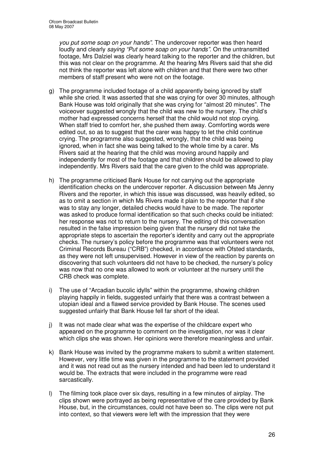*you put some soap on your hands"*. The undercover reporter was then heard loudly and clearly *saying "Put some soap on your hands"*. On the untransmitted footage, Mrs Dalziel was clearly heard talking to the reporter and the children, but this was not clear on the programme. At the hearing Mrs Rivers said that she did not think the reporter was left alone with children and that there were two other members of staff present who were not on the footage.

- g) The programme included footage of a child apparently being ignored by staff while she cried. It was asserted that she was crying for over 30 minutes, although Bank House was told originally that she was crying for "almost 20 minutes". The voiceover suggested wrongly that the child was new to the nursery. The child's mother had expressed concerns herself that the child would not stop crying. When staff tried to comfort her, she pushed them away. Comforting words were edited out, so as to suggest that the carer was happy to let the child continue crying. The programme also suggested, wrongly, that the child was being ignored, when in fact she was being talked to the whole time by a carer. Ms Rivers said at the hearing that the child was moving around happily and independently for most of the footage and that children should be allowed to play independently. Mrs Rivers said that the care given to the child was appropriate.
- h) The programme criticised Bank House for not carrying out the appropriate identification checks on the undercover reporter. A discussion between Ms Jenny Rivers and the reporter, in which this issue was discussed, was heavily edited, so as to omit a section in which Ms Rivers made it plain to the reporter that if she was to stay any longer, detailed checks would have to be made. The reporter was asked to produce formal identification so that such checks could be initiated: her response was not to return to the nursery. The editing of this conversation resulted in the false impression being given that the nursery did not take the appropriate steps to ascertain the reporter's identity and carry out the appropriate checks. The nursery's policy before the programme was that volunteers were not Criminal Records Bureau ("CRB") checked, in accordance with Ofsted standards, as they were not left unsupervised. However in view of the reaction by parents on discovering that such volunteers did not have to be checked, the nursery's policy was now that no one was allowed to work or volunteer at the nursery until the CRB check was complete.
- i) The use of "Arcadian bucolic idylls" within the programme, showing children playing happily in fields, suggested unfairly that there was a contrast between a utopian ideal and a flawed service provided by Bank House. The scenes used suggested unfairly that Bank House fell far short of the ideal.
- j) It was not made clear what was the expertise of the childcare expert who appeared on the programme to comment on the investigation, nor was it clear which clips she was shown. Her opinions were therefore meaningless and unfair.
- k) Bank House was invited by the programme makers to submit a written statement. However, very little time was given in the programme to the statement provided and it was not read out as the nursery intended and had been led to understand it would be. The extracts that were included in the programme were read sarcastically.
- l) The filming took place over six days, resulting in a few minutes of airplay. The clips shown were portrayed as being representative of the care provided by Bank House, but, in the circumstances, could not have been so. The clips were not put into context, so that viewers were left with the impression that they were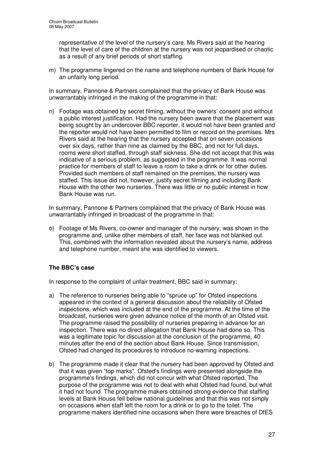representative of the level of the nursery's care. Ms Rivers said at the hearing that the level of care of the children at the nursery was not jeopardised or chaotic as a result of any brief periods of short staffing.

m) The programme lingered on the name and telephone numbers of Bank House for an unfairly long period.

In summary, Pannone & Partners complained that the privacy of Bank House was unwarrantably infringed in the making of the programme in that:

n) Footage was obtained by secret filming, without the owners' consent and without a public interest justification. Had the nursery been aware that the placement was being sought by an undercover BBC reporter, it would not have been granted and the reporter would not have been permitted to film or record on the premises. Mrs Rivers said at the hearing that the nursery accepted that on seven occasions over six days, rather than nine as claimed by the BBC, and not for full days, rooms were short staffed, through staff sickness. She did not accept that this was indicative of a serious problem, as suggested in the programme. It was normal practice for members of staff to leave a room to take a drink or for other duties. Provided such members of staff remained on the premises, the nursery was staffed. This issue did not, however, justify secret filming and including Bank House with the other two nurseries. There was little or no public interest in how Bank House was run.

In summary, Pannone & Partners complained that the privacy of Bank House was unwarrantably infringed in broadcast of the programme in that:

o) Footage of Ms Rivers, co-owner and manager of the nursery, was shown in the programme and, unlike other members of staff, her face was not blanked out. This, combined with the information revealed about the nursery's name, address and telephone number, meant she was identified to viewers.

#### **The BBC's case**

In response to the complaint of unfair treatment, BBC said in summary:

- a) The reference to nurseries being able to "spruce up" for Ofsted inspections appeared in the context of a general discussion about the reliability of Ofsted inspections, which was included at the end of the programme. At the time of the broadcast, nurseries were given advance notice of the month of an Ofsted visit. The programme raised the possibility of nurseries preparing in advance for an inspection. There was no direct allegation that Bank House had done so. This was a legitimate topic for discussion at the conclusion of the programme, 40 minutes after the end of the section about Bank House. Since transmission, Ofsted had changed its procedures to introduce no-warning inspections.
- b) The programme made it clear that the nursery had been approved by Ofsted and that it was given "top marks". Ofsted's findings were presented alongside the programme's findings, which did not concur with what Ofsted reported. The purpose of the programme was not to deal with what Ofsted had found, but what it had not found. The programme makers obtained strong evidence that staffing levels at Bank House fell below national guidelines and that this was not simply on occasions when staff left the room for a drink or to go to the toilet. The programme makers identified nine occasions when there were breaches of DfES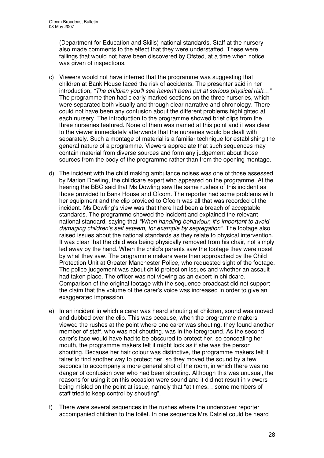(Department for Education and Skills) national standards. Staff at the nursery also made comments to the effect that they were understaffed. These were failings that would not have been discovered by Ofsted, at a time when notice was given of inspections.

- c) Viewers would not have inferred that the programme was suggesting that children at Bank House faced the risk of accidents. The presenter said in her introduction, *"The children you'll see haven't been put at serious physical risk…"* The programme then had clearly marked sections on the three nurseries, which were separated both visually and through clear narrative and chronology. There could not have been any confusion about the different problems highlighted at each nursery. The introduction to the programme showed brief clips from the three nurseries featured. None of them was named at this point and it was clear to the viewer immediately afterwards that the nurseries would be dealt with separately. Such a montage of material is a familiar technique for establishing the general nature of a programme. Viewers appreciate that such sequences may contain material from diverse sources and form any judgement about those sources from the body of the programme rather than from the opening montage.
- d) The incident with the child making ambulance noises was one of those assessed by Marion Dowling, the childcare expert who appeared on the programme. At the hearing the BBC said that Ms Dowling saw the same rushes of this incident as those provided to Bank House and Ofcom. The reporter had some problems with her equipment and the clip provided to Ofcom was all that was recorded of the incident. Ms Dowling's view was that there had been a breach of acceptable standards. The programme showed the incident and explained the relevant national standard, saying that *"When handling behaviour, it's important to avoid damaging children's self esteem, for example by segregation"*. The footage also raised issues about the national standards as they relate to physical intervention. It was clear that the child was being physically removed from his chair, not simply led away by the hand. When the child's parents saw the footage they were upset by what they saw. The programme makers were then approached by the Child Protection Unit at Greater Manchester Police, who requested sight of the footage. The police judgement was about child protection issues and whether an assault had taken place. The officer was not viewing as an expert in childcare. Comparison of the original footage with the sequence broadcast did not support the claim that the volume of the carer's voice was increased in order to give an exaggerated impression.
- e) In an incident in which a carer was heard shouting at children, sound was moved and dubbed over the clip. This was because, when the programme makers viewed the rushes at the point where one carer was shouting, they found another member of staff, who was not shouting, was in the foreground. As the second carer's face would have had to be obscured to protect her, so concealing her mouth, the programme makers felt it might look as if she was the person shouting. Because her hair colour was distinctive, the programme makers felt it fairer to find another way to protect her, so they moved the sound by a few seconds to accompany a more general shot of the room, in which there was no danger of confusion over who had been shouting. Although this was unusual, the reasons for using it on this occasion were sound and it did not result in viewers being misled on the point at issue, namely that "at times… some members of staff tried to keep control by shouting".
- f) There were several sequences in the rushes where the undercover reporter accompanied children to the toilet. In one sequence Mrs Dalziel could be heard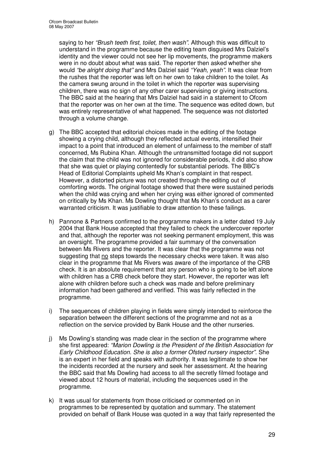saying to her *"Brush teeth first, toilet, then wash"*. Although this was difficult to understand in the programme because the editing team disguised Mrs Dalziel's identity and the viewer could not see her lip movements, the programme makers were in no doubt about what was said. The reporter then asked whether she would *"be alright doing that"* and Mrs Dalziel said *"Yeah, yeah".* It was clear from the rushes that the reporter was left on her own to take children to the toilet. As the camera swung around in the toilet in which the reporter was supervising children, there was no sign of any other carer supervising or giving instructions. The BBC said at the hearing that Mrs Dalziel had said in a statement to Ofcom that the reporter was on her own at the time. The sequence was edited down, but was entirely representative of what happened. The sequence was not distorted through a volume change.

- g) The BBC accepted that editorial choices made in the editing of the footage showing a crying child, although they reflected actual events, intensified their impact to a point that introduced an element of unfairness to the member of staff concerned, Ms Rubina Khan. Although the untransmitted footage did not support the claim that the child was not ignored for considerable periods, it did also show that she was quiet or playing contentedly for substantial periods. The BBC's Head of Editorial Complaints upheld Ms Khan's complaint in that respect. However, a distorted picture was not created through the editing out of comforting words. The original footage showed that there were sustained periods when the child was crying and when her crying was either ignored of commented on critically by Ms Khan. Ms Dowling thought that Ms Khan's conduct as a carer warranted criticism. It was justifiable to draw attention to these failings.
- h) Pannone & Partners confirmed to the programme makers in a letter dated 19 July 2004 that Bank House accepted that they failed to check the undercover reporter and that, although the reporter was not seeking permanent employment, this was an oversight. The programme provided a fair summary of the conversation between Ms Rivers and the reporter. It was clear that the programme was not suggesting that no steps towards the necessary checks were taken. It was also clear in the programme that Ms Rivers was aware of the importance of the CRB check. It is an absolute requirement that any person who is going to be left alone with children has a CRB check before they start. However, the reporter was left alone with children before such a check was made and before preliminary information had been gathered and verified. This was fairly reflected in the programme.
- i) The sequences of children playing in fields were simply intended to reinforce the separation between the different sections of the programme and not as a reflection on the service provided by Bank House and the other nurseries.
- j) Ms Dowling's standing was made clear in the section of the programme where she first appeared: *"Marion Dowling is the President of the British Association for Early Childhood Education. She is also a former Ofsted nursery inspector"*. She is an expert in her field and speaks with authority. It was legitimate to show her the incidents recorded at the nursery and seek her assessment. At the hearing the BBC said that Ms Dowling had access to all the secretly filmed footage and viewed about 12 hours of material, including the sequences used in the programme.
- k) It was usual for statements from those criticised or commented on in programmes to be represented by quotation and summary. The statement provided on behalf of Bank House was quoted in a way that fairly represented the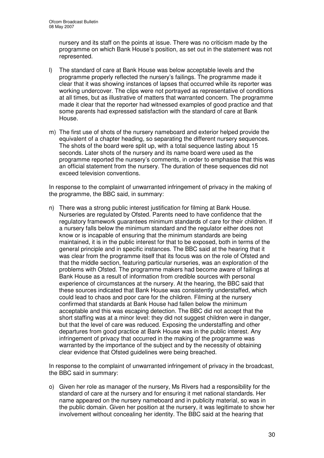nursery and its staff on the points at issue. There was no criticism made by the programme on which Bank House's position, as set out in the statement was not represented.

- l) The standard of care at Bank House was below acceptable levels and the programme properly reflected the nursery's failings. The programme made it clear that it was showing instances of lapses that occurred while its reporter was working undercover. The clips were not portrayed as representative of conditions at all times, but as illustrative of matters that warranted concern. The programme made it clear that the reporter had witnessed examples of good practice and that some parents had expressed satisfaction with the standard of care at Bank House.
- m) The first use of shots of the nursery nameboard and exterior helped provide the equivalent of a chapter heading, so separating the different nursery sequences. The shots of the board were split up, with a total sequence lasting about 15 seconds. Later shots of the nursery and its name board were used as the programme reported the nursery's comments, in order to emphasise that this was an official statement from the nursery. The duration of these sequences did not exceed television conventions.

In response to the complaint of unwarranted infringement of privacy in the making of the programme, the BBC said, in summary:

n) There was a strong public interest justification for filming at Bank House. Nurseries are regulated by Ofsted. Parents need to have confidence that the regulatory framework guarantees minimum standards of care for their children. If a nursery falls below the minimum standard and the regulator either does not know or is incapable of ensuring that the minimum standards are being maintained, it is in the public interest for that to be exposed, both in terms of the general principle and in specific instances. The BBC said at the hearing that it was clear from the programme itself that its focus was on the role of Ofsted and that the middle section, featuring particular nurseries, was an exploration of the problems with Ofsted. The programme makers had become aware of failings at Bank House as a result of information from credible sources with personal experience of circumstances at the nursery. At the hearing, the BBC said that these sources indicated that Bank House was consistently understaffed, which could lead to chaos and poor care for the children. Filming at the nursery confirmed that standards at Bank House had fallen below the minimum acceptable and this was escaping detection. The BBC did not accept that the short staffing was at a minor level: they did not suggest children were in danger, but that the level of care was reduced. Exposing the understaffing and other departures from good practice at Bank House was in the public interest. Any infringement of privacy that occurred in the making of the programme was warranted by the importance of the subject and by the necessity of obtaining clear evidence that Ofsted guidelines were being breached.

In response to the complaint of unwarranted infringement of privacy in the broadcast, the BBC said in summary:

o) Given her role as manager of the nursery, Ms Rivers had a responsibility for the standard of care at the nursery and for ensuring it met national standards. Her name appeared on the nursery nameboard and in publicity material, so was in the public domain. Given her position at the nursery, it was legitimate to show her involvement without concealing her identity. The BBC said at the hearing that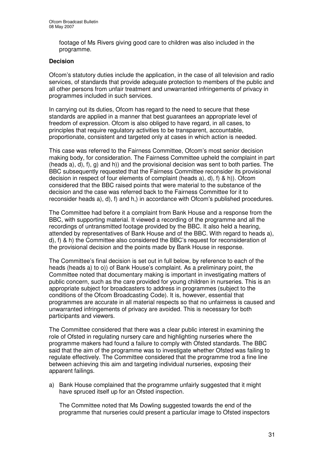footage of Ms Rivers giving good care to children was also included in the programme.

#### **Decision**

Ofcom's statutory duties include the application, in the case of all television and radio services, of standards that provide adequate protection to members of the public and all other persons from unfair treatment and unwarranted infringements of privacy in programmes included in such services.

In carrying out its duties, Ofcom has regard to the need to secure that these standards are applied in a manner that best guarantees an appropriate level of freedom of expression. Ofcom is also obliged to have regard, in all cases, to principles that require regulatory activities to be transparent, accountable, proportionate, consistent and targeted only at cases in which action is needed.

This case was referred to the Fairness Committee, Ofcom's most senior decision making body, for consideration. The Fairness Committee upheld the complaint in part (heads a), d), f), g) and h)) and the provisional decision was sent to both parties. The BBC subsequently requested that the Fairness Committee reconsider its provisional decision in respect of four elements of complaint (heads a), d), f) & h)). Ofcom considered that the BBC raised points that were material to the substance of the decision and the case was referred back to the Fairness Committee for it to reconsider heads a), d), f) and h,) in accordance with Ofcom's published procedures.

The Committee had before it a complaint from Bank House and a response from the BBC, with supporting material. It viewed a recording of the programme and all the recordings of untransmitted footage provided by the BBC. It also held a hearing, attended by representatives of Bank House and of the BBC. With regard to heads a), d), f) & h) the Committee also considered the BBC's request for reconsideration of the provisional decision and the points made by Bank House in response.

The Committee's final decision is set out in full below, by reference to each of the heads (heads a) to o)) of Bank House's complaint. As a preliminary point, the Committee noted that documentary making is important in investigating matters of public concern, such as the care provided for young children in nurseries. This is an appropriate subject for broadcasters to address in programmes (subject to the conditions of the Ofcom Broadcasting Code). It is, however, essential that programmes are accurate in all material respects so that no unfairness is caused and unwarranted infringements of privacy are avoided. This is necessary for both participants and viewers.

The Committee considered that there was a clear public interest in examining the role of Ofsted in regulating nursery care and highlighting nurseries where the programme makers had found a failure to comply with Ofsted standards. The BBC said that the aim of the programme was to investigate whether Ofsted was failing to regulate effectively. The Committee considered that the programme trod a fine line between achieving this aim and targeting individual nurseries, exposing their apparent failings.

a) Bank House complained that the programme unfairly suggested that it might have spruced itself up for an Ofsted inspection.

The Committee noted that Ms Dowling suggested towards the end of the programme that nurseries could present a particular image to Ofsted inspectors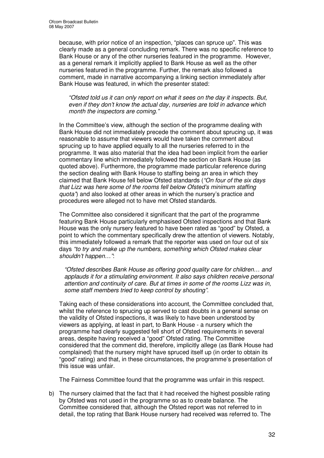because, with prior notice of an inspection, "places can spruce up". This was clearly made as a general concluding remark. There was no specific reference to Bank House or any of the other nurseries featured in the programme. However, as a general remark it implicitly applied to Bank House as well as the other nurseries featured in the programme. Further, the remark also followed a comment, made in narrative accompanying a linking section immediately after Bank House was featured, in which the presenter stated:

*"Ofsted told us it can only report on what it sees on the day it inspects. But, even if they don't know the actual day, nurseries are told in advance which month the inspectors are coming."*

In the Committee's view, although the section of the programme dealing with Bank House did not immediately precede the comment about sprucing up, it was reasonable to assume that viewers would have taken the comment about sprucing up to have applied equally to all the nurseries referred to in the programme. It was also material that the idea had been implicit from the earlier commentary line which immediately followed the section on Bank House (as quoted above). Furthermore, the programme made particular reference during the section dealing with Bank House to staffing being an area in which they claimed that Bank House fell below Ofsted standards (*"On four of the six days that Lizz was here some of the rooms fell below Ofsted's minimum staffing quota"*) and also looked at other areas in which the nursery's practice and procedures were alleged not to have met Ofsted standards.

The Committee also considered it significant that the part of the programme featuring Bank House particularly emphasised Ofsted inspections and that Bank House was the only nursery featured to have been rated as "good" by Ofsted, a point to which the commentary specifically drew the attention of viewers. Notably, this immediately followed a remark that the reporter was used on four out of six days *"to try and make up the numbers, something which Ofsted makes clear shouldn't happen…"*:

*"Ofsted describes Bank House as offering good quality care for children… and applauds it for a stimulating environment. It also says children receive personal attention and continuity of care. But at times in some of the rooms Lizz was in, some staff members tried to keep control by shouting".*

Taking each of these considerations into account, the Committee concluded that, whilst the reference to sprucing up served to cast doubts in a general sense on the validity of Ofsted inspections, it was likely to have been understood by viewers as applying, at least in part, to Bank House - a nursery which the programme had clearly suggested fell short of Ofsted requirements in several areas, despite having received a "good" Ofsted rating. The Committee considered that the comment did, therefore, implicitly allege (as Bank House had complained) that the nursery might have spruced itself up (in order to obtain its "good" rating) and that, in these circumstances, the programme's presentation of this issue was unfair.

The Fairness Committee found that the programme was unfair in this respect.

b) The nursery claimed that the fact that it had received the highest possible rating by Ofsted was not used in the programme so as to create balance. The Committee considered that, although the Ofsted report was not referred to in detail, the top rating that Bank House nursery had received was referred to. The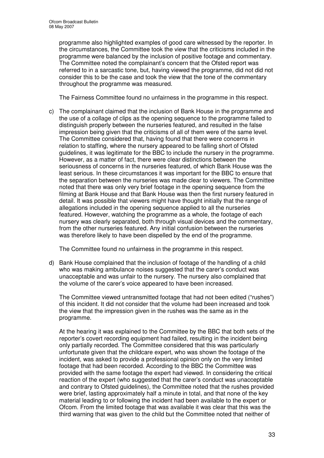programme also highlighted examples of good care witnessed by the reporter. In the circumstances, the Committee took the view that the criticisms included in the programme were balanced by the inclusion of positive footage and commentary. The Committee noted the complainant's concern that the Ofsted report was referred to in a sarcastic tone, but, having viewed the programme, did not did not consider this to be the case and took the view that the tone of the commentary throughout the programme was measured.

The Fairness Committee found no unfairness in the programme in this respect.

c) The complainant claimed that the inclusion of Bank House in the programme and the use of a collage of clips as the opening sequence to the programme failed to distinguish properly between the nurseries featured, and resulted in the false impression being given that the criticisms of all of them were of the same level. The Committee considered that, having found that there were concerns in relation to staffing, where the nursery appeared to be falling short of Ofsted guidelines, it was legitimate for the BBC to include the nursery in the programme. However, as a matter of fact, there were clear distinctions between the seriousness of concerns in the nurseries featured, of which Bank House was the least serious. In these circumstances it was important for the BBC to ensure that the separation between the nurseries was made clear to viewers. The Committee noted that there was only very brief footage in the opening sequence from the filming at Bank House and that Bank House was then the first nursery featured in detail. It was possible that viewers might have thought initially that the range of allegations included in the opening sequence applied to all the nurseries featured. However, watching the programme as a whole, the footage of each nursery was clearly separated, both through visual devices and the commentary, from the other nurseries featured. Any initial confusion between the nurseries was therefore likely to have been dispelled by the end of the programme.

The Committee found no unfairness in the programme in this respect.

d) Bank House complained that the inclusion of footage of the handling of a child who was making ambulance noises suggested that the carer's conduct was unacceptable and was unfair to the nursery. The nursery also complained that the volume of the carer's voice appeared to have been increased.

The Committee viewed untransmitted footage that had not been edited ("rushes") of this incident. It did not consider that the volume had been increased and took the view that the impression given in the rushes was the same as in the programme.

At the hearing it was explained to the Committee by the BBC that both sets of the reporter's covert recording equipment had failed, resulting in the incident being only partially recorded. The Committee considered that this was particularly unfortunate given that the childcare expert, who was shown the footage of the incident, was asked to provide a professional opinion only on the very limited footage that had been recorded. According to the BBC the Committee was provided with the same footage the expert had viewed. In considering the critical reaction of the expert (who suggested that the carer's conduct was unacceptable and contrary to Ofsted guidelines), the Committee noted that the rushes provided were brief*,* lasting approximately half a minute in total, and that none of the key material leading to or following the incident had been available to the expert or Ofcom. From the limited footage that was available it was clear that this was the third warning that was given to the child but the Committee noted that neither of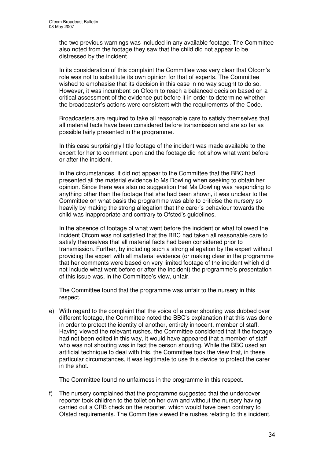the two previous warnings was included in any available footage. The Committee also noted from the footage they saw that the child did not appear to be distressed by the incident.

In its consideration of this complaint the Committee was very clear that Ofcom's role was not to substitute its own opinion for that of experts. The Committee wished to emphasise that its decision in this case in no way sought to do so. However, it was incumbent on Ofcom to reach a balanced decision based on a critical assessment of the evidence put before it in order to determine whether the broadcaster's actions were consistent with the requirements of the Code.

Broadcasters are required to take all reasonable care to satisfy themselves that all material facts have been considered before transmission and are so far as possible fairly presented in the programme.

In this case surprisingly little footage of the incident was made available to the expert for her to comment upon and the footage did not show what went before or after the incident.

In the circumstances, it did not appear to the Committee that the BBC had presented all the material evidence to Ms Dowling when seeking to obtain her opinion. Since there was also no suggestion that Ms Dowling was responding to anything other than the footage that she had been shown, it was unclear to the Committee on what basis the programme was able to criticise the nursery so heavily by making the strong allegation that the carer's behaviour towards the child was inappropriate and contrary to Ofsted's guidelines.

In the absence of footage of what went before the incident or what followed the incident Ofcom was not satisfied that the BBC had taken all reasonable care to satisfy themselves that all material facts had been considered prior to transmission. Further, by including such a strong allegation by the expert without providing the expert with all material evidence (or making clear in the programme that her comments were based on very limited footage of the incident which did not include what went before or after the incident) the programme's presentation of this issue was, in the Committee's view, unfair.

The Committee found that the programme was unfair to the nursery in this respect.

e) With regard to the complaint that the voice of a carer shouting was dubbed over different footage, the Committee noted the BBC's explanation that this was done in order to protect the identity of another, entirely innocent, member of staff. Having viewed the relevant rushes, the Committee considered that if the footage had not been edited in this way, it would have appeared that a member of staff who was not shouting was in fact the person shouting. While the BBC used an artificial technique to deal with this, the Committee took the view that, in these particular circumstances, it was legitimate to use this device to protect the carer in the shot.

The Committee found no unfairness in the programme in this respect.

f) The nursery complained that the programme suggested that the undercover reporter took children to the toilet on her own and without the nursery having carried out a CRB check on the reporter, which would have been contrary to Ofsted requirements. The Committee viewed the rushes relating to this incident.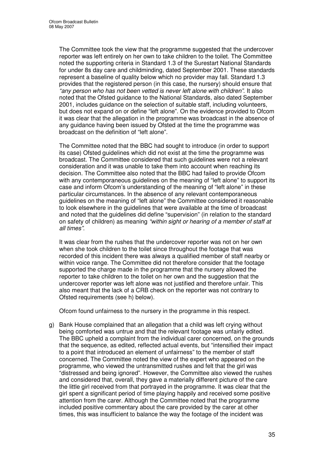The Committee took the view that the programme suggested that the undercover reporter was left entirely on her own to take children to the toilet. The Committee noted the supporting criteria in Standard 1.3 of the Surestart National Standards for under 8s day care and childminding, dated September 2001. These standards represent a baseline of quality below which no provider may fall. Standard 1.3 provides that the registered person (in this case, the nursery) should ensure that *"any person who has not been vetted is never left alone with children"*. It also noted that the Ofsted guidance to the National Standards, also dated September 2001, includes guidance on the selection of suitable staff, including volunteers, but does not expand on or define "left alone". On the evidence provided to Ofcom it was clear that the allegation in the programme was broadcast in the absence of any guidance having been issued by Ofsted at the time the programme was broadcast on the definition of "left alone".

The Committee noted that the BBC had sought to introduce (in order to support its case) Ofsted guidelines which did not exist at the time the programme was broadcast. The Committee considered that such guidelines were not a relevant consideration and it was unable to take them into account when reaching its decision. The Committee also noted that the BBC had failed to provide Ofcom with any contemporaneous guidelines on the meaning of "left alone" to support its case and inform Ofcom's understanding of the meaning of "left alone" in these particular circumstances. In the absence of any relevant contemporaneous guidelines on the meaning of "left alone" the Committee considered it reasonable to look elsewhere in the guidelines that were available at the time of broadcast and noted that the guidelines did define "supervision" (in relation to the standard on safety of children) as meaning *"within sight or hearing of a member of staff at all times"*.

It was clear from the rushes that the undercover reporter was not on her own when she took children to the toilet since throughout the footage that was recorded of this incident there was always a qualified member of staff nearby or within voice range. The Committee did not therefore consider that the footage supported the charge made in the programme that the nursery allowed the reporter to take children to the toilet on her own and the suggestion that the undercover reporter was left alone was not justified and therefore unfair. This also meant that the lack of a CRB check on the reporter was not contrary to Ofsted requirements (see h) below).

Ofcom found unfairness to the nursery in the programme in this respect.

g) Bank House complained that an allegation that a child was left crying without being comforted was untrue and that the relevant footage was unfairly edited. The BBC upheld a complaint from the individual carer concerned, on the grounds that the sequence, as edited, reflected actual events, but "intensified their impact to a point that introduced an element of unfairness" to the member of staff concerned. The Committee noted the view of the expert who appeared on the programme, who viewed the untransmitted rushes and felt that the girl was "distressed and being ignored". However, the Committee also viewed the rushes and considered that, overall, they gave a materially different picture of the care the little girl received from that portrayed in the programme. It was clear that the girl spent a significant period of time playing happily and received some positive attention from the carer. Although the Committee noted that the programme included positive commentary about the care provided by the carer at other times, this was insufficient to balance the way the footage of the incident was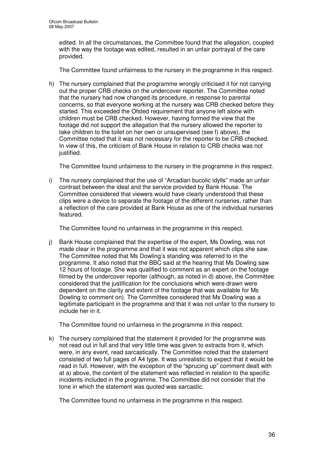edited. In all the circumstances, the Committee found that the allegation, coupled with the way the footage was edited, resulted in an unfair portrayal of the care provided.

The Committee found unfairness to the nursery in the programme in this respect.

h) The nursery complained that the programme wrongly criticised it for not carrying out the proper CRB checks on the undercover reporter. The Committee noted that the nursery had now changed its procedure, in response to parental concerns, so that everyone working at the nursery was CRB checked before they started. This exceeded the Ofsted requirement that anyone left alone with children must be CRB checked. However, having formed the view that the footage did not support the allegation that the nursery allowed the reporter to take children to the toilet on her own or unsupervised (see f) above), the Committee noted that it was not necessary for the reporter to be CRB checked. In view of this, the criticism of Bank House in relation to CRB checks was not justified.

The Committee found unfairness to the nursery in the programme in this respect.

i) The nursery complained that the use of "Arcadian bucolic idylls" made an unfair contrast between the ideal and the service provided by Bank House. The Committee considered that viewers would have clearly understood that these clips were a device to separate the footage of the different nurseries, rather than a reflection of the care provided at Bank House as one of the individual nurseries featured.

The Committee found no unfairness in the programme in this respect.

j) Bank House complained that the expertise of the expert, Ms Dowling, was not made clear in the programme and that it was not apparent which clips she saw. The Committee noted that Ms Dowling's standing was referred to in the programme. It also noted that the BBC said at the hearing that Ms Dowling saw 12 hours of footage. She was qualified to comment as an expert on the footage filmed by the undercover reporter (although, as noted in d) above, the Committee considered that the justification for the conclusions which were drawn were dependent on the clarity and extent of the footage that was available for Ms Dowling to comment on). The Committee considered that Ms Dowling was a legitimate participant in the programme and that it was not unfair to the nursery to include her in it.

The Committee found no unfairness in the programme in this respect.

k) The nursery complained that the statement it provided for the programme was not read out in full and that very little time was given to extracts from it, which were, in any event, read sarcastically. The Committee noted that the statement consisted of two full pages of A4 type. It was unrealistic to expect that it would be read in full. However, with the exception of the "sprucing up" comment dealt with at a) above, the content of the statement was reflected in relation to the specific incidents included in the programme. The Committee did not consider that the tone in which the statement was quoted was sarcastic.

The Committee found no unfairness in the programme in this respect.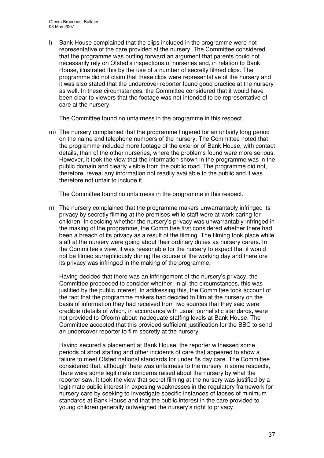l) Bank House complained that the clips included in the programme were not representative of the care provided at the nursery. The Committee considered that the programme was putting forward an argument that parents could not necessarily rely on Ofsted's inspections of nurseries and, in relation to Bank House, illustrated this by the use of a number of secretly filmed clips. The programme did not claim that these clips were representative of the nursery and it was also stated that the undercover reporter found good practice at the nursery as well. In these circumstances, the Committee considered that it would have been clear to viewers that the footage was not intended to be representative of care at the nursery.

The Committee found no unfairness in the programme in this respect.

m) The nursery complained that the programme lingered for an unfairly long period on the name and telephone numbers of the nursery. The Committee noted that the programme included more footage of the exterior of Bank House, with contact details, than of the other nurseries, where the problems found were more serious. However, it took the view that the information shown in the programme was in the public domain and clearly visible from the public road. The programme did not, therefore, reveal any information not readily available to the public and it was therefore not unfair to include it.

The Committee found no unfairness in the programme in this respect.

n) The nursery complained that the programme makers unwarrantably infringed its privacy by secretly filming at the premises while staff were at work caring for children. In deciding whether the nursery's privacy was unwarrantably infringed in the making of the programme, the Committee first considered whether there had been a breach of its privacy as a result of the filming. The filming took place while staff at the nursery were going about their ordinary duties as nursery carers. In the Committee's view, it was reasonable for the nursery to expect that it would not be filmed surreptitiously during the course of the working day and therefore its privacy was infringed in the making of the programme.

Having decided that there was an infringement of the nursery's privacy, the Committee proceeded to consider whether, in all the circumstances, this was justified by the public interest. In addressing this, the Committee took account of the fact that the programme makers had decided to film at the nursery on the basis of information they had received from two sources that they said were credible (details of which, in accordance with usual journalistic standards, were not provided to Ofcom) about inadequate staffing levels at Bank House. The Committee accepted that this provided sufficient justification for the BBC to send an undercover reporter to film secretly at the nursery.

Having secured a placement at Bank House, the reporter witnessed some periods of short staffing and other incidents of care that appeared to show a failure to meet Ofsted national standards for under 8s day care. The Committee considered that, although there was unfairness to the nursery in some respects, there were some legitimate concerns raised about the nursery by what the reporter saw. It took the view that secret filming at the nursery was justified by a legitimate public interest in exposing weaknesses in the regulatory framework for nursery care by seeking to investigate specific instances of lapses of minimum standards at Bank House and that the public interest in the care provided to young children generally outweighed the nursery's right to privacy.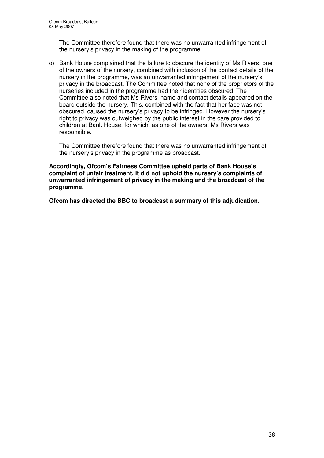The Committee therefore found that there was no unwarranted infringement of the nursery's privacy in the making of the programme.

o) Bank House complained that the failure to obscure the identity of Ms Rivers, one of the owners of the nursery, combined with inclusion of the contact details of the nursery in the programme, was an unwarranted infringement of the nursery's privacy in the broadcast. The Committee noted that none of the proprietors of the nurseries included in the programme had their identities obscured. The Committee also noted that Ms Rivers' name and contact details appeared on the board outside the nursery. This, combined with the fact that her face was not obscured, caused the nursery's privacy to be infringed. However the nursery's right to privacy was outweighed by the public interest in the care provided to children at Bank House, for which, as one of the owners, Ms Rivers was responsible.

The Committee therefore found that there was no unwarranted infringement of the nursery's privacy in the programme as broadcast.

**Accordingly, Ofcom's Fairness Committee upheld parts of Bank House's complaint of unfair treatment. It did not uphold the nursery's complaints of unwarranted infringement of privacy in the making and the broadcast of the programme.**

**Ofcom has directed the BBC to broadcast a summary of this adjudication.**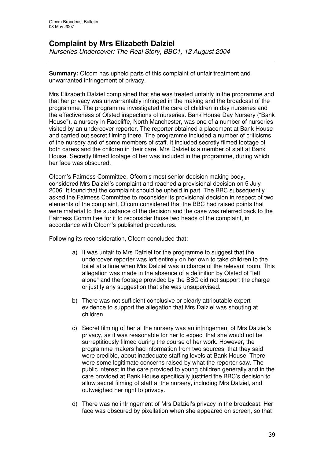# **Complaint by Mrs Elizabeth Dalziel**

*Nurseries Undercover: The Real Story, BBC1, 12 August 2004*

**Summary:** Ofcom has upheld parts of this complaint of unfair treatment and unwarranted infringement of privacy.

Mrs Elizabeth Dalziel complained that she was treated unfairly in the programme and that her privacy was unwarrantably infringed in the making and the broadcast of the programme. The programme investigated the care of children in day nurseries and the effectiveness of Ofsted inspections of nurseries. Bank House Day Nursery ("Bank House"), a nursery in Radcliffe, North Manchester, was one of a number of nurseries visited by an undercover reporter. The reporter obtained a placement at Bank House and carried out secret filming there. The programme included a number of criticisms of the nursery and of some members of staff. It included secretly filmed footage of both carers and the children in their care. Mrs Dalziel is a member of staff at Bank House. Secretly filmed footage of her was included in the programme, during which her face was obscured.

Ofcom's Fairness Committee, Ofcom's most senior decision making body, considered Mrs Dalziel's complaint and reached a provisional decision on 5 July 2006. It found that the complaint should be upheld in part. The BBC subsequently asked the Fairness Committee to reconsider its provisional decision in respect of two elements of the complaint. Ofcom considered that the BBC had raised points that were material to the substance of the decision and the case was referred back to the Fairness Committee for it to reconsider those two heads of the complaint, in accordance with Ofcom's published procedures.

Following its reconsideration, Ofcom concluded that:

- a) It was unfair to Mrs Dalziel for the programme to suggest that the undercover reporter was left entirely on her own to take children to the toilet at a time when Mrs Dalziel was in charge of the relevant room. This allegation was made in the absence of a definition by Ofsted of "left alone" and the footage provided by the BBC did not support the charge or justify any suggestion that she was unsupervised.
- b) There was not sufficient conclusive or clearly attributable expert evidence to support the allegation that Mrs Dalziel was shouting at children.
- c) Secret filming of her at the nursery was an infringement of Mrs Dalziel's privacy, as it was reasonable for her to expect that she would not be surreptitiously filmed during the course of her work. However, the programme makers had information from two sources, that they said were credible, about inadequate staffing levels at Bank House. There were some legitimate concerns raised by what the reporter saw. The public interest in the care provided to young children generally and in the care provided at Bank House specifically justified the BBC's decision to allow secret filming of staff at the nursery, including Mrs Dalziel, and outweighed her right to privacy.
- d) There was no infringement of Mrs Dalziel's privacy in the broadcast. Her face was obscured by pixellation when she appeared on screen, so that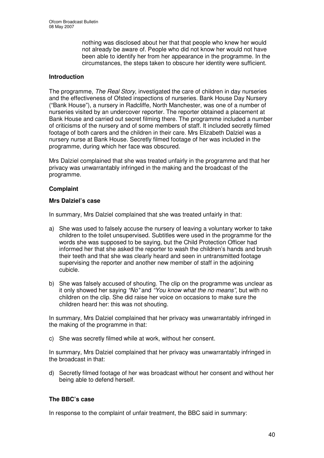nothing was disclosed about her that that people who knew her would not already be aware of. People who did not know her would not have been able to identify her from her appearance in the programme. In the circumstances, the steps taken to obscure her identity were sufficient.

# **Introduction**

The programme, *The Real Story*, investigated the care of children in day nurseries and the effectiveness of Ofsted inspections of nurseries. Bank House Day Nursery ("Bank House"), a nursery in Radcliffe, North Manchester, was one of a number of nurseries visited by an undercover reporter. The reporter obtained a placement at Bank House and carried out secret filming there. The programme included a number of criticisms of the nursery and of some members of staff. It included secretly filmed footage of both carers and the children in their care. Mrs Elizabeth Dalziel was a nursery nurse at Bank House. Secretly filmed footage of her was included in the programme, during which her face was obscured.

Mrs Dalziel complained that she was treated unfairly in the programme and that her privacy was unwarrantably infringed in the making and the broadcast of the programme.

#### **Complaint**

#### **Mrs Dalziel's case**

In summary, Mrs Dalziel complained that she was treated unfairly in that:

- a) She was used to falsely accuse the nursery of leaving a voluntary worker to take children to the toilet unsupervised. Subtitles were used in the programme for the words she was supposed to be saying, but the Child Protection Officer had informed her that she asked the reporter to wash the children's hands and brush their teeth and that she was clearly heard and seen in untransmitted footage supervising the reporter and another new member of staff in the adjoining cubicle.
- b) She was falsely accused of shouting. The clip on the programme was unclear as it only showed her saying *"No"* and *"You know what the no means",* but with no children on the clip. She did raise her voice on occasions to make sure the children heard her: this was not shouting.

In summary, Mrs Dalziel complained that her privacy was unwarrantably infringed in the making of the programme in that:

c) She was secretly filmed while at work, without her consent.

In summary, Mrs Dalziel complained that her privacy was unwarrantably infringed in the broadcast in that:

d) Secretly filmed footage of her was broadcast without her consent and without her being able to defend herself.

# **The BBC's case**

In response to the complaint of unfair treatment, the BBC said in summary: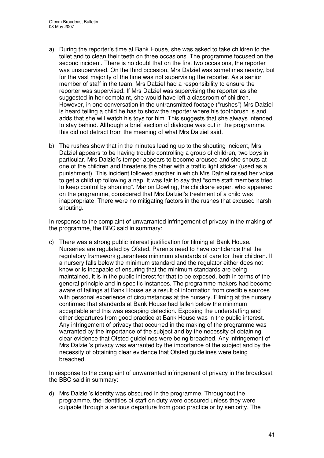- a) During the reporter's time at Bank House, she was asked to take children to the toilet and to clean their teeth on three occasions. The programme focused on the second incident. There is no doubt that on the first two occasions, the reporter was unsupervised. On the third occasion, Mrs Dalziel was sometimes nearby, but for the vast majority of the time was not supervising the reporter. As a senior member of staff in the team, Mrs Dalziel had a responsibility to ensure the reporter was supervised. If Mrs Dalziel was supervising the reporter as she suggested in her complaint, she would have left a classroom of children. However, in one conversation in the untransmitted footage ("rushes") Mrs Dalziel is heard telling a child he has to show the reporter where his toothbrush is and adds that she will watch his toys for him. This suggests that she always intended to stay behind. Although a brief section of dialogue was cut in the programme, this did not detract from the meaning of what Mrs Dalziel said.
- b) The rushes show that in the minutes leading up to the shouting incident, Mrs Dalziel appears to be having trouble controlling a group of children, two boys in particular. Mrs Dalziel's temper appears to become aroused and she shouts at one of the children and threatens the other with a traffic light sticker (used as a punishment). This incident followed another in which Mrs Dalziel raised her voice to get a child up following a nap. It was fair to say that "some staff members tried to keep control by shouting". Marion Dowling, the childcare expert who appeared on the programme, considered that Mrs Dalziel's treatment of a child was inappropriate. There were no mitigating factors in the rushes that excused harsh shouting.

In response to the complaint of unwarranted infringement of privacy in the making of the programme, the BBC said in summary:

c) There was a strong public interest justification for filming at Bank House. Nurseries are regulated by Ofsted. Parents need to have confidence that the regulatory framework guarantees minimum standards of care for their children. If a nursery falls below the minimum standard and the regulator either does not know or is incapable of ensuring that the minimum standards are being maintained, it is in the public interest for that to be exposed, both in terms of the general principle and in specific instances. The programme makers had become aware of failings at Bank House as a result of information from credible sources with personal experience of circumstances at the nursery. Filming at the nursery confirmed that standards at Bank House had fallen below the minimum acceptable and this was escaping detection. Exposing the understaffing and other departures from good practice at Bank House was in the public interest. Any infringement of privacy that occurred in the making of the programme was warranted by the importance of the subject and by the necessity of obtaining clear evidence that Ofsted guidelines were being breached. Any infringement of Mrs Dalziel's privacy was warranted by the importance of the subject and by the necessity of obtaining clear evidence that Ofsted guidelines were being breached.

In response to the complaint of unwarranted infringement of privacy in the broadcast, the BBC said in summary:

d) Mrs Dalziel's identity was obscured in the programme. Throughout the programme, the identities of staff on duty were obscured unless they were culpable through a serious departure from good practice or by seniority. The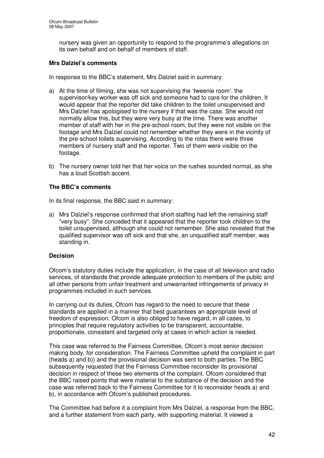nursery was given an opportunity to respond to the programme's allegations on its own behalf and on behalf of members of staff.

# **Mrs Dalziel's comments**

In response to the BBC's statement, Mrs Dalziel said in summary:

- a) At the time of filming, she was not supervising the 'tweenie room': the supervisor/key worker was off sick and someone had to care for the children. It would appear that the reporter did take children to the toilet unsupervised and Mrs Dalziel has apologised to the nursery if that was the case. She would not normally allow this, but they were very busy at the time. There was another member of staff with her in the pre-school room, but they were not visible on the footage and Mrs Dalziel could not remember whether they were in the vicinity of the pre-school toilets supervising. According to the rotas there were three members of nursery staff and the reporter. Two of them were visible on the footage.
- b) The nursery owner told her that her voice on the rushes sounded normal, as she has a loud Scottish accent.

# **The BBC's comments**

In its final response, the BBC said in summary:

a) Mrs Dalziel's response confirmed that short-staffing had left the remaining staff "very busy". She conceded that it appeared that the reporter took children to the toilet unsupervised, although she could not remember. She also revealed that the qualified supervisor was off sick and that she, an unqualified staff member, was standing in.

#### **Decision**

Ofcom's statutory duties include the application, in the case of all television and radio services, of standards that provide adequate protection to members of the public and all other persons from unfair treatment and unwarranted infringements of privacy in programmes included in such services.

In carrying out its duties, Ofcom has regard to the need to secure that these standards are applied in a manner that best guarantees an appropriate level of freedom of expression. Ofcom is also obliged to have regard, in all cases, to principles that require regulatory activities to be transparent, accountable, proportionate, consistent and targeted only at cases in which action is needed.

This case was referred to the Fairness Committee, Ofcom's most senior decision making body, for consideration. The Fairness Committee upheld the complaint in part (heads a) and b)) and the provisional decision was sent to both parties. The BBC subsequently requested that the Fairness Committee reconsider its provisional decision in respect of these two elements of the complaint. Ofcom considered that the BBC raised points that were material to the substance of the decision and the case was referred back to the Fairness Committee for it to reconsider heads a) and b), in accordance with Ofcom's published procedures.

The Committee had before it a complaint from Mrs Dalziel, a response from the BBC, and a further statement from each party, with supporting material. It viewed a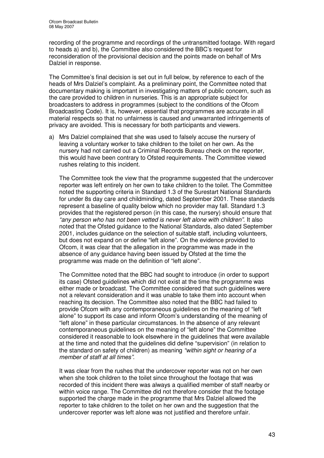recording of the programme and recordings of the untransmitted footage. With regard to heads a) and b), the Committee also considered the BBC's request for reconsideration of the provisional decision and the points made on behalf of Mrs Dalziel in response.

The Committee's final decision is set out in full below, by reference to each of the heads of Mrs Dalziel's complaint. As a preliminary point, the Committee noted that documentary making is important in investigating matters of public concern, such as the care provided to children in nurseries. This is an appropriate subject for broadcasters to address in programmes (subject to the conditions of the Ofcom Broadcasting Code). It is, however, essential that programmes are accurate in all material respects so that no unfairness is caused and unwarranted infringements of privacy are avoided. This is necessary for both participants and viewers.

a) Mrs Dalziel complained that she was used to falsely accuse the nursery of leaving a voluntary worker to take children to the toilet on her own. As the nursery had not carried out a Criminal Records Bureau check on the reporter, this would have been contrary to Ofsted requirements. The Committee viewed rushes relating to this incident.

The Committee took the view that the programme suggested that the undercover reporter was left entirely on her own to take children to the toilet. The Committee noted the supporting criteria in Standard 1.3 of the Surestart National Standards for under 8s day care and childminding, dated September 2001. These standards represent a baseline of quality below which no provider may fall. Standard 1.3 provides that the registered person (in this case, the nursery) should ensure that *"any person who has not been vetted is never left alone with children"*. It also noted that the Ofsted guidance to the National Standards, also dated September 2001, includes guidance on the selection of suitable staff, including volunteers, but does not expand on or define "left alone". On the evidence provided to Ofcom, it was clear that the allegation in the programme was made in the absence of any guidance having been issued by Ofsted at the time the programme was made on the definition of "left alone".

The Committee noted that the BBC had sought to introduce (in order to support its case) Ofsted guidelines which did not exist at the time the programme was either made or broadcast. The Committee considered that such guidelines were not a relevant consideration and it was unable to take them into account when reaching its decision. The Committee also noted that the BBC had failed to provide Ofcom with any contemporaneous guidelines on the meaning of "left alone" to support its case and inform Ofcom's understanding of the meaning of "left alone" in these particular circumstances. In the absence of any relevant contemporaneous guidelines on the meaning of "left alone" the Committee considered it reasonable to look elsewhere in the guidelines that were available at the time and noted that the guidelines did define "supervision" (in relation to the standard on safety of children) as meaning *"within sight or hearing of a member of staff at all times"*.

It was clear from the rushes that the undercover reporter was not on her own when she took children to the toilet since throughout the footage that was recorded of this incident there was always a qualified member of staff nearby or within voice range. The Committee did not therefore consider that the footage supported the charge made in the programme that Mrs Dalziel allowed the reporter to take children to the toilet on her own and the suggestion that the undercover reporter was left alone was not justified and therefore unfair.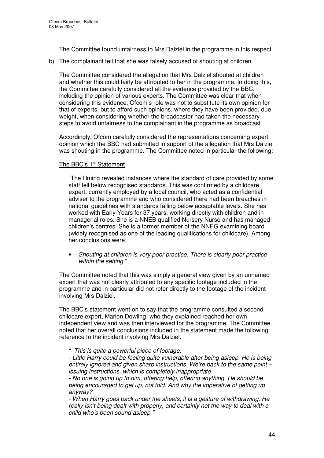The Committee found unfairness to Mrs Dalziel in the programme in this respect.

b) The complainant felt that she was falsely accused of shouting at children.

The Committee considered the allegation that Mrs Dalziel shouted at children and whether this could fairly be attributed to her in the programme. In doing this, the Committee carefully considered all the evidence provided by the BBC, including the opinion of various experts. The Committee was clear that when considering this evidence, Ofcom's role was not to substitute its own opinion for that of experts, but to afford such opinions, where they have been provided, due weight, when considering whether the broadcaster had taken the necessary steps to avoid unfairness to the complainant in the programme as broadcast

Accordingly, Ofcom carefully considered the representations concerning expert opinion which the BBC had submitted in support of the allegation that Mrs Dalziel was shouting in the programme. The Committee noted in particular the following:

#### The BBC's 1<sup>st</sup> Statement

"The filming revealed instances where the standard of care provided by some staff fell below recognised standards. This was confirmed by a childcare expert, currently employed by a local council, who acted as a confidential adviser to the programme and who considered there had been breaches in national guidelines with standards falling below acceptable levels. She has worked with Early Years for 37 years, working directly with children and in managerial roles. She is a NNEB qualified Nursery Nurse and has managed children's centres. She is a former member of the NNEG examining board (widely recognised as one of the leading qualifications for childcare). Among her conclusions were:

• *Shouting at children is very poor practice. There is clearly poor practice within the setting.*"

The Committee noted that this was simply a general view given by an unnamed expert that was not clearly attributed to any specific footage included in the programme and in particular did not refer directly to the footage of the incident involving Mrs Dalziel.

The BBC's statement went on to say that the programme consulted a second childcare expert, Marion Dowling, who they explained reached her own independent view and was then interviewed for the programme. The Committee noted that her overall conclusions included in the statement made the following reference to the incident involving Mrs Dalziel.

*"- This is quite a powerful piece of footage.*

*- Little Harry could be feeling quite vulnerable after being asleep. He is being entirely ignored and given sharp instructions. We're back to the same point – issuing instructions, which is completely inappropriate.*

*- No one is going up to him, offering help, offering anything, He should be being encouraged to get up, not told. And why the imperative of getting up anyway?*

*- When Harry goes back under the sheets, it is a gesture of withdrawing. He really isn't being dealt with properly, and certainly not the way to deal with a child who's been sound asleep."*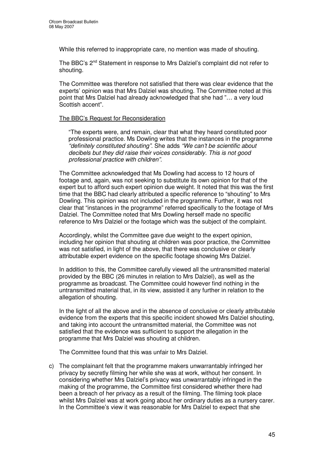While this referred to inappropriate care, no mention was made of shouting.

The BBC's 2<sup>nd</sup> Statement in response to Mrs Dalziel's complaint did not refer to shouting.

The Committee was therefore not satisfied that there was clear evidence that the experts' opinion was that Mrs Dalziel was shouting. The Committee noted at this point that Mrs Dalziel had already acknowledged that she had "… a very loud Scottish accent".

#### The BBC's Request for Reconsideration

"The experts were, and remain, clear that what they heard constituted poor professional practice. Ms Dowling writes that the instances in the programme *"definitely constituted shouting".* She adds *"We can't be scientific about decibels but they did raise their voices considerably. This is not good professional practice with children"*.

The Committee acknowledged that Ms Dowling had access to 12 hours of footage and, again, was not seeking to substitute its own opinion for that of the expert but to afford such expert opinion due weight. It noted that this was the first time that the BBC had clearly attributed a specific reference to "shouting" to Mrs Dowling. This opinion was not included in the programme. Further, it was not clear that "instances in the programme" referred specifically to the footage of Mrs Dalziel. The Committee noted that Mrs Dowling herself made no specific reference to Mrs Dalziel or the footage which was the subject of the complaint.

Accordingly, whilst the Committee gave due weight to the expert opinion, including her opinion that shouting at children was poor practice, the Committee was not satisfied, in light of the above, that there was conclusive or clearly attributable expert evidence on the specific footage showing Mrs Dalziel.

In addition to this, the Committee carefully viewed all the untransmitted material provided by the BBC (26 minutes in relation to Mrs Dalziel), as well as the programme as broadcast. The Committee could however find nothing in the untransmitted material that, in its view, assisted it any further in relation to the allegation of shouting.

In the light of all the above and in the absence of conclusive or clearly attributable evidence from the experts that this specific incident showed Mrs Dalziel shouting, and taking into account the untransmitted material, the Committee was not satisfied that the evidence was sufficient to support the allegation in the programme that Mrs Dalziel was shouting at children.

The Committee found that this was unfair to Mrs Dalziel.

c) The complainant felt that the programme makers unwarrantably infringed her privacy by secretly filming her while she was at work, without her consent. In considering whether Mrs Dalziel's privacy was unwarrantably infringed in the making of the programme, the Committee first considered whether there had been a breach of her privacy as a result of the filming. The filming took place whilst Mrs Dalziel was at work going about her ordinary duties as a nursery carer. In the Committee's view it was reasonable for Mrs Dalziel to expect that she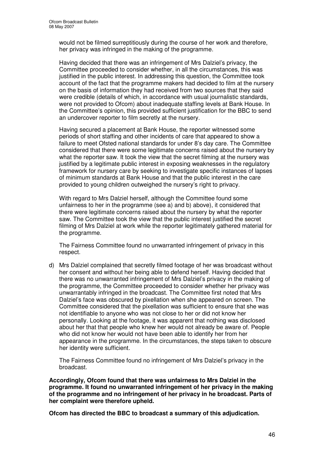would not be filmed surreptitiously during the course of her work and therefore, her privacy was infringed in the making of the programme.

Having decided that there was an infringement of Mrs Dalziel's privacy, the Committee proceeded to consider whether, in all the circumstances, this was justified in the public interest. In addressing this question, the Committee took account of the fact that the programme makers had decided to film at the nursery on the basis of information they had received from two sources that they said were credible (details of which, in accordance with usual journalistic standards, were not provided to Ofcom) about inadequate staffing levels at Bank House. In the Committee's opinion, this provided sufficient justification for the BBC to send an undercover reporter to film secretly at the nursery.

Having secured a placement at Bank House, the reporter witnessed some periods of short staffing and other incidents of care that appeared to show a failure to meet Ofsted national standards for under 8's day care. The Committee considered that there were some legitimate concerns raised about the nursery by what the reporter saw. It took the view that the secret filming at the nursery was justified by a legitimate public interest in exposing weaknesses in the regulatory framework for nursery care by seeking to investigate specific instances of lapses of minimum standards at Bank House and that the public interest in the care provided to young children outweighed the nursery's right to privacy.

With regard to Mrs Dalziel herself, although the Committee found some unfairness to her in the programme (see a) and b) above), it considered that there were legitimate concerns raised about the nursery by what the reporter saw. The Committee took the view that the public interest justified the secret filming of Mrs Dalziel at work while the reporter legitimately gathered material for the programme.

The Fairness Committee found no unwarranted infringement of privacy in this respect.

d) Mrs Dalziel complained that secretly filmed footage of her was broadcast without her consent and without her being able to defend herself. Having decided that there was no unwarranted infringement of Mrs Dalziel's privacy in the making of the programme, the Committee proceeded to consider whether her privacy was unwarrantably infringed in the broadcast. The Committee first noted that Mrs Dalziel's face was obscured by pixellation when she appeared on screen. The Committee considered that the pixellation was sufficient to ensure that she was not identifiable to anyone who was not close to her or did not know her personally. Looking at the footage, it was apparent that nothing was disclosed about her that that people who knew her would not already be aware of. People who did not know her would not have been able to identify her from her appearance in the programme. In the circumstances, the steps taken to obscure her identity were sufficient.

The Fairness Committee found no infringement of Mrs Dalziel's privacy in the broadcast.

**Accordingly, Ofcom found that there was unfairness to Mrs Dalziel in the programme. It found no unwarranted infringement of her privacy in the making of the programme and no infringement of her privacy in he broadcast. Parts of her complaint were therefore upheld.**

**Ofcom has directed the BBC to broadcast a summary of this adjudication.**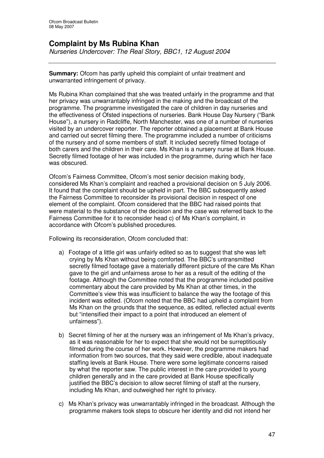# **Complaint by Ms Rubina Khan**

*Nurseries Undercover: The Real Story, BBC1, 12 August 2004*

**Summary:** Ofcom has partly upheld this complaint of unfair treatment and unwarranted infringement of privacy.

Ms Rubina Khan complained that she was treated unfairly in the programme and that her privacy was unwarrantably infringed in the making and the broadcast of the programme. The programme investigated the care of children in day nurseries and the effectiveness of Ofsted inspections of nurseries. Bank House Day Nursery ("Bank House"), a nursery in Radcliffe, North Manchester, was one of a number of nurseries visited by an undercover reporter. The reporter obtained a placement at Bank House and carried out secret filming there. The programme included a number of criticisms of the nursery and of some members of staff. It included secretly filmed footage of both carers and the children in their care. Ms Khan is a nursery nurse at Bank House. Secretly filmed footage of her was included in the programme, during which her face was obscured.

Ofcom's Fairness Committee, Ofcom's most senior decision making body, considered Ms Khan's complaint and reached a provisional decision on 5 July 2006. It found that the complaint should be upheld in part. The BBC subsequently asked the Fairness Committee to reconsider its provisional decision in respect of one element of the complaint. Ofcom considered that the BBC had raised points that were material to the substance of the decision and the case was referred back to the Fairness Committee for it to reconsider head c) of Ms Khan's complaint, in accordance with Ofcom's published procedures.

Following its reconsideration, Ofcom concluded that:

- a) Footage of a little girl was unfairly edited so as to suggest that she was left crying by Ms Khan without being comforted. The BBC's untransmitted secretly filmed footage gave a materially different picture of the care Ms Khan gave to the girl and unfairness arose to her as a result of the editing of the footage. Although the Committee noted that the programme included positive commentary about the care provided by Ms Khan at other times, in the Committee's view this was insufficient to balance the way the footage of this incident was edited. (Ofcom noted that the BBC had upheld a complaint from Ms Khan on the grounds that the sequence, as edited, reflected actual events but "intensified their impact to a point that introduced an element of unfairness").
- b) Secret filming of her at the nursery was an infringement of Ms Khan's privacy, as it was reasonable for her to expect that she would not be surreptitiously filmed during the course of her work. However, the programme makers had information from two sources, that they said were credible, about inadequate staffing levels at Bank House. There were some legitimate concerns raised by what the reporter saw. The public interest in the care provided to young children generally and in the care provided at Bank House specifically justified the BBC's decision to allow secret filming of staff at the nursery, including Ms Khan, and outweighed her right to privacy.
- c) Ms Khan's privacy was unwarrantably infringed in the broadcast. Although the programme makers took steps to obscure her identity and did not intend her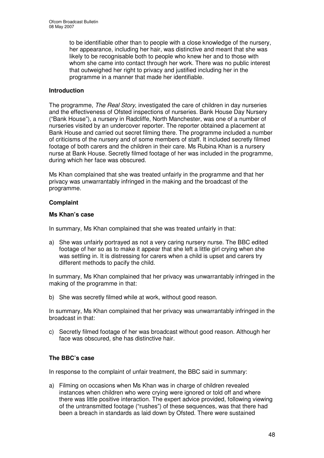to be identifiable other than to people with a close knowledge of the nursery, her appearance, including her hair, was distinctive and meant that she was likely to be recognisable both to people who knew her and to those with whom she came into contact through her work. There was no public interest that outweighed her right to privacy and justified including her in the programme in a manner that made her identifiable.

# **Introduction**

The programme, *The Real Story*, investigated the care of children in day nurseries and the effectiveness of Ofsted inspections of nurseries. Bank House Day Nursery ("Bank House"), a nursery in Radcliffe, North Manchester, was one of a number of nurseries visited by an undercover reporter. The reporter obtained a placement at Bank House and carried out secret filming there. The programme included a number of criticisms of the nursery and of some members of staff. It included secretly filmed footage of both carers and the children in their care. Ms Rubina Khan is a nursery nurse at Bank House. Secretly filmed footage of her was included in the programme, during which her face was obscured.

Ms Khan complained that she was treated unfairly in the programme and that her privacy was unwarrantably infringed in the making and the broadcast of the programme.

#### **Complaint**

#### **Ms Khan's case**

In summary, Ms Khan complained that she was treated unfairly in that:

a) She was unfairly portrayed as not a very caring nursery nurse. The BBC edited footage of her so as to make it appear that she left a little girl crying when she was settling in. It is distressing for carers when a child is upset and carers try different methods to pacify the child.

In summary, Ms Khan complained that her privacy was unwarrantably infringed in the making of the programme in that:

b) She was secretly filmed while at work, without good reason.

In summary, Ms Khan complained that her privacy was unwarrantably infringed in the broadcast in that:

c) Secretly filmed footage of her was broadcast without good reason. Although her face was obscured, she has distinctive hair.

# **The BBC's case**

In response to the complaint of unfair treatment, the BBC said in summary:

a) Filming on occasions when Ms Khan was in charge of children revealed instances when children who were crying were ignored or told off and where there was little positive interaction. The expert advice provided, following viewing of the untransmitted footage ("rushes") of these sequences, was that there had been a breach in standards as laid down by Ofsted. There were sustained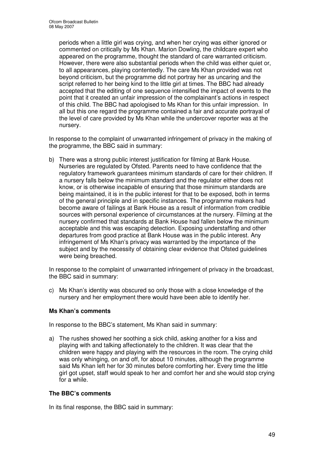periods when a little girl was crying, and when her crying was either ignored or commented on critically by Ms Khan. Marion Dowling, the childcare expert who appeared on the programme, thought the standard of care warranted criticism. However, there were also substantial periods when the child was either quiet or, to all appearances, playing contentedly. The care Ms Khan provided was not beyond criticism, but the programme did not portray her as uncaring and the script referred to her being kind to the little girl at times. The BBC had already accepted that the editing of one sequence intensified the impact of events to the point that it created an unfair impression of the complainant's actions in respect of this child. The BBC had apologised to Ms Khan for this unfair impression. In all but this one regard the programme contained a fair and accurate portrayal of the level of care provided by Ms Khan while the undercover reporter was at the nursery.

In response to the complaint of unwarranted infringement of privacy in the making of the programme, the BBC said in summary:

b) There was a strong public interest justification for filming at Bank House. Nurseries are regulated by Ofsted. Parents need to have confidence that the regulatory framework guarantees minimum standards of care for their children. If a nursery falls below the minimum standard and the regulator either does not know, or is otherwise incapable of ensuring that those minimum standards are being maintained, it is in the public interest for that to be exposed, both in terms of the general principle and in specific instances. The programme makers had become aware of failings at Bank House as a result of information from credible sources with personal experience of circumstances at the nursery. Filming at the nursery confirmed that standards at Bank House had fallen below the minimum acceptable and this was escaping detection. Exposing understaffing and other departures from good practice at Bank House was in the public interest. Any infringement of Ms Khan's privacy was warranted by the importance of the subject and by the necessity of obtaining clear evidence that Ofsted guidelines were being breached.

In response to the complaint of unwarranted infringement of privacy in the broadcast, the BBC said in summary:

c) Ms Khan's identity was obscured so only those with a close knowledge of the nursery and her employment there would have been able to identify her.

#### **Ms Khan's comments**

In response to the BBC's statement, Ms Khan said in summary:

a) The rushes showed her soothing a sick child, asking another for a kiss and playing with and talking affectionately to the children. It was clear that the children were happy and playing with the resources in the room. The crying child was only whinging, on and off, for about 10 minutes, although the programme said Ms Khan left her for 30 minutes before comforting her. Every time the little girl got upset, staff would speak to her and comfort her and she would stop crying for a while.

#### **The BBC's comments**

In its final response, the BBC said in summary: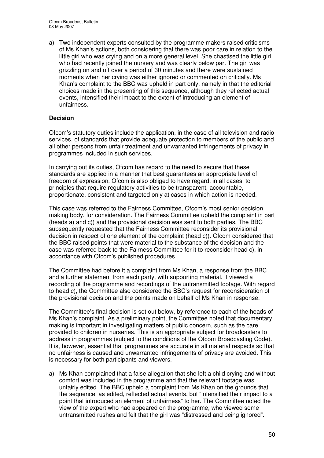a) Two independent experts consulted by the programme makers raised criticisms of Ms Khan's actions, both considering that there was poor care in relation to the little girl who was crying and on a more general level. She chastised the little girl, who had recently joined the nursery and was clearly below par. The girl was grizzling on and off over a period of 30 minutes and there were sustained moments when her crying was either ignored or commented on critically. Ms Khan's complaint to the BBC was upheld in part only, namely in that the editorial choices made in the presenting of this sequence, although they reflected actual events, intensified their impact to the extent of introducing an element of unfairness.

# **Decision**

Ofcom's statutory duties include the application, in the case of all television and radio services, of standards that provide adequate protection to members of the public and all other persons from unfair treatment and unwarranted infringements of privacy in programmes included in such services.

In carrying out its duties, Ofcom has regard to the need to secure that these standards are applied in a manner that best guarantees an appropriate level of freedom of expression. Ofcom is also obliged to have regard, in all cases, to principles that require regulatory activities to be transparent, accountable, proportionate, consistent and targeted only at cases in which action is needed.

This case was referred to the Fairness Committee, Ofcom's most senior decision making body, for consideration. The Fairness Committee upheld the complaint in part (heads a) and c)) and the provisional decision was sent to both parties. The BBC subsequently requested that the Fairness Committee reconsider its provisional decision in respect of one element of the complaint (head c)). Ofcom considered that the BBC raised points that were material to the substance of the decision and the case was referred back to the Fairness Committee for it to reconsider head c), in accordance with Ofcom's published procedures.

The Committee had before it a complaint from Ms Khan, a response from the BBC and a further statement from each party, with supporting material. It viewed a recording of the programme and recordings of the untransmitted footage. With regard to head c), the Committee also considered the BBC's request for reconsideration of the provisional decision and the points made on behalf of Ms Khan in response.

The Committee's final decision is set out below, by reference to each of the heads of Ms Khan's complaint. As a preliminary point, the Committee noted that documentary making is important in investigating matters of public concern, such as the care provided to children in nurseries. This is an appropriate subject for broadcasters to address in programmes (subject to the conditions of the Ofcom Broadcasting Code). It is, however, essential that programmes are accurate in all material respects so that no unfairness is caused and unwarranted infringements of privacy are avoided. This is necessary for both participants and viewers.

a) Ms Khan complained that a false allegation that she left a child crying and without comfort was included in the programme and that the relevant footage was unfairly edited. The BBC upheld a complaint from Ms Khan on the grounds that the sequence, as edited, reflected actual events, but "intensified their impact to a point that introduced an element of unfairness" to her. The Committee noted the view of the expert who had appeared on the programme, who viewed some untransmitted rushes and felt that the girl was "distressed and being ignored".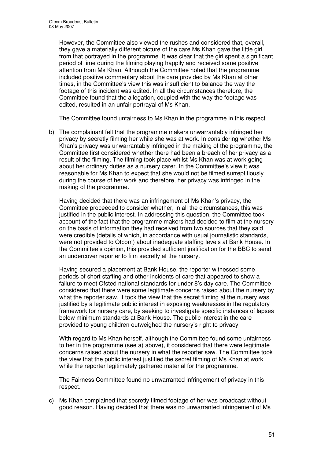However, the Committee also viewed the rushes and considered that, overall, they gave a materially different picture of the care Ms Khan gave the little girl from that portrayed in the programme. It was clear that the girl spent a significant period of time during the filming playing happily and received some positive attention from Ms Khan. Although the Committee noted that the programme included positive commentary about the care provided by Ms Khan at other times, in the Committee's view this was insufficient to balance the way the footage of this incident was edited. In all the circumstances therefore, the Committee found that the allegation, coupled with the way the footage was edited, resulted in an unfair portrayal of Ms Khan.

The Committee found unfairness to Ms Khan in the programme in this respect.

b) The complainant felt that the programme makers unwarrantably infringed her privacy by secretly filming her while she was at work. In considering whether Ms Khan's privacy was unwarrantably infringed in the making of the programme, the Committee first considered whether there had been a breach of her privacy as a result of the filming. The filming took place whilst Ms Khan was at work going about her ordinary duties as a nursery carer. In the Committee's view it was reasonable for Ms Khan to expect that she would not be filmed surreptitiously during the course of her work and therefore, her privacy was infringed in the making of the programme.

Having decided that there was an infringement of Ms Khan's privacy, the Committee proceeded to consider whether, in all the circumstances, this was justified in the public interest. In addressing this question, the Committee took account of the fact that the programme makers had decided to film at the nursery on the basis of information they had received from two sources that they said were credible (details of which, in accordance with usual journalistic standards, were not provided to Ofcom) about inadequate staffing levels at Bank House. In the Committee's opinion, this provided sufficient justification for the BBC to send an undercover reporter to film secretly at the nursery.

Having secured a placement at Bank House, the reporter witnessed some periods of short staffing and other incidents of care that appeared to show a failure to meet Ofsted national standards for under 8's day care. The Committee considered that there were some legitimate concerns raised about the nursery by what the reporter saw. It took the view that the secret filming at the nursery was justified by a legitimate public interest in exposing weaknesses in the regulatory framework for nursery care, by seeking to investigate specific instances of lapses below minimum standards at Bank House. The public interest in the care provided to young children outweighed the nursery's right to privacy.

With regard to Ms Khan herself, although the Committee found some unfairness to her in the programme (see a) above), it considered that there were legitimate concerns raised about the nursery in what the reporter saw. The Committee took the view that the public interest justified the secret filming of Ms Khan at work while the reporter legitimately gathered material for the programme.

The Fairness Committee found no unwarranted infringement of privacy in this respect.

c) Ms Khan complained that secretly filmed footage of her was broadcast without good reason. Having decided that there was no unwarranted infringement of Ms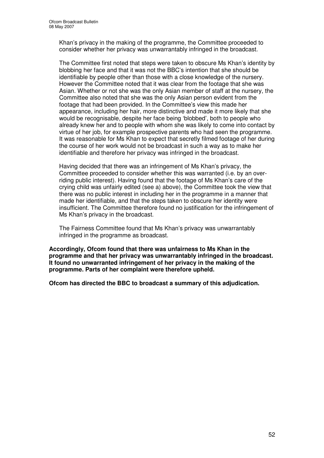Khan's privacy in the making of the programme, the Committee proceeded to consider whether her privacy was unwarrantably infringed in the broadcast.

The Committee first noted that steps were taken to obscure Ms Khan's identity by blobbing her face and that it was not the BBC's intention that she should be identifiable by people other than those with a close knowledge of the nursery. However the Committee noted that it was clear from the footage that she was Asian. Whether or not she was the only Asian member of staff at the nursery, the Committee also noted that she was the only Asian person evident from the footage that had been provided. In the Committee's view this made her appearance, including her hair, more distinctive and made it more likely that she would be recognisable, despite her face being 'blobbed', both to people who already knew her and to people with whom she was likely to come into contact by virtue of her job, for example prospective parents who had seen the programme. It was reasonable for Ms Khan to expect that secretly filmed footage of her during the course of her work would not be broadcast in such a way as to make her identifiable and therefore her privacy was infringed in the broadcast.

Having decided that there was an infringement of Ms Khan's privacy, the Committee proceeded to consider whether this was warranted (i.e. by an overriding public interest). Having found that the footage of Ms Khan's care of the crying child was unfairly edited (see a) above), the Committee took the view that there was no public interest in including her in the programme in a manner that made her identifiable, and that the steps taken to obscure her identity were insufficient. The Committee therefore found no justification for the infringement of Ms Khan's privacy in the broadcast.

The Fairness Committee found that Ms Khan's privacy was unwarrantably infringed in the programme as broadcast.

**Accordingly, Ofcom found that there was unfairness to Ms Khan in the programme and that her privacy was unwarrantably infringed in the broadcast. It found no unwarranted infringement of her privacy in the making of the programme. Parts of her complaint were therefore upheld.**

**Ofcom has directed the BBC to broadcast a summary of this adjudication.**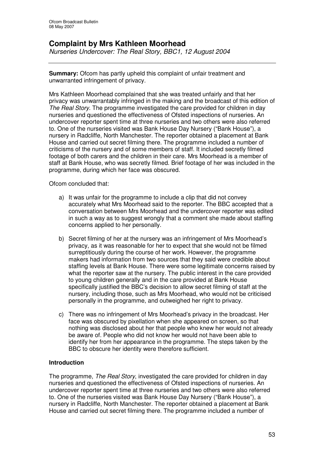# **Complaint by Mrs Kathleen Moorhead**

*Nurseries Undercover: The Real Story, BBC1, 12 August 2004*

**Summary:** Ofcom has partly upheld this complaint of unfair treatment and unwarranted infringement of privacy.

Mrs Kathleen Moorhead complained that she was treated unfairly and that her privacy was unwarrantably infringed in the making and the broadcast of this edition of *The Real Story*. The programme investigated the care provided for children in day nurseries and questioned the effectiveness of Ofsted inspections of nurseries. An undercover reporter spent time at three nurseries and two others were also referred to. One of the nurseries visited was Bank House Day Nursery ("Bank House"), a nursery in Radcliffe, North Manchester. The reporter obtained a placement at Bank House and carried out secret filming there. The programme included a number of criticisms of the nursery and of some members of staff. It included secretly filmed footage of both carers and the children in their care. Mrs Moorhead is a member of staff at Bank House, who was secretly filmed. Brief footage of her was included in the programme, during which her face was obscured.

Ofcom concluded that:

- a) It was unfair for the programme to include a clip that did not convey accurately what Mrs Moorhead said to the reporter. The BBC accepted that a conversation between Mrs Moorhead and the undercover reporter was edited in such a way as to suggest wrongly that a comment she made about staffing concerns applied to her personally.
- b) Secret filming of her at the nursery was an infringement of Mrs Moorhead's privacy, as it was reasonable for her to expect that she would not be filmed surreptitiously during the course of her work. However, the programme makers had information from two sources that they said were credible about staffing levels at Bank House. There were some legitimate concerns raised by what the reporter saw at the nursery. The public interest in the care provided to young children generally and in the care provided at Bank House specifically justified the BBC's decision to allow secret filming of staff at the nursery, including those, such as Mrs Moorhead, who would not be criticised personally in the programme, and outweighed her right to privacy.
- c) There was no infringement of Mrs Moorhead's privacy in the broadcast. Her face was obscured by pixellation when she appeared on screen, so that nothing was disclosed about her that people who knew her would not already be aware of. People who did not know her would not have been able to identify her from her appearance in the programme. The steps taken by the BBC to obscure her identity were therefore sufficient.

#### **Introduction**

The programme, *The Real Story*, investigated the care provided for children in day nurseries and questioned the effectiveness of Ofsted inspections of nurseries. An undercover reporter spent time at three nurseries and two others were also referred to. One of the nurseries visited was Bank House Day Nursery ("Bank House"), a nursery in Radcliffe, North Manchester. The reporter obtained a placement at Bank House and carried out secret filming there. The programme included a number of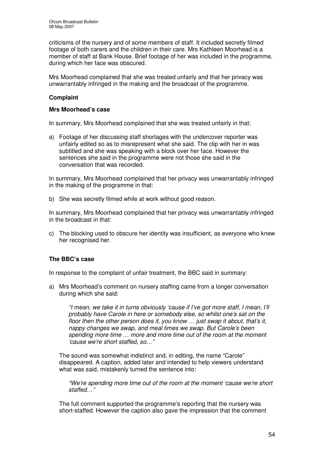criticisms of the nursery and of some members of staff. It included secretly filmed footage of both carers and the children in their care. Mrs Kathleen Moorhead is a member of staff at Bank House. Brief footage of her was included in the programme, during which her face was obscured.

Mrs Moorhead complained that she was treated unfairly and that her privacy was unwarrantably infringed in the making and the broadcast of the programme.

# **Complaint**

#### **Mrs Moorhead's case**

In summary, Mrs Moorhead complained that she was treated unfairly in that:

a) Footage of her discussing staff shortages with the undercover reporter was unfairly edited so as to misrepresent what she said. The clip with her in was subtitled and she was speaking with a block over her face. However the sentences she said in the programme were not those she said in the conversation that was recorded.

In summary, Mrs Moorhead complained that her privacy was unwarrantably infringed in the making of the programme in that:

b) She was secretly filmed while at work without good reason.

In summary, Mrs Moorhead complained that her privacy was unwarrantably infringed in the broadcast in that:

c) The blocking used to obscure her identity was insufficient, as everyone who knew her recognised her.

#### **The BBC's case**

In response to the complaint of unfair treatment, the BBC said in summary:

a) Mrs Moorhead's comment on nursery staffing came from a longer conversation during which she said:

*"I mean, we take it in turns obviously 'cause if I've got more staff, I mean, I'll probably have Carole in here or somebody else, so whilst one's sat on the floor then the other person does it, you know … just swap it about, that's it, nappy changes we swap, and meal times we swap. But Carole's been spending more time … more and more time out of the room at the moment 'cause we're short staffed, so…"*

The sound was somewhat indistinct and, in editing, the name "Carole" disappeared. A caption, added later and intended to help viewers understand what was said, mistakenly turned the sentence into:

*"We're spending more time out of the room at the moment 'cause we're short staffed…"*

The full comment supported the programme's reporting that the nursery was short-staffed. However the caption also gave the impression that the comment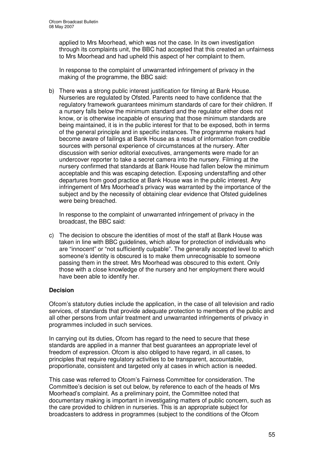applied to Mrs Moorhead, which was not the case. In its own investigation through its complaints unit, the BBC had accepted that this created an unfairness to Mrs Moorhead and had upheld this aspect of her complaint to them.

In response to the complaint of unwarranted infringement of privacy in the making of the programme, the BBC said:

b) There was a strong public interest justification for filming at Bank House. Nurseries are regulated by Ofsted. Parents need to have confidence that the regulatory framework guarantees minimum standards of care for their children. If a nursery falls below the minimum standard and the regulator either does not know, or is otherwise incapable of ensuring that those minimum standards are being maintained, it is in the public interest for that to be exposed, both in terms of the general principle and in specific instances. The programme makers had become aware of failings at Bank House as a result of information from credible sources with personal experience of circumstances at the nursery. After discussion with senior editorial executives, arrangements were made for an undercover reporter to take a secret camera into the nursery. Filming at the nursery confirmed that standards at Bank House had fallen below the minimum acceptable and this was escaping detection. Exposing understaffing and other departures from good practice at Bank House was in the public interest. Any infringement of Mrs Moorhead's privacy was warranted by the importance of the subject and by the necessity of obtaining clear evidence that Ofsted guidelines were being breached.

In response to the complaint of unwarranted infringement of privacy in the broadcast, the BBC said:

c) The decision to obscure the identities of most of the staff at Bank House was taken in line with BBC guidelines, which allow for protection of individuals who are "innocent" or "not sufficiently culpable". The generally accepted level to which someone's identity is obscured is to make them unrecognisable to someone passing them in the street. Mrs Moorhead was obscured to this extent. Only those with a close knowledge of the nursery and her employment there would have been able to identify her.

# **Decision**

Ofcom's statutory duties include the application, in the case of all television and radio services, of standards that provide adequate protection to members of the public and all other persons from unfair treatment and unwarranted infringements of privacy in programmes included in such services.

In carrying out its duties, Ofcom has regard to the need to secure that these standards are applied in a manner that best guarantees an appropriate level of freedom of expression. Ofcom is also obliged to have regard, in all cases, to principles that require regulatory activities to be transparent, accountable, proportionate, consistent and targeted only at cases in which action is needed.

This case was referred to Ofcom's Fairness Committee for consideration. The Committee's decision is set out below, by reference to each of the heads of Mrs Moorhead's complaint. As a preliminary point, the Committee noted that documentary making is important in investigating matters of public concern, such as the care provided to children in nurseries. This is an appropriate subject for broadcasters to address in programmes (subject to the conditions of the Ofcom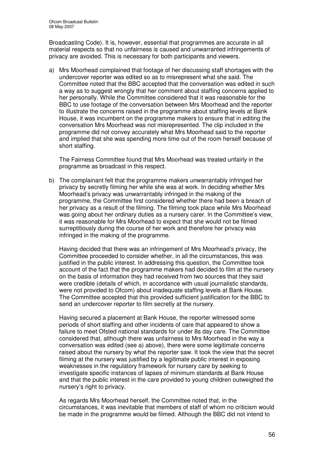Broadcasting Code). It is, however, essential that programmes are accurate in all material respects so that no unfairness is caused and unwarranted infringements of privacy are avoided. This is necessary for both participants and viewers.

a) Mrs Moorhead complained that footage of her discussing staff shortages with the undercover reporter was edited so as to misrepresent what she said. The Committee noted that the BBC accepted that the conversation was edited in such a way as to suggest wrongly that her comment about staffing concerns applied to her personally. While the Committee considered that it was reasonable for the BBC to use footage of the conversation between Mrs Moorhead and the reporter to illustrate the concerns raised in the programme about staffing levels at Bank House, it was incumbent on the programme makers to ensure that in editing the conversation Mrs Moorhead was not misrepresented. The clip included in the programme did not convey accurately what Mrs Moorhead said to the reporter and implied that she was spending more time out of the room herself because of short staffing.

The Fairness Committee found that Mrs Moorhead was treated unfairly in the programme as broadcast in this respect.

b) The complainant felt that the programme makers unwarrantably infringed her privacy by secretly filming her while she was at work. In deciding whether Mrs Moorhead's privacy was unwarrantably infringed in the making of the programme, the Committee first considered whether there had been a breach of her privacy as a result of the filming. The filming took place while Mrs Moorhead was going about her ordinary duties as a nursery carer. In the Committee's view, it was reasonable for Mrs Moorhead to expect that she would not be filmed surreptitiously during the course of her work and therefore her privacy was infringed in the making of the programme.

Having decided that there was an infringement of Mrs Moorhead's privacy, the Committee proceeded to consider whether, in all the circumstances, this was justified in the public interest. In addressing this question, the Committee took account of the fact that the programme makers had decided to film at the nursery on the basis of information they had received from two sources that they said were credible (details of which, in accordance with usual journalistic standards, were not provided to Ofcom) about inadequate staffing levels at Bank House. The Committee accepted that this provided sufficient justification for the BBC to send an undercover reporter to film secretly at the nursery.

Having secured a placement at Bank House, the reporter witnessed some periods of short staffing and other incidents of care that appeared to show a failure to meet Ofsted national standards for under 8s day care. The Committee considered that, although there was unfairness to Mrs Moorhead in the way a conversation was edited (see a) above), there were some legitimate concerns raised about the nursery by what the reporter saw. It took the view that the secret filming at the nursery was justified by a legitimate public interest in exposing weaknesses in the regulatory framework for nursery care by seeking to investigate specific instances of lapses of minimum standards at Bank House and that the public interest in the care provided to young children outweighed the nursery's right to privacy.

As regards Mrs Moorhead herself, the Committee noted that, in the circumstances, it was inevitable that members of staff of whom no criticism would be made in the programme would be filmed. Although the BBC did not intend to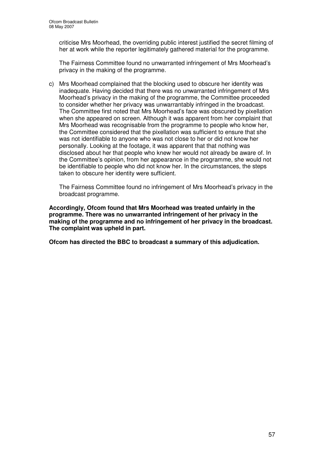criticise Mrs Moorhead, the overriding public interest justified the secret filming of her at work while the reporter legitimately gathered material for the programme.

The Fairness Committee found no unwarranted infringement of Mrs Moorhead's privacy in the making of the programme.

c) Mrs Moorhead complained that the blocking used to obscure her identity was inadequate. Having decided that there was no unwarranted infringement of Mrs Moorhead's privacy in the making of the programme, the Committee proceeded to consider whether her privacy was unwarrantably infringed in the broadcast. The Committee first noted that Mrs Moorhead's face was obscured by pixellation when she appeared on screen. Although it was apparent from her complaint that Mrs Moorhead was recognisable from the programme to people who know her, the Committee considered that the pixellation was sufficient to ensure that she was not identifiable to anyone who was not close to her or did not know her personally. Looking at the footage, it was apparent that that nothing was disclosed about her that people who knew her would not already be aware of. In the Committee's opinion, from her appearance in the programme, she would not be identifiable to people who did not know her. In the circumstances, the steps taken to obscure her identity were sufficient.

The Fairness Committee found no infringement of Mrs Moorhead's privacy in the broadcast programme.

**Accordingly, Ofcom found that Mrs Moorhead was treated unfairly in the programme. There was no unwarranted infringement of her privacy in the making of the programme and no infringement of her privacy in the broadcast. The complaint was upheld in part.**

**Ofcom has directed the BBC to broadcast a summary of this adjudication.**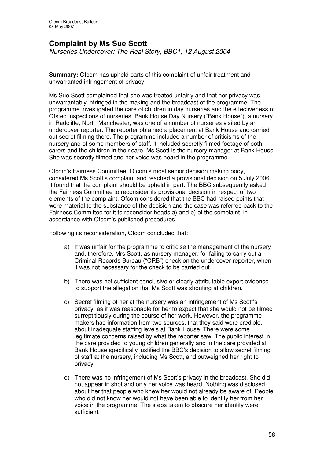# **Complaint by Ms Sue Scott**

*Nurseries Undercover: The Real Story, BBC1, 12 August 2004*

**Summary:** Ofcom has upheld parts of this complaint of unfair treatment and unwarranted infringement of privacy.

Ms Sue Scott complained that she was treated unfairly and that her privacy was unwarrantably infringed in the making and the broadcast of the programme. The programme investigated the care of children in day nurseries and the effectiveness of Ofsted inspections of nurseries. Bank House Day Nursery ("Bank House"), a nursery in Radcliffe, North Manchester, was one of a number of nurseries visited by an undercover reporter. The reporter obtained a placement at Bank House and carried out secret filming there. The programme included a number of criticisms of the nursery and of some members of staff. It included secretly filmed footage of both carers and the children in their care. Ms Scott is the nursery manager at Bank House. She was secretly filmed and her voice was heard in the programme.

Ofcom's Fairness Committee, Ofcom's most senior decision making body, considered Ms Scott's complaint and reached a provisional decision on 5 July 2006. It found that the complaint should be upheld in part. The BBC subsequently asked the Fairness Committee to reconsider its provisional decision in respect of two elements of the complaint. Ofcom considered that the BBC had raised points that were material to the substance of the decision and the case was referred back to the Fairness Committee for it to reconsider heads a) and b) of the complaint, in accordance with Ofcom's published procedures.

Following its reconsideration, Ofcom concluded that:

- a) It was unfair for the programme to criticise the management of the nursery and, therefore, Mrs Scott, as nursery manager, for failing to carry out a Criminal Records Bureau ("CRB") check on the undercover reporter, when it was not necessary for the check to be carried out.
- b) There was not sufficient conclusive or clearly attributable expert evidence to support the allegation that Ms Scott was shouting at children.
- c) Secret filming of her at the nursery was an infringement of Ms Scott's privacy, as it was reasonable for her to expect that she would not be filmed surreptitiously during the course of her work. However, the programme makers had information from two sources, that they said were credible, about inadequate staffing levels at Bank House. There were some legitimate concerns raised by what the reporter saw. The public interest in the care provided to young children generally and in the care provided at Bank House specifically justified the BBC's decision to allow secret filming of staff at the nursery, including Ms Scott, and outweighed her right to privacy.
- d) There was no infringement of Ms Scott's privacy in the broadcast. She did not appear in shot and only her voice was heard. Nothing was disclosed about her that people who knew her would not already be aware of. People who did not know her would not have been able to identify her from her voice in the programme. The steps taken to obscure her identity were sufficient.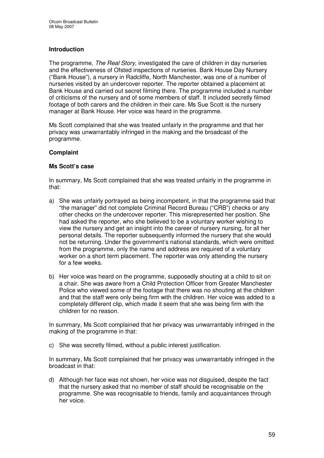# **Introduction**

The programme, *The Real Story*, investigated the care of children in day nurseries and the effectiveness of Ofsted inspections of nurseries. Bank House Day Nursery ("Bank House"), a nursery in Radcliffe, North Manchester, was one of a number of nurseries visited by an undercover reporter. The reporter obtained a placement at Bank House and carried out secret filming there. The programme included a number of criticisms of the nursery and of some members of staff. It included secretly filmed footage of both carers and the children in their care. Ms Sue Scott is the nursery manager at Bank House. Her voice was heard in the programme.

Ms Scott complained that she was treated unfairly in the programme and that her privacy was unwarrantably infringed in the making and the broadcast of the programme.

#### **Complaint**

#### **Ms Scott's case**

In summary, Ms Scott complained that she was treated unfairly in the programme in that:

- a) She was unfairly portrayed as being incompetent, in that the programme said that "the manager" did not complete Criminal Record Bureau ("CRB") checks or any other checks on the undercover reporter. This misrepresented her position. She had asked the reporter, who she believed to be a voluntary worker wishing to view the nursery and get an insight into the career of nursery nursing, for all her personal details. The reporter subsequently informed the nursery that she would not be returning. Under the government's national standards, which were omitted from the programme, only the name and address are required of a voluntary worker on a short term placement. The reporter was only attending the nursery for a few weeks.
- b) Her voice was heard on the programme, supposedly shouting at a child to sit on a chair. She was aware from a Child Protection Officer from Greater Manchester Police who viewed some of the footage that there was no shouting at the children and that the staff were only being firm with the children. Her voice was added to a completely different clip, which made it seem that she was being firm with the children for no reason.

In summary, Ms Scott complained that her privacy was unwarrantably infringed in the making of the programme in that:

c) She was secretly filmed, without a public interest justification.

In summary, Ms Scott complained that her privacy was unwarrantably infringed in the broadcast in that:

d) Although her face was not shown, her voice was not disguised, despite the fact that the nursery asked that no member of staff should be recognisable on the programme. She was recognisable to friends, family and acquaintances through her voice.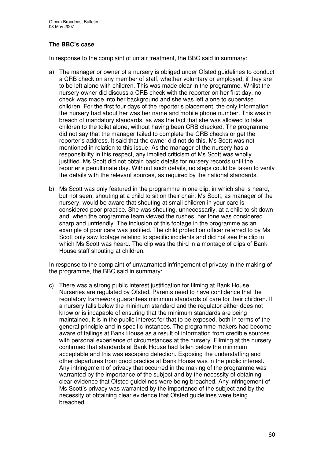# **The BBC's case**

In response to the complaint of unfair treatment, the BBC said in summary:

- a) The manager or owner of a nursery is obliged under Ofsted guidelines to conduct a CRB check on any member of staff, whether voluntary or employed, if they are to be left alone with children. This was made clear in the programme. Whilst the nursery owner did discuss a CRB check with the reporter on her first day, no check was made into her background and she was left alone to supervise children. For the first four days of the reporter's placement, the only information the nursery had about her was her name and mobile phone number. This was in breach of mandatory standards, as was the fact that she was allowed to take children to the toilet alone, without having been CRB checked. The programme did not say that the manager failed to complete the CRB checks or get the reporter's address. It said that the owner did not do this. Ms Scott was not mentioned in relation to this issue. As the manager of the nursery has a responsibility in this respect, any implied criticism of Ms Scott was wholly justified. Ms Scott did not obtain basic details for nursery records until the reporter's penultimate day. Without such details, no steps could be taken to verify the details with the relevant sources, as required by the national standards.
- b) Ms Scott was only featured in the programme in one clip, in which she is heard, but not seen, shouting at a child to sit on their chair. Ms Scott, as manager of the nursery, would be aware that shouting at small children in your care is considered poor practice. She was shouting, unnecessarily, at a child to sit down and, when the programme team viewed the rushes, her tone was considered sharp and unfriendly. The inclusion of this footage in the programme as an example of poor care was justified. The child protection officer referred to by Ms Scott only saw footage relating to specific incidents and did not see the clip in which Ms Scott was heard. The clip was the third in a montage of clips of Bank House staff shouting at children.

In response to the complaint of unwarranted infringement of privacy in the making of the programme, the BBC said in summary:

c) There was a strong public interest justification for filming at Bank House. Nurseries are regulated by Ofsted. Parents need to have confidence that the regulatory framework guarantees minimum standards of care for their children. If a nursery falls below the minimum standard and the regulator either does not know or is incapable of ensuring that the minimum standards are being maintained, it is in the public interest for that to be exposed, both in terms of the general principle and in specific instances. The programme makers had become aware of failings at Bank House as a result of information from credible sources with personal experience of circumstances at the nursery. Filming at the nursery confirmed that standards at Bank House had fallen below the minimum acceptable and this was escaping detection. Exposing the understaffing and other departures from good practice at Bank House was in the public interest. Any infringement of privacy that occurred in the making of the programme was warranted by the importance of the subject and by the necessity of obtaining clear evidence that Ofsted guidelines were being breached. Any infringement of Ms Scott's privacy was warranted by the importance of the subject and by the necessity of obtaining clear evidence that Ofsted guidelines were being breached.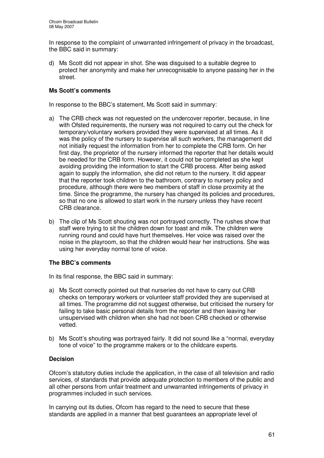In response to the complaint of unwarranted infringement of privacy in the broadcast, the BBC said in summary:

d) Ms Scott did not appear in shot. She was disguised to a suitable degree to protect her anonymity and make her unrecognisable to anyone passing her in the street.

# **Ms Scott's comments**

In response to the BBC's statement, Ms Scott said in summary:

- a) The CRB check was not requested on the undercover reporter, because, in line with Ofsted requirements, the nursery was not required to carry out the check for temporary/voluntary workers provided they were supervised at all times. As it was the policy of the nursery to supervise all such workers, the management did not initially request the information from her to complete the CRB form. On her first day, the proprietor of the nursery informed the reporter that her details would be needed for the CRB form. However, it could not be completed as she kept avoiding providing the information to start the CRB process. After being asked again to supply the information, she did not return to the nursery. It did appear that the reporter took children to the bathroom, contrary to nursery policy and procedure, although there were two members of staff in close proximity at the time. Since the programme, the nursery has changed its policies and procedures, so that no one is allowed to start work in the nursery unless they have recent CRB clearance.
- b) The clip of Ms Scott shouting was not portrayed correctly. The rushes show that staff were trying to sit the children down for toast and milk. The children were running round and could have hurt themselves. Her voice was raised over the noise in the playroom, so that the children would hear her instructions. She was using her everyday normal tone of voice.

# **The BBC's comments**

In its final response, the BBC said in summary:

- a) Ms Scott correctly pointed out that nurseries do not have to carry out CRB checks on temporary workers or volunteer staff provided they are supervised at all times. The programme did not suggest otherwise, but criticised the nursery for failing to take basic personal details from the reporter and then leaving her unsupervised with children when she had not been CRB checked or otherwise vetted.
- b) Ms Scott's shouting was portrayed fairly. It did not sound like a "normal, everyday tone of voice" to the programme makers or to the childcare experts.

#### **Decision**

Ofcom's statutory duties include the application, in the case of all television and radio services, of standards that provide adequate protection to members of the public and all other persons from unfair treatment and unwarranted infringements of privacy in programmes included in such services.

In carrying out its duties, Ofcom has regard to the need to secure that these standards are applied in a manner that best guarantees an appropriate level of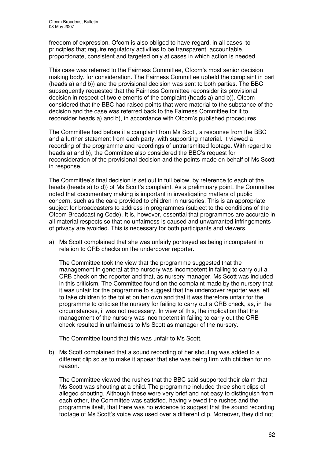freedom of expression. Ofcom is also obliged to have regard, in all cases, to principles that require regulatory activities to be transparent, accountable, proportionate, consistent and targeted only at cases in which action is needed.

This case was referred to the Fairness Committee, Ofcom's most senior decision making body, for consideration. The Fairness Committee upheld the complaint in part (heads a) and b)) and the provisional decision was sent to both parties. The BBC subsequently requested that the Fairness Committee reconsider its provisional decision in respect of two elements of the complaint (heads a) and b)). Ofcom considered that the BBC had raised points that were material to the substance of the decision and the case was referred back to the Fairness Committee for it to reconsider heads a) and b), in accordance with Ofcom's published procedures.

The Committee had before it a complaint from Ms Scott, a response from the BBC and a further statement from each party, with supporting material. It viewed a recording of the programme and recordings of untransmitted footage. With regard to heads a) and b), the Committee also considered the BBC's request for reconsideration of the provisional decision and the points made on behalf of Ms Scott in response.

The Committee's final decision is set out in full below, by reference to each of the heads (heads a) to d)) of Ms Scott's complaint. As a preliminary point, the Committee noted that documentary making is important in investigating matters of public concern, such as the care provided to children in nurseries. This is an appropriate subject for broadcasters to address in programmes (subject to the conditions of the Ofcom Broadcasting Code). It is, however, essential that programmes are accurate in all material respects so that no unfairness is caused and unwarranted infringements of privacy are avoided. This is necessary for both participants and viewers.

a) Ms Scott complained that she was unfairly portrayed as being incompetent in relation to CRB checks on the undercover reporter.

The Committee took the view that the programme suggested that the management in general at the nursery was incompetent in failing to carry out a CRB check on the reporter and that, as nursery manager, Ms Scott was included in this criticism. The Committee found on the complaint made by the nursery that it was unfair for the programme to suggest that the undercover reporter was left to take children to the toilet on her own and that it was therefore unfair for the programme to criticise the nursery for failing to carry out a CRB check, as, in the circumstances, it was not necessary. In view of this, the implication that the management of the nursery was incompetent in failing to carry out the CRB check resulted in unfairness to Ms Scott as manager of the nursery.

The Committee found that this was unfair to Ms Scott.

b) Ms Scott complained that a sound recording of her shouting was added to a different clip so as to make it appear that she was being firm with children for no reason.

The Committee viewed the rushes that the BBC said supported their claim that Ms Scott was shouting at a child. The programme included three short clips of alleged shouting. Although these were very brief and not easy to distinguish from each other, the Committee was satisfied, having viewed the rushes and the programme itself, that there was no evidence to suggest that the sound recording footage of Ms Scott's voice was used over a different clip. Moreover, they did not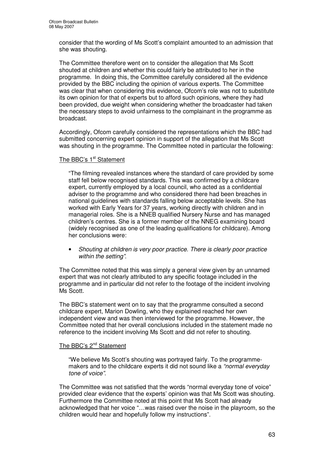consider that the wording of Ms Scott's complaint amounted to an admission that she was shouting.

The Committee therefore went on to consider the allegation that Ms Scott shouted at children and whether this could fairly be attributed to her in the programme. In doing this, the Committee carefully considered all the evidence provided by the BBC including the opinion of various experts. The Committee was clear that when considering this evidence, Ofcom's role was not to substitute its own opinion for that of experts but to afford such opinions, where they had been provided, due weight when considering whether the broadcaster had taken the necessary steps to avoid unfairness to the complainant in the programme as broadcast.

Accordingly, Ofcom carefully considered the representations which the BBC had submitted concerning expert opinion in support of the allegation that Ms Scott was shouting in the programme. The Committee noted in particular the following:

#### The BBC's 1<sup>st</sup> Statement

"The filming revealed instances where the standard of care provided by some staff fell below recognised standards. This was confirmed by a childcare expert, currently employed by a local council, who acted as a confidential adviser to the programme and who considered there had been breaches in national guidelines with standards falling below acceptable levels. She has worked with Early Years for 37 years, working directly with children and in managerial roles. She is a NNEB qualified Nursery Nurse and has managed children's centres. She is a former member of the NNEG examining board (widely recognised as one of the leading qualifications for childcare). Among her conclusions were:

• *Shouting at children is very poor practice. There is clearly poor practice within the setting"*.

The Committee noted that this was simply a general view given by an unnamed expert that was not clearly attributed to any specific footage included in the programme and in particular did not refer to the footage of the incident involving Ms Scott.

The BBC's statement went on to say that the programme consulted a second childcare expert, Marion Dowling, who they explained reached her own independent view and was then interviewed for the programme. However, the Committee noted that her overall conclusions included in the statement made no reference to the incident involving Ms Scott and did not refer to shouting.

#### The BBC's 2<sup>nd</sup> Statement

"We believe Ms Scott's shouting was portrayed fairly. To the programmemakers and to the childcare experts it did not sound like a *"normal everyday tone of voice"*.

The Committee was not satisfied that the words "normal everyday tone of voice" provided clear evidence that the experts' opinion was that Ms Scott was shouting. Furthermore the Committee noted at this point that Ms Scott had already acknowledged that her voice "…was raised over the noise in the playroom, so the children would hear and hopefully follow my instructions".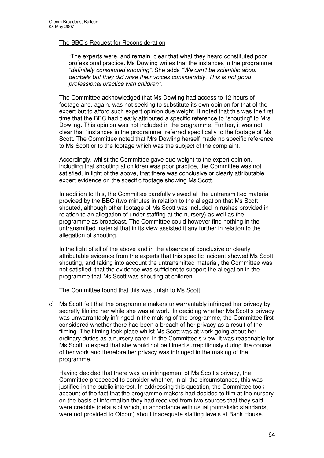#### The BBC's Request for Reconsideration

"The experts were, and remain, clear that what they heard constituted poor professional practice. Ms Dowling writes that the instances in the programme *"definitely constituted shouting".* She adds *"We can't be scientific about decibels but they did raise their voices considerably. This is not good professional practice with children"*.

The Committee acknowledged that Ms Dowling had access to 12 hours of footage and, again, was not seeking to substitute its own opinion for that of the expert but to afford such expert opinion due weight. It noted that this was the first time that the BBC had clearly attributed a specific reference to "shouting" to Mrs Dowling. This opinion was not included in the programme. Further, it was not clear that "instances in the programme" referred specifically to the footage of Ms Scott. The Committee noted that Mrs Dowling herself made no specific reference to Ms Scott or to the footage which was the subject of the complaint.

Accordingly, whilst the Committee gave due weight to the expert opinion, including that shouting at children was poor practice, the Committee was not satisfied, in light of the above, that there was conclusive or clearly attributable expert evidence on the specific footage showing Ms Scott.

In addition to this, the Committee carefully viewed all the untransmitted material provided by the BBC (two minutes in relation to the allegation that Ms Scott shouted, although other footage of Ms Scott was included in rushes provided in relation to an allegation of under staffing at the nursery) as well as the programme as broadcast. The Committee could however find nothing in the untransmitted material that in its view assisted it any further in relation to the allegation of shouting.

In the light of all of the above and in the absence of conclusive or clearly attributable evidence from the experts that this specific incident showed Ms Scott shouting, and taking into account the untransmitted material, the Committee was not satisfied, that the evidence was sufficient to support the allegation in the programme that Ms Scott was shouting at children.

The Committee found that this was unfair to Ms Scott.

c) Ms Scott felt that the programme makers unwarrantably infringed her privacy by secretly filming her while she was at work. In deciding whether Ms Scott's privacy was unwarrantably infringed in the making of the programme, the Committee first considered whether there had been a breach of her privacy as a result of the filming. The filming took place whilst Ms Scott was at work going about her ordinary duties as a nursery carer. In the Committee's view, it was reasonable for Ms Scott to expect that she would not be filmed surreptitiously during the course of her work and therefore her privacy was infringed in the making of the programme.

Having decided that there was an infringement of Ms Scott's privacy, the Committee proceeded to consider whether, in all the circumstances, this was justified in the public interest. In addressing this question, the Committee took account of the fact that the programme makers had decided to film at the nursery on the basis of information they had received from two sources that they said were credible (details of which, in accordance with usual journalistic standards, were not provided to Ofcom) about inadequate staffing levels at Bank House.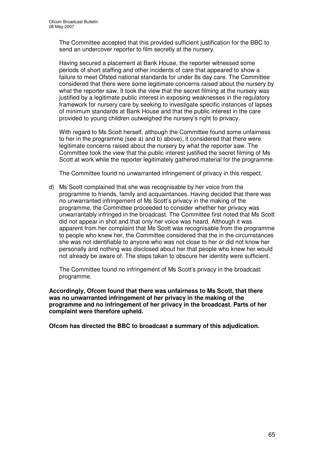The Committee accepted that this provided sufficient justification for the BBC to send an undercover reporter to film secretly at the nursery.

Having secured a placement at Bank House, the reporter witnessed some periods of short staffing and other incidents of care that appeared to show a failure to meet Ofsted national standards for under 8s day care. The Committee considered that there were some legitimate concerns raised about the nursery by what the reporter saw. It took the view that the secret filming at the nursery was justified by a legitimate public interest in exposing weaknesses in the regulatory framework for nursery care by seeking to investigate specific instances of lapses of minimum standards at Bank House and that the public interest in the care provided to young children outweighed the nursery's right to privacy.

With regard to Ms Scott herself, although the Committee found some unfairness to her in the programme (see a) and b) above), it considered that there were legitimate concerns raised about the nursery by what the reporter saw. The Committee took the view that the public interest justified the secret filming of Ms Scott at work while the reporter legitimately gathered material for the programme.

The Committee found no unwarranted infringement of privacy in this respect.

d) Ms Scott complained that she was recognisable by her voice from the programme to friends, family and acquaintances. Having decided that there was no unwarranted infringement of Ms Scott's privacy in the making of the programme, the Committee proceeded to consider whether her privacy was unwarrantably infringed in the broadcast. The Committee first noted that Ms Scott did not appear in shot and that only her voice was heard. Although it was apparent from her complaint that Ms Scott was recognisable from the programme to people who knew her, the Committee considered that the in the circumstances she was not identifiable to anyone who was not close to her or did not know her personally and nothing was disclosed about her that people who knew her would not already be aware of. The steps taken to obscure her identity were sufficient.

The Committee found no infringement of Ms Scott's privacy in the broadcast programme.

**Accordingly, Ofcom found that there was unfairness to Ms Scott, that there was no unwarranted infringement of her privacy in the making of the programme and no infringement of her privacy in the broadcast. Parts of her complaint were therefore upheld.**

**Ofcom has directed the BBC to broadcast a summary of this adjudication.**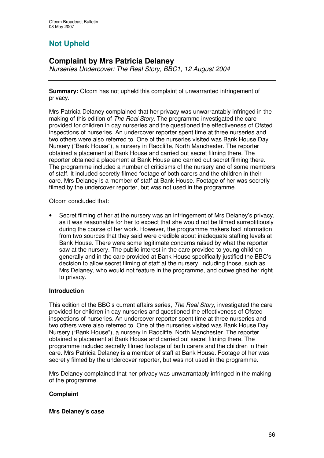# **Not Upheld**

# **Complaint by Mrs Patricia Delaney**

*Nurseries Undercover: The Real Story, BBC1, 12 August 2004*

**Summary:** Ofcom has not upheld this complaint of unwarranted infringement of privacy.

Mrs Patricia Delaney complained that her privacy was unwarrantably infringed in the making of this edition of *The Real Story*. The programme investigated the care provided for children in day nurseries and the questioned the effectiveness of Ofsted inspections of nurseries. An undercover reporter spent time at three nurseries and two others were also referred to. One of the nurseries visited was Bank House Day Nursery ("Bank House"), a nursery in Radcliffe, North Manchester. The reporter obtained a placement at Bank House and carried out secret filming there. The reporter obtained a placement at Bank House and carried out secret filming there. The programme included a number of criticisms of the nursery and of some members of staff. It included secretly filmed footage of both carers and the children in their care. Mrs Delaney is a member of staff at Bank House. Footage of her was secretly filmed by the undercover reporter, but was not used in the programme.

# Ofcom concluded that:

• Secret filming of her at the nursery was an infringement of Mrs Delaney's privacy, as it was reasonable for her to expect that she would not be filmed surreptitiously during the course of her work. However, the programme makers had information from two sources that they said were credible about inadequate staffing levels at Bank House. There were some legitimate concerns raised by what the reporter saw at the nursery. The public interest in the care provided to young children generally and in the care provided at Bank House specifically justified the BBC's decision to allow secret filming of staff at the nursery, including those, such as Mrs Delaney, who would not feature in the programme, and outweighed her right to privacy.

# **Introduction**

This edition of the BBC's current affairs series, *The Real Story*, investigated the care provided for children in day nurseries and questioned the effectiveness of Ofsted inspections of nurseries. An undercover reporter spent time at three nurseries and two others were also referred to. One of the nurseries visited was Bank House Day Nursery ("Bank House"), a nursery in Radcliffe, North Manchester. The reporter obtained a placement at Bank House and carried out secret filming there. The programme included secretly filmed footage of both carers and the children in their care. Mrs Patricia Delaney is a member of staff at Bank House. Footage of her was secretly filmed by the undercover reporter, but was not used in the programme.

Mrs Delaney complained that her privacy was unwarrantably infringed in the making of the programme.

# **Complaint**

#### **Mrs Delaney's case**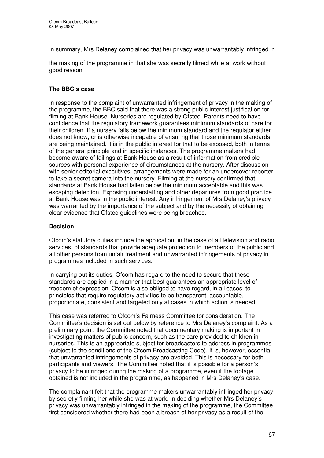In summary, Mrs Delaney complained that her privacy was unwarrantably infringed in

the making of the programme in that she was secretly filmed while at work without good reason.

# **The BBC's case**

In response to the complaint of unwarranted infringement of privacy in the making of the programme, the BBC said that there was a strong public interest justification for filming at Bank House. Nurseries are regulated by Ofsted. Parents need to have confidence that the regulatory framework guarantees minimum standards of care for their children. If a nursery falls below the minimum standard and the regulator either does not know, or is otherwise incapable of ensuring that those minimum standards are being maintained, it is in the public interest for that to be exposed, both in terms of the general principle and in specific instances. The programme makers had become aware of failings at Bank House as a result of information from credible sources with personal experience of circumstances at the nursery. After discussion with senior editorial executives, arrangements were made for an undercover reporter to take a secret camera into the nursery. Filming at the nursery confirmed that standards at Bank House had fallen below the minimum acceptable and this was escaping detection. Exposing understaffing and other departures from good practice at Bank House was in the public interest. Any infringement of Mrs Delaney's privacy was warranted by the importance of the subject and by the necessity of obtaining clear evidence that Ofsted guidelines were being breached.

#### **Decision**

Ofcom's statutory duties include the application, in the case of all television and radio services, of standards that provide adequate protection to members of the public and all other persons from unfair treatment and unwarranted infringements of privacy in programmes included in such services.

In carrying out its duties, Ofcom has regard to the need to secure that these standards are applied in a manner that best guarantees an appropriate level of freedom of expression. Ofcom is also obliged to have regard, in all cases, to principles that require regulatory activities to be transparent, accountable, proportionate, consistent and targeted only at cases in which action is needed.

This case was referred to Ofcom's Fairness Committee for consideration. The Committee's decision is set out below by reference to Mrs Delaney's complaint. As a preliminary point, the Committee noted that documentary making is important in investigating matters of public concern, such as the care provided to children in nurseries. This is an appropriate subject for broadcasters to address in programmes (subject to the conditions of the Ofcom Broadcasting Code). It is, however, essential that unwarranted infringements of privacy are avoided. This is necessary for both participants and viewers. The Committee noted that it is possible for a person's privacy to be infringed during the making of a programme, even if the footage obtained is not included in the programme, as happened in Mrs Delaney's case.

The complainant felt that the programme makers unwarrantably infringed her privacy by secretly filming her while she was at work. In deciding whether Mrs Delaney's privacy was unwarrantably infringed in the making of the programme, the Committee first considered whether there had been a breach of her privacy as a result of the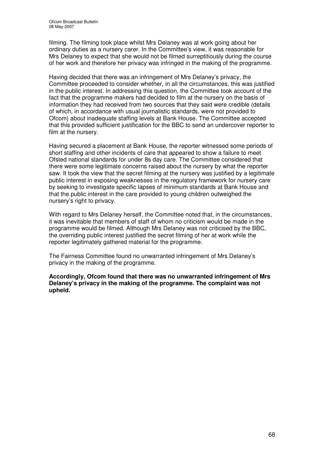filming. The filming took place whilst Mrs Delaney was at work going about her ordinary duties as a nursery carer. In the Committee's view, it was reasonable for Mrs Delaney to expect that she would not be filmed surreptitiously during the course of her work and therefore her privacy was infringed in the making of the programme.

Having decided that there was an infringement of Mrs Delaney's privacy, the Committee proceeded to consider whether, in all the circumstances, this was justified in the public interest. In addressing this question, the Committee took account of the fact that the programme makers had decided to film at the nursery on the basis of information they had received from two sources that they said were credible (details of which, in accordance with usual journalistic standards, were not provided to Ofcom) about inadequate staffing levels at Bank House. The Committee accepted that this provided sufficient justification for the BBC to send an undercover reporter to film at the nursery.

Having secured a placement at Bank House, the reporter witnessed some periods of short staffing and other incidents of care that appeared to show a failure to meet Ofsted national standards for under 8s day care. The Committee considered that there were some legitimate concerns raised about the nursery by what the reporter saw. It took the view that the secret filming at the nursery was justified by a legitimate public interest in exposing weaknesses in the regulatory framework for nursery care by seeking to investigate specific lapses of minimum standards at Bank House and that the public interest in the care provided to young children outweighed the nursery's right to privacy.

With regard to Mrs Delaney herself, the Committee noted that, in the circumstances, it was inevitable that members of staff of whom no criticism would be made in the programme would be filmed. Although Mrs Delaney was not criticised by the BBC, the overriding public interest justified the secret filming of her at work while the reporter legitimately gathered material for the programme.

The Fairness Committee found no unwarranted infringement of Mrs Delaney's privacy in the making of the programme.

**Accordingly, Ofcom found that there was no unwarranted infringement of Mrs Delaney's privacy in the making of the programme. The complaint was not upheld.**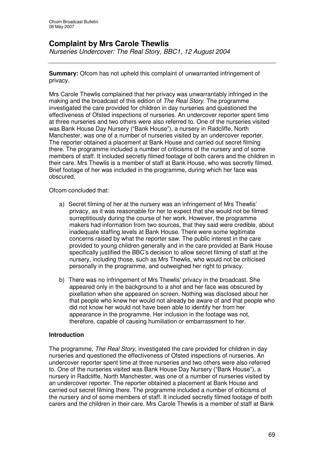# **Complaint by Mrs Carole Thewlis**

*Nurseries Undercover: The Real Story, BBC1, 12 August 2004*

**Summary:** Ofcom has not upheld this complaint of unwarranted infringement of privacy.

Mrs Carole Thewlis complained that her privacy was unwarrantably infringed in the making and the broadcast of this edition of *The Real Story*. The programme investigated the care provided for children in day nurseries and questioned the effectiveness of Ofsted inspections of nurseries. An undercover reporter spent time at three nurseries and two others were also referred to. One of the nurseries visited was Bank House Day Nursery ("Bank House"), a nursery in Radcliffe, North Manchester, was one of a number of nurseries visited by an undercover reporter. The reporter obtained a placement at Bank House and carried out secret filming there. The programme included a number of criticisms of the nursery and of some members of staff. It included secretly filmed footage of both carers and the children in their care. Mrs Thewlis is a member of staff at Bank House, who was secretly filmed. Brief footage of her was included in the programme, during which her face was obscured.

#### Ofcom concluded that:

- a) Secret filming of her at the nursery was an infringement of Mrs Thewlis' privacy, as it was reasonable for her to expect that she would not be filmed surreptitiously during the course of her work. However, the programme makers had information from two sources, that they said were credible, about inadequate staffing levels at Bank House. There were some legitimate concerns raised by what the reporter saw. The public interest in the care provided to young children generally and in the care provided at Bank House specifically justified the BBC's decision to allow secret filming of staff at the nursery, including those, such as Mrs Thewlis, who would not be criticised personally in the programme, and outweighed her right to privacy.
- b) There was no infringement of Mrs Thewlis' privacy in the broadcast. She appeared only in the background to a shot and her face was obscured by pixellation when she appeared on screen. Nothing was disclosed about her that people who knew her would not already be aware of and that people who did not know her would not have been able to identify her from her appearance in the programme. Her inclusion in the footage was not, therefore, capable of causing humiliation or embarrassment to her.

#### **Introduction**

The programme, *The Real Story*, investigated the care provided for children in day nurseries and questioned the effectiveness of Ofsted inspections of nurseries. An undercover reporter spent time at three nurseries and two others were also referred to. One of the nurseries visited was Bank House Day Nursery ("Bank House"), a nursery in Radcliffe, North Manchester, was one of a number of nurseries visited by an undercover reporter. The reporter obtained a placement at Bank House and carried out secret filming there. The programme included a number of criticisms of the nursery and of some members of staff. It included secretly filmed footage of both carers and the children in their care. Mrs Carole Thewlis is a member of staff at Bank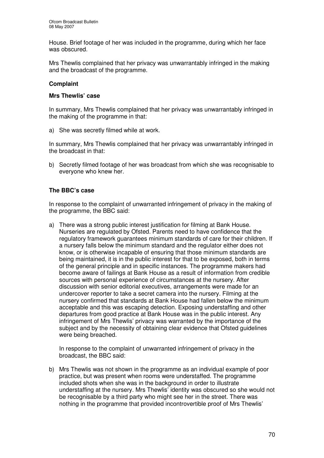House. Brief footage of her was included in the programme, during which her face was obscured.

Mrs Thewlis complained that her privacy was unwarrantably infringed in the making and the broadcast of the programme.

#### **Complaint**

#### **Mrs Thewlis' case**

In summary, Mrs Thewlis complained that her privacy was unwarrantably infringed in the making of the programme in that:

a) She was secretly filmed while at work.

In summary, Mrs Thewlis complained that her privacy was unwarrantably infringed in the broadcast in that:

b) Secretly filmed footage of her was broadcast from which she was recognisable to everyone who knew her.

#### **The BBC's case**

In response to the complaint of unwarranted infringement of privacy in the making of the programme, the BBC said:

a) There was a strong public interest justification for filming at Bank House. Nurseries are regulated by Ofsted. Parents need to have confidence that the regulatory framework guarantees minimum standards of care for their children. If a nursery falls below the minimum standard and the regulator either does not know, or is otherwise incapable of ensuring that those minimum standards are being maintained, it is in the public interest for that to be exposed, both in terms of the general principle and in specific instances. The programme makers had become aware of failings at Bank House as a result of information from credible sources with personal experience of circumstances at the nursery. After discussion with senior editorial executives, arrangements were made for an undercover reporter to take a secret camera into the nursery. Filming at the nursery confirmed that standards at Bank House had fallen below the minimum acceptable and this was escaping detection. Exposing understaffing and other departures from good practice at Bank House was in the public interest. Any infringement of Mrs Thewlis' privacy was warranted by the importance of the subject and by the necessity of obtaining clear evidence that Ofsted guidelines were being breached.

In response to the complaint of unwarranted infringement of privacy in the broadcast, the BBC said:

b) Mrs Thewlis was not shown in the programme as an individual example of poor practice, but was present when rooms were understaffed. The programme included shots when she was in the background in order to illustrate understaffing at the nursery. Mrs Thewlis' identity was obscured so she would not be recognisable by a third party who might see her in the street. There was nothing in the programme that provided incontrovertible proof of Mrs Thewlis'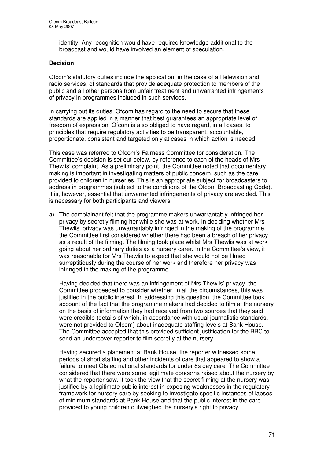identity. Any recognition would have required knowledge additional to the broadcast and would have involved an element of speculation.

# **Decision**

Ofcom's statutory duties include the application, in the case of all television and radio services, of standards that provide adequate protection to members of the public and all other persons from unfair treatment and unwarranted infringements of privacy in programmes included in such services.

In carrying out its duties, Ofcom has regard to the need to secure that these standards are applied in a manner that best guarantees an appropriate level of freedom of expression. Ofcom is also obliged to have regard, in all cases, to principles that require regulatory activities to be transparent, accountable, proportionate, consistent and targeted only at cases in which action is needed.

This case was referred to Ofcom's Fairness Committee for consideration. The Committee's decision is set out below, by reference to each of the heads of Mrs Thewlis' complaint. As a preliminary point, the Committee noted that documentary making is important in investigating matters of public concern, such as the care provided to children in nurseries. This is an appropriate subject for broadcasters to address in programmes (subject to the conditions of the Ofcom Broadcasting Code). It is, however, essential that unwarranted infringements of privacy are avoided. This is necessary for both participants and viewers.

a) The complainant felt that the programme makers unwarrantably infringed her privacy by secretly filming her while she was at work. In deciding whether Mrs Thewlis' privacy was unwarrantably infringed in the making of the programme, the Committee first considered whether there had been a breach of her privacy as a result of the filming. The filming took place whilst Mrs Thewlis was at work going about her ordinary duties as a nursery carer. In the Committee's view, it was reasonable for Mrs Thewlis to expect that she would not be filmed surreptitiously during the course of her work and therefore her privacy was infringed in the making of the programme.

Having decided that there was an infringement of Mrs Thewlis' privacy, the Committee proceeded to consider whether, in all the circumstances, this was justified in the public interest. In addressing this question, the Committee took account of the fact that the programme makers had decided to film at the nursery on the basis of information they had received from two sources that they said were credible (details of which, in accordance with usual journalistic standards, were not provided to Ofcom) about inadequate staffing levels at Bank House. The Committee accepted that this provided sufficient justification for the BBC to send an undercover reporter to film secretly at the nursery.

Having secured a placement at Bank House, the reporter witnessed some periods of short staffing and other incidents of care that appeared to show a failure to meet Ofsted national standards for under 8s day care. The Committee considered that there were some legitimate concerns raised about the nursery by what the reporter saw. It took the view that the secret filming at the nursery was justified by a legitimate public interest in exposing weaknesses in the regulatory framework for nursery care by seeking to investigate specific instances of lapses of minimum standards at Bank House and that the public interest in the care provided to young children outweighed the nursery's right to privacy.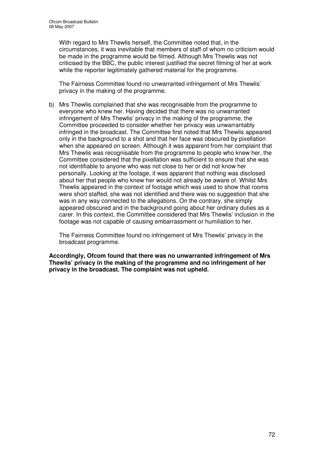With regard to Mrs Thewlis herself, the Committee noted that, in the circumstances, it was inevitable that members of staff of whom no criticism would be made in the programme would be filmed. Although Mrs Thewlis was not criticised by the BBC, the public interest justified the secret filming of her at work while the reporter legitimately gathered material for the programme.

The Fairness Committee found no unwarranted infringement of Mrs Thewlis' privacy in the making of the programme.

b) Mrs Thewlis complained that she was recognisable from the programme to everyone who knew her. Having decided that there was no unwarranted infringement of Mrs Thewlis' privacy in the making of the programme, the Committee proceeded to consider whether her privacy was unwarrantably infringed in the broadcast. The Committee first noted that Mrs Thewlis appeared only in the background to a shot and that her face was obscured by pixellation when she appeared on screen. Although it was apparent from her complaint that Mrs Thewlis was recognisable from the programme to people who knew her, the Committee considered that the pixellation was sufficient to ensure that she was not identifiable to anyone who was not close to her or did not know her personally. Looking at the footage, it was apparent that nothing was disclosed about her that people who knew her would not already be aware of. Whilst Mrs Thewlis appeared in the context of footage which was used to show that rooms were short staffed, she was not identified and there was no suggestion that she was in any way connected to the allegations. On the contrary, she simply appeared obscured and in the background going about her ordinary duties as a carer. In this context, the Committee considered that Mrs Thewlis' inclusion in the footage was not capable of causing embarrassment or humiliation to her.

The Fairness Committee found no infringement of Mrs Thewlis' privacy in the broadcast programme.

**Accordingly, Ofcom found that there was no unwarranted infringement of Mrs Thewlis' privacy in the making of the programme and no infringement of her privacy in the broadcast. The complaint was not upheld.**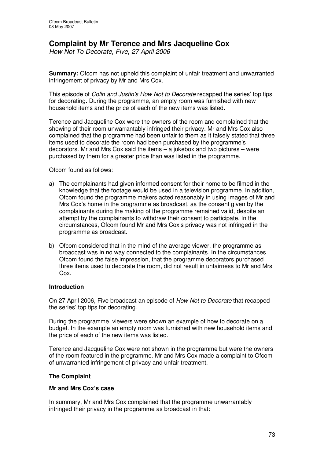## **Complaint by Mr Terence and Mrs Jacqueline Cox**

*How Not To Decorate, Five, 27 April 2006*

**Summary:** Ofcom has not upheld this complaint of unfair treatment and unwarranted infringement of privacy by Mr and Mrs Cox.

This episode of *Colin and Justin's How Not to Decorate* recapped the series' top tips for decorating. During the programme, an empty room was furnished with new household items and the price of each of the new items was listed.

Terence and Jacqueline Cox were the owners of the room and complained that the showing of their room unwarrantably infringed their privacy. Mr and Mrs Cox also complained that the programme had been unfair to them as it falsely stated that three items used to decorate the room had been purchased by the programme's decorators. Mr and Mrs Cox said the items – a jukebox and two pictures – were purchased by them for a greater price than was listed in the programme.

Ofcom found as follows:

- a) The complainants had given informed consent for their home to be filmed in the knowledge that the footage would be used in a television programme. In addition, Ofcom found the programme makers acted reasonably in using images of Mr and Mrs Cox's home in the programme as broadcast, as the consent given by the complainants during the making of the programme remained valid, despite an attempt by the complainants to withdraw their consent to participate. In the circumstances, Ofcom found Mr and Mrs Cox's privacy was not infringed in the programme as broadcast.
- b) Ofcom considered that in the mind of the average viewer, the programme as broadcast was in no way connected to the complainants. In the circumstances Ofcom found the false impression, that the programme decorators purchased three items used to decorate the room, did not result in unfairness to Mr and Mrs Cox.

#### **Introduction**

On 27 April 2006, Five broadcast an episode of *How Not to Decorate* that recapped the series' top tips for decorating.

During the programme, viewers were shown an example of how to decorate on a budget. In the example an empty room was furnished with new household items and the price of each of the new items was listed.

Terence and Jacqueline Cox were not shown in the programme but were the owners of the room featured in the programme. Mr and Mrs Cox made a complaint to Ofcom of unwarranted infringement of privacy and unfair treatment.

### **The Complaint**

#### **Mr and Mrs Cox's case**

In summary, Mr and Mrs Cox complained that the programme unwarrantably infringed their privacy in the programme as broadcast in that: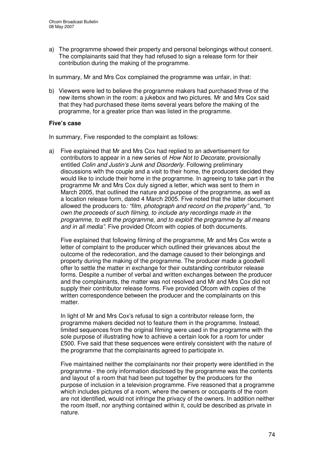a) The programme showed their property and personal belongings without consent. The complainants said that they had refused to sign a release form for their contribution during the making of the programme.

In summary, Mr and Mrs Cox complained the programme was unfair, in that:

b) Viewers were led to believe the programme makers had purchased three of the new items shown in the room: a jukebox and two pictures. Mr and Mrs Cox said that they had purchased these items several years before the making of the programme, for a greater price than was listed in the programme.

#### **Five's case**

In summary, Five responded to the complaint as follows:

a) Five explained that Mr and Mrs Cox had replied to an advertisement for contributors to appear in a new series of *How Not to Decorate*, provisionally entitled *Colin and Justin's Junk and Disorderly.* Following preliminary discussions with the couple and a visit to their home, the producers decided they would like to include their home in the programme. In agreeing to take part in the programme Mr and Mrs Cox duly signed a letter, which was sent to them in March 2005, that outlined the nature and purpose of the programme, as well as a location release form, dated 4 March 2005. Five noted that the latter document allowed the producers to*: "film, photograph and record on the property"* and, *"to own the proceeds of such filming, to include any recordings made in the programme, to edit the programme, and to exploit the programme by all means and in all media"*. Five provided Ofcom with copies of both documents.

Five explained that following filming of the programme, Mr and Mrs Cox wrote a letter of complaint to the producer which outlined their grievances about the outcome of the redecoration, and the damage caused to their belongings and property during the making of the programme. The producer made a goodwill offer to settle the matter in exchange for their outstanding contributor release forms. Despite a number of verbal and written exchanges between the producer and the complainants, the matter was not resolved and Mr and Mrs Cox did not supply their contributor release forms. Five provided Ofcom with copies of the written correspondence between the producer and the complainants on this matter.

In light of Mr and Mrs Cox's refusal to sign a contributor release form, the programme makers decided not to feature them in the programme. Instead, limited sequences from the original filming were used in the programme with the sole purpose of illustrating how to achieve a certain look for a room for under £500. Five said that these sequences were entirely consistent with the nature of the programme that the complainants agreed to participate in.

Five maintained neither the complainants nor their property were identified in the programme - the only information disclosed by the programme was the contents and layout of a room that had been put together by the producers for the purpose of inclusion in a television programme. Five reasoned that a programme which includes pictures of a room, where the owners or occupants of the room are not identified, would not infringe the privacy of the owners. In addition neither the room itself, nor anything contained within it, could be described as private in nature.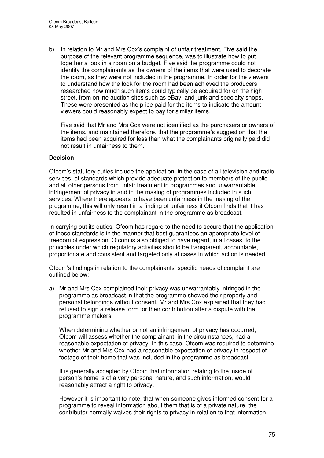b) In relation to Mr and Mrs Cox's complaint of unfair treatment, Five said the purpose of the relevant programme sequence, was to illustrate how to put together a look in a room on a budget. Five said the programme could not identify the complainants as the owners of the items that were used to decorate the room, as they were not included in the programme. In order for the viewers to understand how the look for the room had been achieved the producers researched how much such items could typically be acquired for on the high street, from online auction sites such as eBay, and junk and specialty shops. These were presented as the price paid for the items to indicate the amount viewers could reasonably expect to pay for similar items.

Five said that Mr and Mrs Cox were not identified as the purchasers or owners of the items, and maintained therefore, that the programme's suggestion that the items had been acquired for less than what the complainants originally paid did not result in unfairness to them.

#### **Decision**

Ofcom's statutory duties include the application, in the case of all television and radio services, of standards which provide adequate protection to members of the public and all other persons from unfair treatment in programmes and unwarrantable infringement of privacy in and in the making of programmes included in such services. Where there appears to have been unfairness in the making of the programme, this will only result in a finding of unfairness if Ofcom finds that it has resulted in unfairness to the complainant in the programme as broadcast.

In carrying out its duties, Ofcom has regard to the need to secure that the application of these standards is in the manner that best guarantees an appropriate level of freedom of expression. Ofcom is also obliged to have regard, in all cases, to the principles under which regulatory activities should be transparent, accountable, proportionate and consistent and targeted only at cases in which action is needed.

Ofcom's findings in relation to the complainants' specific heads of complaint are outlined below:

a) Mr and Mrs Cox complained their privacy was unwarrantably infringed in the programme as broadcast in that the programme showed their property and personal belongings without consent. Mr and Mrs Cox explained that they had refused to sign a release form for their contribution after a dispute with the programme makers.

When determining whether or not an infringement of privacy has occurred, Ofcom will assess whether the complainant, in the circumstances, had a reasonable expectation of privacy. In this case, Ofcom was required to determine whether Mr and Mrs Cox had a reasonable expectation of privacy in respect of footage of their home that was included in the programme as broadcast.

It is generally accepted by Ofcom that information relating to the inside of person's home is of a very personal nature, and such information, would reasonably attract a right to privacy.

However it is important to note, that when someone gives informed consent for a programme to reveal information about them that is of a private nature, the contributor normally waives their rights to privacy in relation to that information.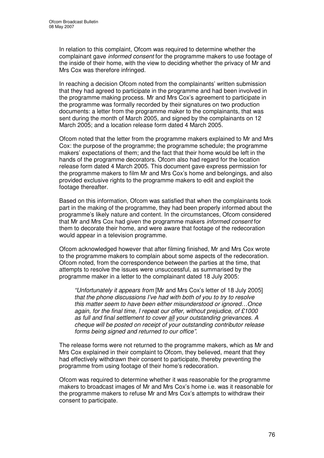In relation to this complaint, Ofcom was required to determine whether the complainant gave *informed consent* for the programme makers to use footage of the inside of their home, with the view to deciding whether the privacy of Mr and Mrs Cox was therefore infringed.

In reaching a decision Ofcom noted from the complainants' written submission that they had agreed to participate in the programme and had been involved in the programme making process. Mr and Mrs Cox's agreement to participate in the programme was formally recorded by their signatures on two production documents: a letter from the programme maker to the complainants, that was sent during the month of March 2005, and signed by the complainants on 12 March 2005; and a location release form dated 4 March 2005.

Ofcom noted that the letter from the programme makers explained to Mr and Mrs Cox: the purpose of the programme; the programme schedule; the programme makers' expectations of them; and the fact that their home would be left in the hands of the programme decorators. Ofcom also had regard for the location release form dated 4 March 2005. This document gave express permission for the programme makers to film Mr and Mrs Cox's home and belongings, and also provided exclusive rights to the programme makers to edit and exploit the footage thereafter.

Based on this information, Ofcom was satisfied that when the complainants took part in the making of the programme, they had been properly informed about the programme's likely nature and content. In the circumstances, Ofcom considered that Mr and Mrs Cox had given the programme makers *informed consent* for them to decorate their home, and were aware that footage of the redecoration would appear in a television programme.

Ofcom acknowledged however that after filming finished, Mr and Mrs Cox wrote to the programme makers to complain about some aspects of the redecoration. Ofcom noted, from the correspondence between the parties at the time, that attempts to resolve the issues were unsuccessful, as summarised by the programme maker in a letter to the complainant dated 18 July 2005:

*"Unfortunately it appears from* [Mr and Mrs Cox's letter of 18 July 2005] *that the phone discussions I've had with both of you to try to resolve this matter seem to have been either misunderstood or ignored…Once again, for the final time, I repeat our offer, without prejudice, of £1000 as full and final settlement to cover all your outstanding grievances. A cheque will be posted on receipt of your outstanding contributor release forms being signed and returned to our office"*.

The release forms were not returned to the programme makers, which as Mr and Mrs Cox explained in their complaint to Ofcom, they believed, meant that they had effectively withdrawn their consent to participate, thereby preventing the programme from using footage of their home's redecoration.

Ofcom was required to determine whether it was reasonable for the programme makers to broadcast images of Mr and Mrs Cox's home i.e. was it reasonable for the programme makers to refuse Mr and Mrs Cox's attempts to withdraw their consent to participate.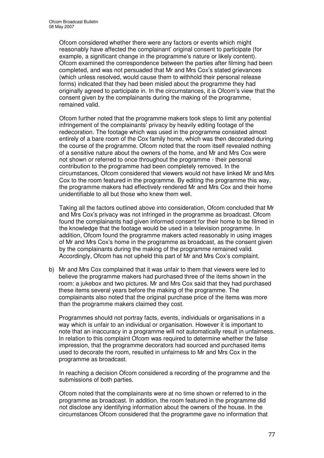Ofcom considered whether there were any factors or events which might reasonably have affected the complainant' original consent to participate (for example, a significant change in the programme's nature or likely content). Ofcom examined the correspondence between the parties after filming had been completed, and was not persuaded that Mr and Mrs Cox's stated grievances (which unless resolved, would cause them to withhold their personal release forms) indicated that they had been misled about the programme they had originally agreed to participate in. In the circumstances, it is Ofcom's view that the consent given by the complainants during the making of the programme, remained valid.

Ofcom further noted that the programme makers took steps to limit any potential infringement of the complainants' privacy by heavily editing footage of the redecoration. The footage which was used in the programme consisted almost entirely of a bare room of the Cox family home, which was then decorated during the course of the programme. Ofcom noted that the room itself revealed nothing of a sensitive nature about the owners of the home, and Mr and Mrs Cox were not shown or referred to once throughout the programme - their personal contribution to the programme had been completely removed. In the circumstances, Ofcom considered that viewers would not have linked Mr and Mrs Cox to the room featured in the programme. By editing the programme this way, the programme makers had effectively rendered Mr and Mrs Cox and their home unidentifiable to all but those who knew them well.

Taking all the factors outlined above into consideration, Ofcom concluded that Mr and Mrs Cox's privacy was not infringed in the programme as broadcast. Ofcom found the complainants had given informed consent for their home to be filmed in the knowledge that the footage would be used in a television programme. In addition, Ofcom found the programme makers acted reasonably in using images of Mr and Mrs Cox's home in the programme as broadcast, as the consent given by the complainants during the making of the programme remained valid. Accordingly, Ofcom has not upheld this part of Mr and Mrs Cox's complaint.

b) Mr and Mrs Cox complained that it was unfair to them that viewers were led to believe the programme makers had purchased three of the items shown in the room: a jukebox and two pictures. Mr and Mrs Cox said that they had purchased these items several years before the making of the programme. The complainants also noted that the original purchase price of the items was more than the programme makers claimed they cost.

Programmes should not portray facts, events, individuals or organisations in a way which is unfair to an individual or organisation. However it is important to note that an inaccuracy in a programme will not automatically result in unfairness. In relation to this complaint Ofcom was required to determine whether the false impression, that the programme decorators had sourced and purchased items used to decorate the room, resulted in unfairness to Mr and Mrs Cox in the programme as broadcast.

In reaching a decision Ofcom considered a recording of the programme and the submissions of both parties.

Ofcom noted that the complainants were at no time shown or referred to in the programme as broadcast. In addition, the room featured in the programme did not disclose any identifying information about the owners of the house. In the circumstances Ofcom considered that the programme gave no information that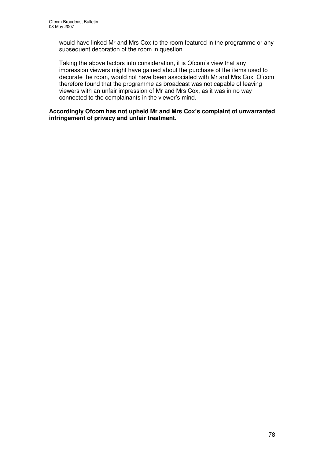would have linked Mr and Mrs Cox to the room featured in the programme or any subsequent decoration of the room in question.

Taking the above factors into consideration, it is Ofcom's view that any impression viewers might have gained about the purchase of the items used to decorate the room, would not have been associated with Mr and Mrs Cox. Ofcom therefore found that the programme as broadcast was not capable of leaving viewers with an unfair impression of Mr and Mrs Cox, as it was in no way connected to the complainants in the viewer's mind.

**Accordingly Ofcom has not upheld Mr and Mrs Cox's complaint of unwarranted infringement of privacy and unfair treatment.**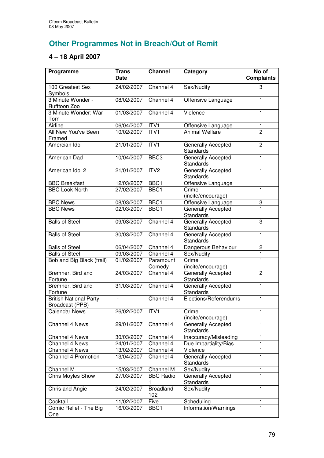# **Other Programmes Not in Breach/Out of Remit**

## **4 – 18 April 2007**

| Programme                                        | <b>Trans</b><br><b>Date</b> | <b>Channel</b>          | Category                                      | No of<br><b>Complaints</b> |
|--------------------------------------------------|-----------------------------|-------------------------|-----------------------------------------------|----------------------------|
| 100 Greatest Sex<br>Symbols                      | 24/02/2007                  | Channel 4               | Sex/Nudity                                    | 3                          |
| 3 Minute Wonder -<br>Rufftoon Zoo                | 08/02/2007                  | Channel 4               | Offensive Language                            | 1                          |
| 3 Minute Wonder: War<br>Torn                     | 01/03/2007                  | Channel 4               | Violence                                      | 1                          |
| Airline                                          | 06/04/2007                  | ITV1                    | Offensive Language                            | $\mathbf{1}$               |
| All New You've Been<br>Framed                    | 10/02/2007                  | ITVI                    | <b>Animal Welfare</b>                         | $\overline{2}$             |
| Amercian Idol                                    | 21/01/2007                  | ITV1                    | Generally Accepted<br><b>Standards</b>        | $\overline{2}$             |
| American Dad                                     | 10/04/2007                  | BBC <sub>3</sub>        | Generally Accepted<br><b>Standards</b>        | 1                          |
| American Idol 2                                  | 21/01/2007                  | ITV <sub>2</sub>        | Generally Accepted<br><b>Standards</b>        | $\mathbf{1}$               |
| <b>BBC Breakfast</b>                             | 12/03/2007                  | BBC1                    | Offensive Language                            | 1                          |
| <b>BBC Look North</b>                            | 27/02/2007                  | BBC <sub>1</sub>        | Crime<br>(incite/encourage)                   | 1                          |
| <b>BBC News</b>                                  | 08/03/2007                  | BBC1                    | Offensive Language                            | 3                          |
| <b>BBC News</b>                                  | 02/03/2007                  | BBC1                    | Generally Accepted<br><b>Standards</b>        | 1                          |
| <b>Balls of Steel</b>                            | 09/03/2007                  | Channel 4               | Generally Accepted<br><b>Standards</b>        | 3                          |
| <b>Balls of Steel</b>                            | 30/03/2007                  | Channel 4               | Generally Accepted<br><b>Standards</b>        | $\mathbf{1}$               |
| <b>Balls of Steel</b>                            | 06/04/2007                  | Channel 4               | Dangerous Behaviour                           | $\overline{c}$             |
| <b>Balls of Steel</b>                            | 09/03/2007                  | Channel 4               | Sex/Nudity                                    | 1                          |
| Bob and Big Black (trail)                        | 01/02/2007                  | Paramount<br>Comedy     | Crime<br>(incite/encourage)                   | 1                          |
| Bremner, Bird and<br>Fortune                     | 24/03/2007                  | Channel 4               | Generally Accepted<br><b>Standards</b>        | $\overline{2}$             |
| Bremner, Bird and<br>Fortune                     | 31/03/2007                  | Channel 4               | Generally Accepted<br><b>Standards</b>        | $\mathbf{1}$               |
| <b>British National Party</b><br>Broadcast (PPB) |                             | Channel 4               | Elections/Referendums                         | 1                          |
| <b>Calendar News</b>                             | 26/02/2007                  | ITV1                    | Crime<br>(incite/encourage)                   | 1.                         |
| Channel 4 News                                   | 29/01/2007                  | Channel 4               | Generally Accepted<br><b>Standards</b>        | 1                          |
| Channel 4 News                                   | 30/03/2007                  | Channel 4               | Inaccuracy/Misleading                         | 1                          |
| Channel 4 News                                   | 24/01/2007                  | Channel 4               | Due Impartiality/Bias                         | 1                          |
| Channel 4 News                                   | 13/02/2007                  | Channel 4               | Violence                                      | 1                          |
| <b>Channel 4 Promotion</b>                       | 13/04/2007                  | Channel 4               | Generally Accepted<br><b>Standards</b>        | 1                          |
| Channel M                                        | 15/03/2007                  | Channel M               | Sex/Nudity                                    | 1                          |
| Chris Moyles Show                                | 27/03/2007                  | <b>BBC</b> Radio        | <b>Generally Accepted</b><br><b>Standards</b> | 1                          |
| Chris and Angie                                  | 24/02/2007                  | <b>Broadland</b><br>102 | Sex/Nudity                                    | $\mathbf{1}$               |
| Cocktail                                         | 11/02/2007                  | Five                    | Scheduling                                    | 1                          |
| Comic Relief - The Big<br>One                    | 16/03/2007                  | BBC1                    | Information/Warnings                          | 1                          |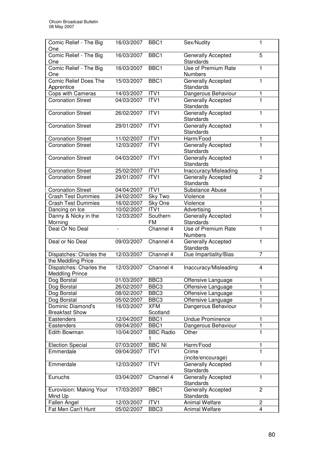| Comic Relief - The Big                        | 16/03/2007     | BBC <sub>1</sub> | Sex/Nudity                         | 1                       |
|-----------------------------------------------|----------------|------------------|------------------------------------|-------------------------|
| One<br>Comic Relief - The Big                 | 16/03/2007     | BBC <sub>1</sub> | Generally Accepted                 | 5                       |
| One                                           |                |                  | <b>Standards</b>                   |                         |
| Comic Relief - The Big                        | 16/03/2007     | BBC <sub>1</sub> | <b>Use of Premium Rate</b>         | 1                       |
| One                                           |                |                  | Numbers                            |                         |
| <b>Comic Relief Does The</b>                  | 15/03/2007     | BBC1             | <b>Generally Accepted</b>          | 1                       |
| Apprentice                                    |                |                  | <b>Standards</b>                   |                         |
| Cops with Cameras                             | 14/03/2007     | ITV1             | Dangerous Behaviour                | 1                       |
| <b>Coronation Street</b>                      | 04/03/2007     | ITV <sub>1</sub> | Generally Accepted                 | $\blacksquare$          |
|                                               |                |                  | Standards                          |                         |
| <b>Coronation Street</b>                      | 26/02/2007     | ITVI             | Generally Accepted                 | 1                       |
|                                               |                |                  | Standards                          |                         |
| <b>Coronation Street</b>                      | 29/01/2007     | ITVI             | <b>Generally Accepted</b>          | 1                       |
|                                               |                |                  | Standards                          |                         |
| <b>Coronation Street</b>                      | 11/02/2007     | ITV1             | Harm/Food                          | 1                       |
| <b>Coronation Street</b>                      | 12/03/2007     | ITVI             | Generally Accepted                 | $\mathbf{1}$            |
|                                               |                |                  | Standards                          |                         |
| <b>Coronation Street</b>                      | 04/03/2007     | ITV1             | Generally Accepted                 | 1                       |
|                                               |                |                  | Standards                          |                         |
| <b>Coronation Street</b>                      | 25/02/2007     | ITV1             | Inaccuracy/Misleading              | 1.                      |
| Coronation Street                             | 29/01/2007     | ITV1             | Generally Accepted                 | $\overline{2}$          |
|                                               |                |                  | <b>Standards</b>                   |                         |
| <b>Coronation Street</b>                      | 04/04/2007     | ITV1             | Substance Abuse                    | 1                       |
| <b>Crash Test Dummies</b>                     | 24/02/2007     | Sky Two          | Violence                           | 1                       |
| <b>Crash Test Dummies</b>                     | 16/02/2007     | Sky One<br>ITV1  | Violence                           |                         |
| Dancing on Ice<br>Danny & Nicky in the        | 10/02/2007     | Southern         | Advertising                        | 1<br>1                  |
| Morning                                       | 12/03/2007     | FM               | Generally Accepted<br>Standards    |                         |
| Deal Or No Deal                               | $\overline{a}$ | Channel 4        | Use of Premium Rate                | 1                       |
|                                               |                |                  | Numbers                            |                         |
| Deal or No Deal                               | 09/03/2007     | Channel 4        | Generally Accepted                 | 1                       |
|                                               |                |                  | Standards                          |                         |
| Dispatches: Charles the                       | 12/03/2007     | Channel 4        | Due Impartiality/Bias              | $\overline{7}$          |
|                                               |                |                  |                                    |                         |
|                                               |                |                  |                                    |                         |
| the Meddling Price<br>Dispatches: Charles the | 12/03/2007     | Channel 4        | Inaccuracy/Misleading              | $\overline{4}$          |
| <b>Meddling Prince</b>                        |                |                  |                                    |                         |
| Dog Borstal                                   | 01/03/2007     | BBC <sub>3</sub> | Offensive Language                 | 1                       |
| Dog Borstal                                   | 26/02/2007     | BBC <sub>3</sub> | Offensive Language                 | 1                       |
| Dog Borstal                                   | 08/02/2007     | BBC <sub>3</sub> | Offensive Language                 |                         |
| Dog Borstal                                   | 05/02/2007     | BBC <sub>3</sub> | Offensive Language                 |                         |
| Dominic Diamond's                             | 16/03/2007     | <b>XFM</b>       | Dangerous Behaviour                | $\mathbf 1$             |
| <b>Breakfast Show</b>                         |                | Scotland         |                                    |                         |
| Eastenders                                    | 12/04/2007     | BBC1             | <b>Undue Prominence</b>            | 1                       |
| Eastenders                                    | 09/04/2007     | BBC1             | Dangerous Behaviour                | 1                       |
| Edith Bowman                                  | 10/04/2007     | <b>BBC Radio</b> | Other                              | 1                       |
|                                               |                | 1                |                                    |                         |
| <b>Election Special</b>                       | 07/03/2007     | <b>BBC NI</b>    | Harm/Food                          | 1                       |
| Emmerdale                                     | 09/04/2007     | ITVI             | Crime                              | 1                       |
|                                               |                |                  | (incite/encourage)                 |                         |
| Emmerdale                                     | 12/03/2007     | ITV1             | <b>Generally Accepted</b>          | 1                       |
|                                               |                |                  | Standards                          |                         |
| Eunuchs                                       | 03/04/2007     | Channel 4        | Generally Accepted                 | 1                       |
|                                               |                |                  | Standards                          |                         |
| Eurovision: Making Your                       | 17/03/2007     | BBC1             | Generally Accepted                 | $\overline{2}$          |
| Mind Up<br>Fallen Angel                       | 12/03/2007     | ITV <sub>1</sub> | Standards<br><b>Animal Welfare</b> | $\overline{\mathbf{c}}$ |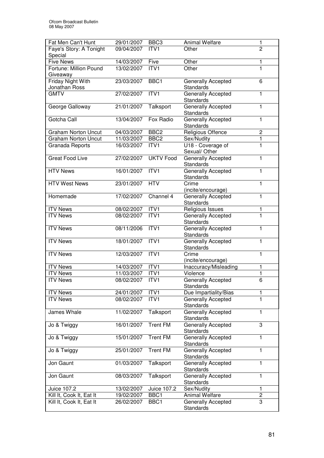| ITV1<br>$\overline{2}$<br>Faye's Story: A Tonight<br>09/04/2007<br>Other<br>Special<br><b>Five News</b><br>14/03/2007<br>Five<br>Other<br>Fortune: Million Pound<br>13/02/2007<br>ITV1<br>Other<br>1<br>Giveaway<br>Friday Night With<br>23/03/2007<br>BBC1<br>Generally Accepted<br>6<br>Jonathan Ross<br><b>Standards</b><br><b>GMTV</b><br>ITV <sub>1</sub><br>27/02/2007<br><b>Generally Accepted</b><br>1<br><b>Standards</b><br>Talksport<br>Generally Accepted<br>1<br>George Galloway<br>21/01/2007<br>Standards<br><b>Generally Accepted</b><br>Gotcha Call<br>Fox Radio<br>13/04/2007<br>1<br><b>Standards</b><br>BBC <sub>2</sub><br><b>Religious Offence</b><br>$\overline{2}$<br>04/03/2007<br><b>Graham Norton Uncut</b><br>BBC <sub>2</sub><br><b>Graham Norton Uncut</b><br>11/03/2007<br>$\mathbf{1}$<br>Sex/Nudity<br>U18 - Coverage of<br>16/03/2007<br>ITV1<br>1<br>Granada Reports<br>Sexual/ Other<br><b>Great Food Live</b><br><b>UKTV</b> Food<br>27/02/2007<br>Generally Accepted<br>1<br><b>Standards</b><br>ITV1<br><b>HTV News</b><br>16/01/2007<br>Generally Accepted<br>1<br>Standards<br><b>HTV West News</b><br>23/01/2007<br><b>HTV</b><br>1<br>Crime<br>(incite/encourage)<br>17/02/2007<br>Channel 4<br>Homemade<br><b>Generally Accepted</b><br>1<br><b>Standards</b><br>Religious Issues<br><b>ITV News</b><br>08/02/2007<br>ITV1<br>1<br>ITV1<br>$\mathbf{1}$<br><b>ITV News</b><br>Generally Accepted<br>08/02/2007<br>Standards<br>ITVI<br><b>ITV News</b><br>08/11/2006<br>Generally Accepted<br>1<br><b>Standards</b><br>ITV1<br>Generally Accepted<br><b>ITV News</b><br>18/01/2007<br>1<br>Standards<br><b>ITV</b> News<br>ITV1<br>12/03/2007<br>Crime<br>1<br>(incite/encourage)<br><b>ITV News</b><br>14/03/2007<br>ITVI<br>Inaccuracy/Misleading<br>1<br><b>ITV News</b><br>11/03/2007<br>ITV1<br>Violence<br>1<br><b>Generally Accepted</b><br>$\overline{6}$<br><b>ITV</b> News<br>08/02/2007<br>ITV1<br>Standards<br><b>ITV News</b><br>24/01/2007<br>ITV1<br>Due Impartiality/Bias<br><b>ITV News</b><br>Generally Accepted<br>1<br>08/02/2007<br>ITV1<br>Standards<br>Talksport<br>Generally Accepted<br>James Whale<br>1<br>11/02/2007<br>Standards<br><b>Trent FM</b><br>3<br>16/01/2007<br>Generally Accepted<br>Jo & Twiggy<br>Standards<br><b>Trent FM</b><br>15/01/2007<br>Generally Accepted<br>1<br>Jo & Twiggy<br>Standards<br>25/01/2007<br><b>Trent FM</b><br>1<br>Generally Accepted<br>Jo & Twiggy<br>Standards<br>01/03/2007<br>Generally Accepted<br>1<br>Jon Gaunt<br>Talksport<br>Standards<br>Generally Accepted<br>Talksport<br>1<br>Jon Gaunt<br>08/03/2007<br>Standards<br>Sex/Nudity<br>13/02/2007<br>Juice 107.2<br>Juice 107.2<br>1<br>Animal Welfare<br>$\overline{c}$<br>Kill It, Cook It, Eat It<br>19/02/2007<br>BBC <sub>1</sub><br>Generally Accepted<br>3<br>Kill It, Cook It, Eat It<br>26/02/2007<br>BBC1 | Fat Men Can't Hunt | 29/01/2007 | BBC <sub>3</sub> | <b>Animal Welfare</b> | 1 |
|------------------------------------------------------------------------------------------------------------------------------------------------------------------------------------------------------------------------------------------------------------------------------------------------------------------------------------------------------------------------------------------------------------------------------------------------------------------------------------------------------------------------------------------------------------------------------------------------------------------------------------------------------------------------------------------------------------------------------------------------------------------------------------------------------------------------------------------------------------------------------------------------------------------------------------------------------------------------------------------------------------------------------------------------------------------------------------------------------------------------------------------------------------------------------------------------------------------------------------------------------------------------------------------------------------------------------------------------------------------------------------------------------------------------------------------------------------------------------------------------------------------------------------------------------------------------------------------------------------------------------------------------------------------------------------------------------------------------------------------------------------------------------------------------------------------------------------------------------------------------------------------------------------------------------------------------------------------------------------------------------------------------------------------------------------------------------------------------------------------------------------------------------------------------------------------------------------------------------------------------------------------------------------------------------------------------------------------------------------------------------------------------------------------------------------------------------------------------------------------------------------------------------------------------------------------------------------------------------------------------------------------------------------------------------------------------------------------------------------------------------------------------------------------------------------------------------------------------------------------------------------------------|--------------------|------------|------------------|-----------------------|---|
|                                                                                                                                                                                                                                                                                                                                                                                                                                                                                                                                                                                                                                                                                                                                                                                                                                                                                                                                                                                                                                                                                                                                                                                                                                                                                                                                                                                                                                                                                                                                                                                                                                                                                                                                                                                                                                                                                                                                                                                                                                                                                                                                                                                                                                                                                                                                                                                                                                                                                                                                                                                                                                                                                                                                                                                                                                                                                                |                    |            |                  |                       |   |
|                                                                                                                                                                                                                                                                                                                                                                                                                                                                                                                                                                                                                                                                                                                                                                                                                                                                                                                                                                                                                                                                                                                                                                                                                                                                                                                                                                                                                                                                                                                                                                                                                                                                                                                                                                                                                                                                                                                                                                                                                                                                                                                                                                                                                                                                                                                                                                                                                                                                                                                                                                                                                                                                                                                                                                                                                                                                                                |                    |            |                  |                       |   |
|                                                                                                                                                                                                                                                                                                                                                                                                                                                                                                                                                                                                                                                                                                                                                                                                                                                                                                                                                                                                                                                                                                                                                                                                                                                                                                                                                                                                                                                                                                                                                                                                                                                                                                                                                                                                                                                                                                                                                                                                                                                                                                                                                                                                                                                                                                                                                                                                                                                                                                                                                                                                                                                                                                                                                                                                                                                                                                |                    |            |                  |                       |   |
|                                                                                                                                                                                                                                                                                                                                                                                                                                                                                                                                                                                                                                                                                                                                                                                                                                                                                                                                                                                                                                                                                                                                                                                                                                                                                                                                                                                                                                                                                                                                                                                                                                                                                                                                                                                                                                                                                                                                                                                                                                                                                                                                                                                                                                                                                                                                                                                                                                                                                                                                                                                                                                                                                                                                                                                                                                                                                                |                    |            |                  |                       |   |
|                                                                                                                                                                                                                                                                                                                                                                                                                                                                                                                                                                                                                                                                                                                                                                                                                                                                                                                                                                                                                                                                                                                                                                                                                                                                                                                                                                                                                                                                                                                                                                                                                                                                                                                                                                                                                                                                                                                                                                                                                                                                                                                                                                                                                                                                                                                                                                                                                                                                                                                                                                                                                                                                                                                                                                                                                                                                                                |                    |            |                  |                       |   |
|                                                                                                                                                                                                                                                                                                                                                                                                                                                                                                                                                                                                                                                                                                                                                                                                                                                                                                                                                                                                                                                                                                                                                                                                                                                                                                                                                                                                                                                                                                                                                                                                                                                                                                                                                                                                                                                                                                                                                                                                                                                                                                                                                                                                                                                                                                                                                                                                                                                                                                                                                                                                                                                                                                                                                                                                                                                                                                |                    |            |                  |                       |   |
|                                                                                                                                                                                                                                                                                                                                                                                                                                                                                                                                                                                                                                                                                                                                                                                                                                                                                                                                                                                                                                                                                                                                                                                                                                                                                                                                                                                                                                                                                                                                                                                                                                                                                                                                                                                                                                                                                                                                                                                                                                                                                                                                                                                                                                                                                                                                                                                                                                                                                                                                                                                                                                                                                                                                                                                                                                                                                                |                    |            |                  |                       |   |
|                                                                                                                                                                                                                                                                                                                                                                                                                                                                                                                                                                                                                                                                                                                                                                                                                                                                                                                                                                                                                                                                                                                                                                                                                                                                                                                                                                                                                                                                                                                                                                                                                                                                                                                                                                                                                                                                                                                                                                                                                                                                                                                                                                                                                                                                                                                                                                                                                                                                                                                                                                                                                                                                                                                                                                                                                                                                                                |                    |            |                  |                       |   |
|                                                                                                                                                                                                                                                                                                                                                                                                                                                                                                                                                                                                                                                                                                                                                                                                                                                                                                                                                                                                                                                                                                                                                                                                                                                                                                                                                                                                                                                                                                                                                                                                                                                                                                                                                                                                                                                                                                                                                                                                                                                                                                                                                                                                                                                                                                                                                                                                                                                                                                                                                                                                                                                                                                                                                                                                                                                                                                |                    |            |                  |                       |   |
|                                                                                                                                                                                                                                                                                                                                                                                                                                                                                                                                                                                                                                                                                                                                                                                                                                                                                                                                                                                                                                                                                                                                                                                                                                                                                                                                                                                                                                                                                                                                                                                                                                                                                                                                                                                                                                                                                                                                                                                                                                                                                                                                                                                                                                                                                                                                                                                                                                                                                                                                                                                                                                                                                                                                                                                                                                                                                                |                    |            |                  |                       |   |
|                                                                                                                                                                                                                                                                                                                                                                                                                                                                                                                                                                                                                                                                                                                                                                                                                                                                                                                                                                                                                                                                                                                                                                                                                                                                                                                                                                                                                                                                                                                                                                                                                                                                                                                                                                                                                                                                                                                                                                                                                                                                                                                                                                                                                                                                                                                                                                                                                                                                                                                                                                                                                                                                                                                                                                                                                                                                                                |                    |            |                  |                       |   |
|                                                                                                                                                                                                                                                                                                                                                                                                                                                                                                                                                                                                                                                                                                                                                                                                                                                                                                                                                                                                                                                                                                                                                                                                                                                                                                                                                                                                                                                                                                                                                                                                                                                                                                                                                                                                                                                                                                                                                                                                                                                                                                                                                                                                                                                                                                                                                                                                                                                                                                                                                                                                                                                                                                                                                                                                                                                                                                |                    |            |                  |                       |   |
|                                                                                                                                                                                                                                                                                                                                                                                                                                                                                                                                                                                                                                                                                                                                                                                                                                                                                                                                                                                                                                                                                                                                                                                                                                                                                                                                                                                                                                                                                                                                                                                                                                                                                                                                                                                                                                                                                                                                                                                                                                                                                                                                                                                                                                                                                                                                                                                                                                                                                                                                                                                                                                                                                                                                                                                                                                                                                                |                    |            |                  |                       |   |
|                                                                                                                                                                                                                                                                                                                                                                                                                                                                                                                                                                                                                                                                                                                                                                                                                                                                                                                                                                                                                                                                                                                                                                                                                                                                                                                                                                                                                                                                                                                                                                                                                                                                                                                                                                                                                                                                                                                                                                                                                                                                                                                                                                                                                                                                                                                                                                                                                                                                                                                                                                                                                                                                                                                                                                                                                                                                                                |                    |            |                  |                       |   |
|                                                                                                                                                                                                                                                                                                                                                                                                                                                                                                                                                                                                                                                                                                                                                                                                                                                                                                                                                                                                                                                                                                                                                                                                                                                                                                                                                                                                                                                                                                                                                                                                                                                                                                                                                                                                                                                                                                                                                                                                                                                                                                                                                                                                                                                                                                                                                                                                                                                                                                                                                                                                                                                                                                                                                                                                                                                                                                |                    |            |                  |                       |   |
|                                                                                                                                                                                                                                                                                                                                                                                                                                                                                                                                                                                                                                                                                                                                                                                                                                                                                                                                                                                                                                                                                                                                                                                                                                                                                                                                                                                                                                                                                                                                                                                                                                                                                                                                                                                                                                                                                                                                                                                                                                                                                                                                                                                                                                                                                                                                                                                                                                                                                                                                                                                                                                                                                                                                                                                                                                                                                                |                    |            |                  |                       |   |
|                                                                                                                                                                                                                                                                                                                                                                                                                                                                                                                                                                                                                                                                                                                                                                                                                                                                                                                                                                                                                                                                                                                                                                                                                                                                                                                                                                                                                                                                                                                                                                                                                                                                                                                                                                                                                                                                                                                                                                                                                                                                                                                                                                                                                                                                                                                                                                                                                                                                                                                                                                                                                                                                                                                                                                                                                                                                                                |                    |            |                  |                       |   |
|                                                                                                                                                                                                                                                                                                                                                                                                                                                                                                                                                                                                                                                                                                                                                                                                                                                                                                                                                                                                                                                                                                                                                                                                                                                                                                                                                                                                                                                                                                                                                                                                                                                                                                                                                                                                                                                                                                                                                                                                                                                                                                                                                                                                                                                                                                                                                                                                                                                                                                                                                                                                                                                                                                                                                                                                                                                                                                |                    |            |                  |                       |   |
|                                                                                                                                                                                                                                                                                                                                                                                                                                                                                                                                                                                                                                                                                                                                                                                                                                                                                                                                                                                                                                                                                                                                                                                                                                                                                                                                                                                                                                                                                                                                                                                                                                                                                                                                                                                                                                                                                                                                                                                                                                                                                                                                                                                                                                                                                                                                                                                                                                                                                                                                                                                                                                                                                                                                                                                                                                                                                                |                    |            |                  |                       |   |
|                                                                                                                                                                                                                                                                                                                                                                                                                                                                                                                                                                                                                                                                                                                                                                                                                                                                                                                                                                                                                                                                                                                                                                                                                                                                                                                                                                                                                                                                                                                                                                                                                                                                                                                                                                                                                                                                                                                                                                                                                                                                                                                                                                                                                                                                                                                                                                                                                                                                                                                                                                                                                                                                                                                                                                                                                                                                                                |                    |            |                  |                       |   |
|                                                                                                                                                                                                                                                                                                                                                                                                                                                                                                                                                                                                                                                                                                                                                                                                                                                                                                                                                                                                                                                                                                                                                                                                                                                                                                                                                                                                                                                                                                                                                                                                                                                                                                                                                                                                                                                                                                                                                                                                                                                                                                                                                                                                                                                                                                                                                                                                                                                                                                                                                                                                                                                                                                                                                                                                                                                                                                |                    |            |                  |                       |   |
|                                                                                                                                                                                                                                                                                                                                                                                                                                                                                                                                                                                                                                                                                                                                                                                                                                                                                                                                                                                                                                                                                                                                                                                                                                                                                                                                                                                                                                                                                                                                                                                                                                                                                                                                                                                                                                                                                                                                                                                                                                                                                                                                                                                                                                                                                                                                                                                                                                                                                                                                                                                                                                                                                                                                                                                                                                                                                                |                    |            |                  |                       |   |
|                                                                                                                                                                                                                                                                                                                                                                                                                                                                                                                                                                                                                                                                                                                                                                                                                                                                                                                                                                                                                                                                                                                                                                                                                                                                                                                                                                                                                                                                                                                                                                                                                                                                                                                                                                                                                                                                                                                                                                                                                                                                                                                                                                                                                                                                                                                                                                                                                                                                                                                                                                                                                                                                                                                                                                                                                                                                                                |                    |            |                  |                       |   |
|                                                                                                                                                                                                                                                                                                                                                                                                                                                                                                                                                                                                                                                                                                                                                                                                                                                                                                                                                                                                                                                                                                                                                                                                                                                                                                                                                                                                                                                                                                                                                                                                                                                                                                                                                                                                                                                                                                                                                                                                                                                                                                                                                                                                                                                                                                                                                                                                                                                                                                                                                                                                                                                                                                                                                                                                                                                                                                |                    |            |                  |                       |   |
|                                                                                                                                                                                                                                                                                                                                                                                                                                                                                                                                                                                                                                                                                                                                                                                                                                                                                                                                                                                                                                                                                                                                                                                                                                                                                                                                                                                                                                                                                                                                                                                                                                                                                                                                                                                                                                                                                                                                                                                                                                                                                                                                                                                                                                                                                                                                                                                                                                                                                                                                                                                                                                                                                                                                                                                                                                                                                                |                    |            |                  |                       |   |
|                                                                                                                                                                                                                                                                                                                                                                                                                                                                                                                                                                                                                                                                                                                                                                                                                                                                                                                                                                                                                                                                                                                                                                                                                                                                                                                                                                                                                                                                                                                                                                                                                                                                                                                                                                                                                                                                                                                                                                                                                                                                                                                                                                                                                                                                                                                                                                                                                                                                                                                                                                                                                                                                                                                                                                                                                                                                                                |                    |            |                  |                       |   |
|                                                                                                                                                                                                                                                                                                                                                                                                                                                                                                                                                                                                                                                                                                                                                                                                                                                                                                                                                                                                                                                                                                                                                                                                                                                                                                                                                                                                                                                                                                                                                                                                                                                                                                                                                                                                                                                                                                                                                                                                                                                                                                                                                                                                                                                                                                                                                                                                                                                                                                                                                                                                                                                                                                                                                                                                                                                                                                |                    |            |                  |                       |   |
|                                                                                                                                                                                                                                                                                                                                                                                                                                                                                                                                                                                                                                                                                                                                                                                                                                                                                                                                                                                                                                                                                                                                                                                                                                                                                                                                                                                                                                                                                                                                                                                                                                                                                                                                                                                                                                                                                                                                                                                                                                                                                                                                                                                                                                                                                                                                                                                                                                                                                                                                                                                                                                                                                                                                                                                                                                                                                                |                    |            |                  |                       |   |
|                                                                                                                                                                                                                                                                                                                                                                                                                                                                                                                                                                                                                                                                                                                                                                                                                                                                                                                                                                                                                                                                                                                                                                                                                                                                                                                                                                                                                                                                                                                                                                                                                                                                                                                                                                                                                                                                                                                                                                                                                                                                                                                                                                                                                                                                                                                                                                                                                                                                                                                                                                                                                                                                                                                                                                                                                                                                                                |                    |            |                  |                       |   |
|                                                                                                                                                                                                                                                                                                                                                                                                                                                                                                                                                                                                                                                                                                                                                                                                                                                                                                                                                                                                                                                                                                                                                                                                                                                                                                                                                                                                                                                                                                                                                                                                                                                                                                                                                                                                                                                                                                                                                                                                                                                                                                                                                                                                                                                                                                                                                                                                                                                                                                                                                                                                                                                                                                                                                                                                                                                                                                |                    |            |                  |                       |   |
|                                                                                                                                                                                                                                                                                                                                                                                                                                                                                                                                                                                                                                                                                                                                                                                                                                                                                                                                                                                                                                                                                                                                                                                                                                                                                                                                                                                                                                                                                                                                                                                                                                                                                                                                                                                                                                                                                                                                                                                                                                                                                                                                                                                                                                                                                                                                                                                                                                                                                                                                                                                                                                                                                                                                                                                                                                                                                                |                    |            |                  |                       |   |
|                                                                                                                                                                                                                                                                                                                                                                                                                                                                                                                                                                                                                                                                                                                                                                                                                                                                                                                                                                                                                                                                                                                                                                                                                                                                                                                                                                                                                                                                                                                                                                                                                                                                                                                                                                                                                                                                                                                                                                                                                                                                                                                                                                                                                                                                                                                                                                                                                                                                                                                                                                                                                                                                                                                                                                                                                                                                                                |                    |            |                  |                       |   |
|                                                                                                                                                                                                                                                                                                                                                                                                                                                                                                                                                                                                                                                                                                                                                                                                                                                                                                                                                                                                                                                                                                                                                                                                                                                                                                                                                                                                                                                                                                                                                                                                                                                                                                                                                                                                                                                                                                                                                                                                                                                                                                                                                                                                                                                                                                                                                                                                                                                                                                                                                                                                                                                                                                                                                                                                                                                                                                |                    |            |                  |                       |   |
|                                                                                                                                                                                                                                                                                                                                                                                                                                                                                                                                                                                                                                                                                                                                                                                                                                                                                                                                                                                                                                                                                                                                                                                                                                                                                                                                                                                                                                                                                                                                                                                                                                                                                                                                                                                                                                                                                                                                                                                                                                                                                                                                                                                                                                                                                                                                                                                                                                                                                                                                                                                                                                                                                                                                                                                                                                                                                                |                    |            |                  |                       |   |
|                                                                                                                                                                                                                                                                                                                                                                                                                                                                                                                                                                                                                                                                                                                                                                                                                                                                                                                                                                                                                                                                                                                                                                                                                                                                                                                                                                                                                                                                                                                                                                                                                                                                                                                                                                                                                                                                                                                                                                                                                                                                                                                                                                                                                                                                                                                                                                                                                                                                                                                                                                                                                                                                                                                                                                                                                                                                                                |                    |            |                  |                       |   |
|                                                                                                                                                                                                                                                                                                                                                                                                                                                                                                                                                                                                                                                                                                                                                                                                                                                                                                                                                                                                                                                                                                                                                                                                                                                                                                                                                                                                                                                                                                                                                                                                                                                                                                                                                                                                                                                                                                                                                                                                                                                                                                                                                                                                                                                                                                                                                                                                                                                                                                                                                                                                                                                                                                                                                                                                                                                                                                |                    |            |                  |                       |   |
|                                                                                                                                                                                                                                                                                                                                                                                                                                                                                                                                                                                                                                                                                                                                                                                                                                                                                                                                                                                                                                                                                                                                                                                                                                                                                                                                                                                                                                                                                                                                                                                                                                                                                                                                                                                                                                                                                                                                                                                                                                                                                                                                                                                                                                                                                                                                                                                                                                                                                                                                                                                                                                                                                                                                                                                                                                                                                                |                    |            |                  |                       |   |
|                                                                                                                                                                                                                                                                                                                                                                                                                                                                                                                                                                                                                                                                                                                                                                                                                                                                                                                                                                                                                                                                                                                                                                                                                                                                                                                                                                                                                                                                                                                                                                                                                                                                                                                                                                                                                                                                                                                                                                                                                                                                                                                                                                                                                                                                                                                                                                                                                                                                                                                                                                                                                                                                                                                                                                                                                                                                                                |                    |            |                  |                       |   |
|                                                                                                                                                                                                                                                                                                                                                                                                                                                                                                                                                                                                                                                                                                                                                                                                                                                                                                                                                                                                                                                                                                                                                                                                                                                                                                                                                                                                                                                                                                                                                                                                                                                                                                                                                                                                                                                                                                                                                                                                                                                                                                                                                                                                                                                                                                                                                                                                                                                                                                                                                                                                                                                                                                                                                                                                                                                                                                |                    |            |                  |                       |   |
|                                                                                                                                                                                                                                                                                                                                                                                                                                                                                                                                                                                                                                                                                                                                                                                                                                                                                                                                                                                                                                                                                                                                                                                                                                                                                                                                                                                                                                                                                                                                                                                                                                                                                                                                                                                                                                                                                                                                                                                                                                                                                                                                                                                                                                                                                                                                                                                                                                                                                                                                                                                                                                                                                                                                                                                                                                                                                                |                    |            |                  |                       |   |
|                                                                                                                                                                                                                                                                                                                                                                                                                                                                                                                                                                                                                                                                                                                                                                                                                                                                                                                                                                                                                                                                                                                                                                                                                                                                                                                                                                                                                                                                                                                                                                                                                                                                                                                                                                                                                                                                                                                                                                                                                                                                                                                                                                                                                                                                                                                                                                                                                                                                                                                                                                                                                                                                                                                                                                                                                                                                                                |                    |            |                  |                       |   |
|                                                                                                                                                                                                                                                                                                                                                                                                                                                                                                                                                                                                                                                                                                                                                                                                                                                                                                                                                                                                                                                                                                                                                                                                                                                                                                                                                                                                                                                                                                                                                                                                                                                                                                                                                                                                                                                                                                                                                                                                                                                                                                                                                                                                                                                                                                                                                                                                                                                                                                                                                                                                                                                                                                                                                                                                                                                                                                |                    |            |                  |                       |   |
|                                                                                                                                                                                                                                                                                                                                                                                                                                                                                                                                                                                                                                                                                                                                                                                                                                                                                                                                                                                                                                                                                                                                                                                                                                                                                                                                                                                                                                                                                                                                                                                                                                                                                                                                                                                                                                                                                                                                                                                                                                                                                                                                                                                                                                                                                                                                                                                                                                                                                                                                                                                                                                                                                                                                                                                                                                                                                                |                    |            |                  |                       |   |
|                                                                                                                                                                                                                                                                                                                                                                                                                                                                                                                                                                                                                                                                                                                                                                                                                                                                                                                                                                                                                                                                                                                                                                                                                                                                                                                                                                                                                                                                                                                                                                                                                                                                                                                                                                                                                                                                                                                                                                                                                                                                                                                                                                                                                                                                                                                                                                                                                                                                                                                                                                                                                                                                                                                                                                                                                                                                                                |                    |            |                  |                       |   |
|                                                                                                                                                                                                                                                                                                                                                                                                                                                                                                                                                                                                                                                                                                                                                                                                                                                                                                                                                                                                                                                                                                                                                                                                                                                                                                                                                                                                                                                                                                                                                                                                                                                                                                                                                                                                                                                                                                                                                                                                                                                                                                                                                                                                                                                                                                                                                                                                                                                                                                                                                                                                                                                                                                                                                                                                                                                                                                |                    |            |                  |                       |   |
|                                                                                                                                                                                                                                                                                                                                                                                                                                                                                                                                                                                                                                                                                                                                                                                                                                                                                                                                                                                                                                                                                                                                                                                                                                                                                                                                                                                                                                                                                                                                                                                                                                                                                                                                                                                                                                                                                                                                                                                                                                                                                                                                                                                                                                                                                                                                                                                                                                                                                                                                                                                                                                                                                                                                                                                                                                                                                                |                    |            |                  |                       |   |
|                                                                                                                                                                                                                                                                                                                                                                                                                                                                                                                                                                                                                                                                                                                                                                                                                                                                                                                                                                                                                                                                                                                                                                                                                                                                                                                                                                                                                                                                                                                                                                                                                                                                                                                                                                                                                                                                                                                                                                                                                                                                                                                                                                                                                                                                                                                                                                                                                                                                                                                                                                                                                                                                                                                                                                                                                                                                                                |                    |            |                  |                       |   |
|                                                                                                                                                                                                                                                                                                                                                                                                                                                                                                                                                                                                                                                                                                                                                                                                                                                                                                                                                                                                                                                                                                                                                                                                                                                                                                                                                                                                                                                                                                                                                                                                                                                                                                                                                                                                                                                                                                                                                                                                                                                                                                                                                                                                                                                                                                                                                                                                                                                                                                                                                                                                                                                                                                                                                                                                                                                                                                |                    |            |                  |                       |   |
|                                                                                                                                                                                                                                                                                                                                                                                                                                                                                                                                                                                                                                                                                                                                                                                                                                                                                                                                                                                                                                                                                                                                                                                                                                                                                                                                                                                                                                                                                                                                                                                                                                                                                                                                                                                                                                                                                                                                                                                                                                                                                                                                                                                                                                                                                                                                                                                                                                                                                                                                                                                                                                                                                                                                                                                                                                                                                                |                    |            |                  |                       |   |
|                                                                                                                                                                                                                                                                                                                                                                                                                                                                                                                                                                                                                                                                                                                                                                                                                                                                                                                                                                                                                                                                                                                                                                                                                                                                                                                                                                                                                                                                                                                                                                                                                                                                                                                                                                                                                                                                                                                                                                                                                                                                                                                                                                                                                                                                                                                                                                                                                                                                                                                                                                                                                                                                                                                                                                                                                                                                                                |                    |            |                  |                       |   |
|                                                                                                                                                                                                                                                                                                                                                                                                                                                                                                                                                                                                                                                                                                                                                                                                                                                                                                                                                                                                                                                                                                                                                                                                                                                                                                                                                                                                                                                                                                                                                                                                                                                                                                                                                                                                                                                                                                                                                                                                                                                                                                                                                                                                                                                                                                                                                                                                                                                                                                                                                                                                                                                                                                                                                                                                                                                                                                |                    |            |                  |                       |   |
|                                                                                                                                                                                                                                                                                                                                                                                                                                                                                                                                                                                                                                                                                                                                                                                                                                                                                                                                                                                                                                                                                                                                                                                                                                                                                                                                                                                                                                                                                                                                                                                                                                                                                                                                                                                                                                                                                                                                                                                                                                                                                                                                                                                                                                                                                                                                                                                                                                                                                                                                                                                                                                                                                                                                                                                                                                                                                                |                    |            |                  |                       |   |
|                                                                                                                                                                                                                                                                                                                                                                                                                                                                                                                                                                                                                                                                                                                                                                                                                                                                                                                                                                                                                                                                                                                                                                                                                                                                                                                                                                                                                                                                                                                                                                                                                                                                                                                                                                                                                                                                                                                                                                                                                                                                                                                                                                                                                                                                                                                                                                                                                                                                                                                                                                                                                                                                                                                                                                                                                                                                                                |                    |            |                  |                       |   |
|                                                                                                                                                                                                                                                                                                                                                                                                                                                                                                                                                                                                                                                                                                                                                                                                                                                                                                                                                                                                                                                                                                                                                                                                                                                                                                                                                                                                                                                                                                                                                                                                                                                                                                                                                                                                                                                                                                                                                                                                                                                                                                                                                                                                                                                                                                                                                                                                                                                                                                                                                                                                                                                                                                                                                                                                                                                                                                |                    |            |                  |                       |   |
|                                                                                                                                                                                                                                                                                                                                                                                                                                                                                                                                                                                                                                                                                                                                                                                                                                                                                                                                                                                                                                                                                                                                                                                                                                                                                                                                                                                                                                                                                                                                                                                                                                                                                                                                                                                                                                                                                                                                                                                                                                                                                                                                                                                                                                                                                                                                                                                                                                                                                                                                                                                                                                                                                                                                                                                                                                                                                                |                    |            |                  |                       |   |
|                                                                                                                                                                                                                                                                                                                                                                                                                                                                                                                                                                                                                                                                                                                                                                                                                                                                                                                                                                                                                                                                                                                                                                                                                                                                                                                                                                                                                                                                                                                                                                                                                                                                                                                                                                                                                                                                                                                                                                                                                                                                                                                                                                                                                                                                                                                                                                                                                                                                                                                                                                                                                                                                                                                                                                                                                                                                                                |                    |            |                  | <b>Standards</b>      |   |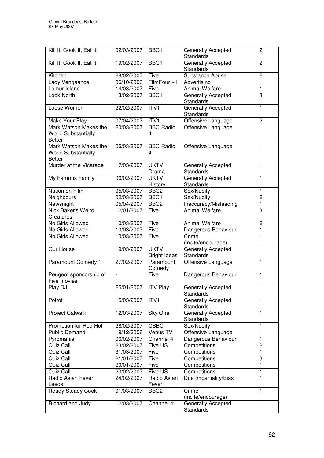| Kill It, Cook It, Eat It                                             | 02/03/2007               | BBC1                               | Generally Accepted<br><b>Standards</b>        | $\overline{2}$ |
|----------------------------------------------------------------------|--------------------------|------------------------------------|-----------------------------------------------|----------------|
| Kill It, Cook It, Eat It                                             | 19/02/2007               | BBC <sub>1</sub>                   | Generally Accepted<br><b>Standards</b>        | $\overline{2}$ |
| Kitchen                                                              | 28/02/2007               | Five                               | Substance Abuse                               | $\overline{c}$ |
| Lady Vengeance                                                       | 06/10/2006               | FilmFour +1                        | Advertising                                   | 1              |
| Lemur Island                                                         | 14/03/2007               | Five                               | <b>Animal Welfare</b>                         | 1              |
| Look North                                                           | 13/02/2007               | BBC1                               | Generally Accepted<br><b>Standards</b>        | 3              |
| Loose Women                                                          | 22/02/2007               | ITV1                               | <b>Generally Accepted</b><br><b>Standards</b> | 1              |
| Make Your Play                                                       | 07/04/2007               | ITVI                               | Offensive Language                            | $\mathbf 2$    |
| Mark Watson Makes the<br><b>World Substantially</b><br><b>Better</b> | 20/03/2007               | <b>BBC Radio</b><br>4              | Offensive Language                            | $\overline{1}$ |
| Mark Watson Makes the<br><b>World Substantially</b><br><b>Better</b> | 06/03/2007               | <b>BBC Radio</b><br>4              | Offensive Language                            | 1              |
| Murder at the Vicarage                                               | 17/03/2007               | <b>UKTV</b><br>Drama               | Generally Accepted<br><b>Standards</b>        | 1              |
| My Famous Family                                                     | 06/02/2007               | <b>UKTV</b><br>History             | Generally Accepted<br>Standards               | 1              |
| Nation on Film                                                       | 05/03/2007               | BBC <sub>2</sub>                   | Sex/Nudity                                    | $\mathbf{1}$   |
| Neighbours                                                           | 02/03/2007               | BBC1                               | Sex/Nudity                                    | $\overline{2}$ |
| Newsnight                                                            | 05/04/2007               | BBC <sub>2</sub>                   | Inaccuracy/Misleading                         | $\mathbf{1}$   |
| Nick Baker's Weird<br>Creatures                                      | 12/01/2007               | Five                               | <b>Animal Welfare</b>                         | 3              |
| No Girls Allowed                                                     | 10/03/2007               | Five                               | Animal Welfare                                | $\overline{c}$ |
| No Girls Allowed                                                     | 10/03/2007               | Five                               | Dangerous Behaviour                           | 1              |
| No Girls Allowed                                                     | 10/03/2007               | Five                               | Crime<br>(incite/encourage)                   | $\mathbf{1}$   |
| Our House                                                            | 19/03/2007               | <b>UKTV</b><br><b>Bright Ideas</b> | Generally Accepted<br>Standards               | $\mathbf{1}$   |
| <b>Paramount Comedy 1</b>                                            | 27/02/2007               | Paramount<br>Comedy                | Offensive Language                            | 1              |
| Peugeot sponsorship of<br>Five movies                                | $\overline{\phantom{a}}$ | Five                               | Dangerous Behaviour                           | $\mathbf{1}$   |
| Play DJ                                                              | 25/01/2007               | <b>ITV Play</b>                    | <b>Generally Accepted</b><br>Standards        | 1              |
| Poirot                                                               | 15/03/2007               | ITV <sub>1</sub>                   | Generally Accepted<br><b>Standards</b>        | 1              |
| <b>Project Catwalk</b>                                               | 12/03/2007               | Sky One                            | Generally Accepted<br><b>Standards</b>        | 1              |
| Promotion for Red Hot                                                | 28/02/2007               | CBBC                               | Sex/Nudity                                    | 1              |
| <b>Public Demand</b>                                                 | 19/12/2006               | Venus TV                           | Offensive Language                            | 1              |
| Pyromania                                                            | 06/02/2007               | Channel 4                          | Dangerous Behaviour                           | 1              |
| Quiz Call                                                            | 23/02/2007               | Five US                            | Competitions                                  | $\overline{2}$ |
| Quiz Call                                                            | 31/03/2007               | Five                               | Competitions                                  | $\mathbf{1}$   |
| Quiz Call                                                            | 21/01/2007               | Five                               | Competitions                                  | 3              |
| Quiz Call                                                            | 20/01/2007               | Five                               | Competitions                                  | $\mathbf{1}$   |
| Quiz Call                                                            | 23/02/2007               | Five US                            | Competitions                                  | 1              |
| Radio Asian Fever<br>Leeds                                           | 24/02/2007               | Radio Asian<br>Fever               | Due Impartiality/Bias                         | 1              |
| <b>Ready Steady Cook</b>                                             | 01/03/2007               | BBC <sub>2</sub>                   | Crime<br>(incite/encourage)                   | 1              |
| Richard and Judy                                                     | 12/03/2007               | Channel 4                          | Generally Accepted<br><b>Standards</b>        | 1              |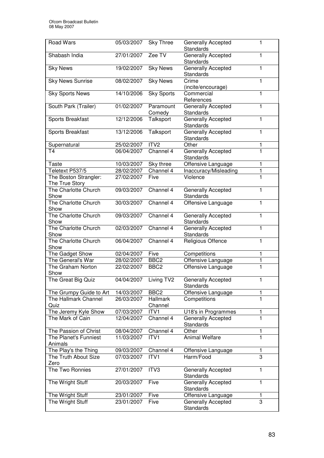| <b>Road Wars</b>                        | 05/03/2007 | <b>Sky Three</b>    | Generally Accepted<br><b>Standards</b> | 1            |
|-----------------------------------------|------------|---------------------|----------------------------------------|--------------|
| Shabash India                           | 27/01/2007 | Zee TV              | Generally Accepted<br><b>Standards</b> | 1            |
| <b>Sky News</b>                         | 19/02/2007 | <b>Sky News</b>     | Generally Accepted<br>Standards        | 1            |
| <b>Sky News Sunrise</b>                 | 08/02/2007 | <b>Sky News</b>     | Crime<br>(incite/encourage)            | 1            |
| <b>Sky Sports News</b>                  | 14/10/2006 | <b>Sky Sports</b>   | Commercial<br>References               | 1            |
| South Park (Trailer)                    | 01/02/2007 | Paramount<br>Comedy | Generally Accepted<br><b>Standards</b> | 1            |
| Sports Breakfast                        | 12/12/2006 | Talksport           | Generally Accepted<br>Standards        | 1            |
| Sports Breakfast                        | 13/12/2006 | Talksport           | Generally Accepted<br>Standards        | 1            |
| Supernatural                            | 25/02/2007 | ITV <sub>2</sub>    | Other                                  | 1            |
| T <sub>4</sub>                          | 06/04/2007 | Channel 4           | Generally Accepted<br>Standards        | $\mathbf{1}$ |
| Taste                                   | 10/03/2007 | Sky three           | Offensive Language                     | 1            |
| Teletext P537/5                         | 28/02/2007 | Channel 4           | Inaccuracy/Misleading                  | 1            |
| The Boston Strangler:<br>The True Story | 27/02/2007 | Five                | Violence                               | $\mathbf{1}$ |
| The Charlotte Church<br>Show            | 09/03/2007 | Channel 4           | Generally Accepted<br>Standards        | 1            |
| The Charlotte Church<br>Show            | 30/03/2007 | Channel 4           | Offensive Language                     | $\mathbf{1}$ |
| The Charlotte Church<br>Show            | 09/03/2007 | Channel 4           | <b>Generally Accepted</b><br>Standards | $\mathbf{1}$ |
| The Charlotte Church<br>Show            | 02/03/2007 | Channel 4           | Generally Accepted<br>Standards        | 1            |
| The Charlotte Church<br>Show            | 06/04/2007 | Channel 4           | Religious Offence                      | 1            |
| The Gadget Show                         | 02/04/2007 | Five                | Competitions                           | 1            |
| The General's War                       | 28/02/2007 | BBC <sub>2</sub>    | Offensive Language                     | 1            |
| The Graham Norton<br>Show               | 22/02/2007 | BBC <sub>2</sub>    | Offensive Language                     | 1            |
| The Great Big Quiz                      | 04/04/2007 | Living TV2          | Generally Accepted<br>Standards        | 1            |
| The Grumpy Guide to Art                 | 14/03/2007 | BBC <sub>2</sub>    | Offensive Language                     | 1            |
| The Hallmark Channel<br>Quiz            | 26/03/2007 | Hallmark<br>Channel | Competitions                           | 1            |
| The Jeremy Kyle Show                    | 07/03/2007 | ITV1                | U18's in Programmes                    |              |
| The Mark of Cain                        | 12/04/2007 | Channel 4           | <b>Generally Accepted</b><br>Standards | 1            |
| The Passion of Christ                   | 08/04/2007 | Channel 4           | Other                                  | 1            |
| The Planet's Funniest                   | 11/03/2007 | ITV <sub>1</sub>    | <b>Animal Welfare</b>                  | 1            |
| Animals                                 |            |                     |                                        |              |
| The Play's the Thing                    | 09/03/2007 | Channel 4           | Offensive Language                     | 1            |
| The Truth About Size<br>Zero            | 07/03/2007 | ITV1                | Harm/Food                              | 3            |
| The Two Ronnies                         | 27/01/2007 | ITV3                | Generally Accepted<br>Standards        | 1            |
| The Wright Stuff                        | 20/03/2007 | Five                | Generally Accepted<br>Standards        | 1            |
| The Wright Stuff                        | 23/01/2007 | Five                | Offensive Language                     | 1            |
| The Wright Stuff                        | 23/01/2007 | Five                | <b>Generally Accepted</b><br>Standards | 3            |